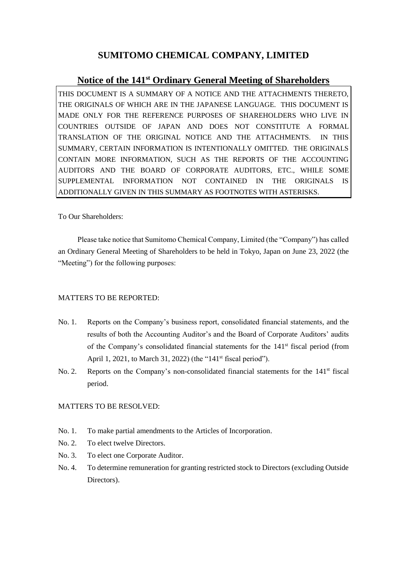# **SUMITOMO CHEMICAL COMPANY, LIMITED**

# **Notice of the 141 st Ordinary General Meeting of Shareholders**

THIS DOCUMENT IS A SUMMARY OF A NOTICE AND THE ATTACHMENTS THERETO, THE ORIGINALS OF WHICH ARE IN THE JAPANESE LANGUAGE. THIS DOCUMENT IS MADE ONLY FOR THE REFERENCE PURPOSES OF SHAREHOLDERS WHO LIVE IN COUNTRIES OUTSIDE OF JAPAN AND DOES NOT CONSTITUTE A FORMAL TRANSLATION OF THE ORIGINAL NOTICE AND THE ATTACHMENTS. IN THIS SUMMARY, CERTAIN INFORMATION IS INTENTIONALLY OMITTED. THE ORIGINALS CONTAIN MORE INFORMATION, SUCH AS THE REPORTS OF THE ACCOUNTING AUDITORS AND THE BOARD OF CORPORATE AUDITORS, ETC., WHILE SOME SUPPLEMENTAL INFORMATION NOT CONTAINED IN THE ORIGINALS IS ADDITIONALLY GIVEN IN THIS SUMMARY AS FOOTNOTES WITH ASTERISKS.

To Our Shareholders:

Please take notice that Sumitomo Chemical Company, Limited (the "Company") has called an Ordinary General Meeting of Shareholders to be held in Tokyo, Japan on June 23, 2022 (the "Meeting") for the following purposes:

# MATTERS TO BE REPORTED:

- No. 1. Reports on the Company's business report, consolidated financial statements, and the results of both the Accounting Auditor's and the Board of Corporate Auditors' audits of the Company's consolidated financial statements for the 141<sup>st</sup> fiscal period (from April 1, 2021, to March 31, 2022) (the "141<sup>st</sup> fiscal period").
- No. 2. Reports on the Company's non-consolidated financial statements for the 141<sup>st</sup> fiscal period.

# MATTERS TO BE RESOLVED:

- No. 1. To make partial amendments to the Articles of Incorporation.
- No. 2. To elect twelve Directors.
- No. 3. To elect one Corporate Auditor.
- No. 4. To determine remuneration for granting restricted stock to Directors (excluding Outside Directors).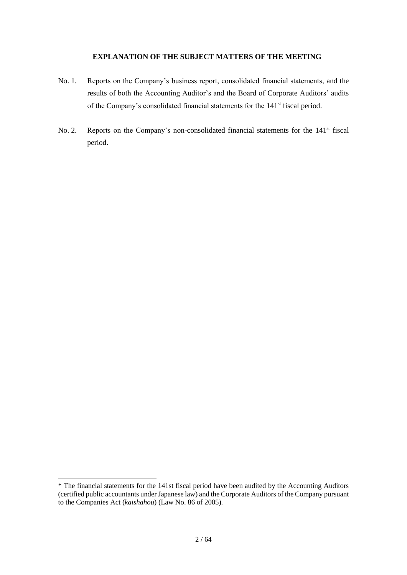# **EXPLANATION OF THE SUBJECT MATTERS OF THE MEETING**

- No. 1. Reports on the Company's business report, consolidated financial statements, and the results of both the Accounting Auditor's and the Board of Corporate Auditors' audits of the Company's consolidated financial statements for the 141<sup>st</sup> fiscal period.
- No. 2. Reports on the Company's non-consolidated financial statements for the 141<sup>st</sup> fiscal period.

<u>.</u>

<sup>\*</sup> The financial statements for the 141st fiscal period have been audited by the Accounting Auditors (certified public accountants under Japanese law) and the Corporate Auditors of the Company pursuant to the Companies Act (*kaishahou*) (Law No. 86 of 2005).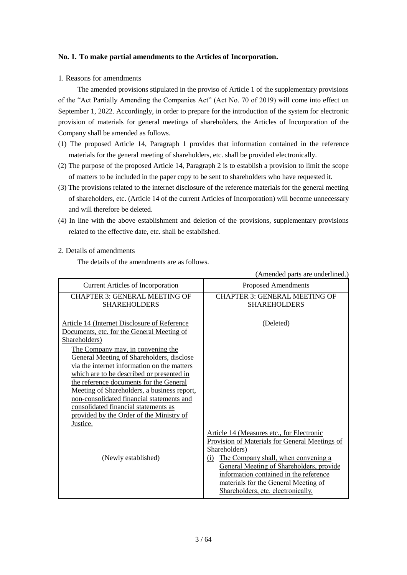# **No. 1. To make partial amendments to the Articles of Incorporation.**

# 1. Reasons for amendments

The amended provisions stipulated in the proviso of Article 1 of the supplementary provisions of the "Act Partially Amending the Companies Act" (Act No. 70 of 2019) will come into effect on September 1, 2022. Accordingly, in order to prepare for the introduction of the system for electronic provision of materials for general meetings of shareholders, the Articles of Incorporation of the Company shall be amended as follows.

- (1) The proposed Article 14, Paragraph 1 provides that information contained in the reference materials for the general meeting of shareholders, etc. shall be provided electronically.
- (2) The purpose of the proposed Article 14, Paragraph 2 is to establish a provision to limit the scope of matters to be included in the paper copy to be sent to shareholders who have requested it.
- (3) The provisions related to the internet disclosure of the reference materials for the general meeting of shareholders, etc. (Article 14 of the current Articles of Incorporation) will become unnecessary and will therefore be deleted.
- (4) In line with the above establishment and deletion of the provisions, supplementary provisions related to the effective date, etc. shall be established.

# 2. Details of amendments

The details of the amendments are as follows.

|                                                                                                                                                                                                                                                                                                                                                                                                                                                                                                                                                 | (Amended parts are underlined.)                                                                                                                                                                                                                                                                                                |
|-------------------------------------------------------------------------------------------------------------------------------------------------------------------------------------------------------------------------------------------------------------------------------------------------------------------------------------------------------------------------------------------------------------------------------------------------------------------------------------------------------------------------------------------------|--------------------------------------------------------------------------------------------------------------------------------------------------------------------------------------------------------------------------------------------------------------------------------------------------------------------------------|
| <b>Current Articles of Incorporation</b>                                                                                                                                                                                                                                                                                                                                                                                                                                                                                                        | Proposed Amendments                                                                                                                                                                                                                                                                                                            |
| <b>CHAPTER 3: GENERAL MEETING OF</b><br><b>SHAREHOLDERS</b>                                                                                                                                                                                                                                                                                                                                                                                                                                                                                     | <b>CHAPTER 3: GENERAL MEETING OF</b><br><b>SHAREHOLDERS</b>                                                                                                                                                                                                                                                                    |
| Article 14 (Internet Disclosure of Reference)<br>Documents, etc. for the General Meeting of<br>Shareholders)<br>The Company may, in convening the<br><b>General Meeting of Shareholders, disclose</b><br>via the internet information on the matters<br>which are to be described or presented in<br>the reference documents for the General<br><u>Meeting of Shareholders, a business report,</u><br>non-consolidated financial statements and<br>consolidated financial statements as<br>provided by the Order of the Ministry of<br>Justice. | (Deleted)                                                                                                                                                                                                                                                                                                                      |
| (Newly established)                                                                                                                                                                                                                                                                                                                                                                                                                                                                                                                             | Article 14 (Measures etc., for Electronic<br>Provision of Materials for General Meetings of<br>Shareholders)<br>The Company shall, when convening a<br>(i)<br>General Meeting of Shareholders, provide<br>information contained in the reference<br>materials for the General Meeting of<br>Shareholders, etc. electronically. |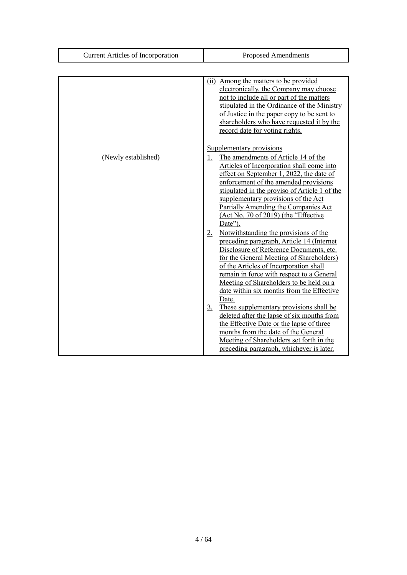| <b>Current Articles of Incorporation</b> | <b>Proposed Amendments</b>                                                                                                                                                                                                                                                                                                                                                                                                                                                                                                                                                                                                                                                                                                                                                                                                                                                                                                                                                                                                                                     |
|------------------------------------------|----------------------------------------------------------------------------------------------------------------------------------------------------------------------------------------------------------------------------------------------------------------------------------------------------------------------------------------------------------------------------------------------------------------------------------------------------------------------------------------------------------------------------------------------------------------------------------------------------------------------------------------------------------------------------------------------------------------------------------------------------------------------------------------------------------------------------------------------------------------------------------------------------------------------------------------------------------------------------------------------------------------------------------------------------------------|
|                                          |                                                                                                                                                                                                                                                                                                                                                                                                                                                                                                                                                                                                                                                                                                                                                                                                                                                                                                                                                                                                                                                                |
|                                          | (ii) Among the matters to be provided<br>electronically, the Company may choose<br>not to include all or part of the matters<br>stipulated in the Ordinance of the Ministry<br>of Justice in the paper copy to be sent to<br>shareholders who have requested it by the<br>record date for voting rights.                                                                                                                                                                                                                                                                                                                                                                                                                                                                                                                                                                                                                                                                                                                                                       |
| (Newly established)                      | Supplementary provisions<br>The amendments of Article 14 of the<br>1.<br>Articles of Incorporation shall come into<br>effect on September 1, 2022, the date of<br>enforcement of the amended provisions<br>stipulated in the proviso of Article 1 of the<br>supplementary provisions of the Act<br>Partially Amending the Companies Act<br>(Act No. 70 of 2019) (the "Effective<br>Date").<br>Notwithstanding the provisions of the<br>2.<br>preceding paragraph, Article 14 (Internet<br>Disclosure of Reference Documents, etc.<br>for the General Meeting of Shareholders)<br>of the Articles of Incorporation shall<br>remain in force with respect to a General<br>Meeting of Shareholders to be held on a<br>date within six months from the Effective<br>Date.<br>$\underline{3}$ .<br>These supplementary provisions shall be<br>deleted after the lapse of six months from<br>the Effective Date or the lapse of three<br>months from the date of the General<br>Meeting of Shareholders set forth in the<br>preceding paragraph, whichever is later. |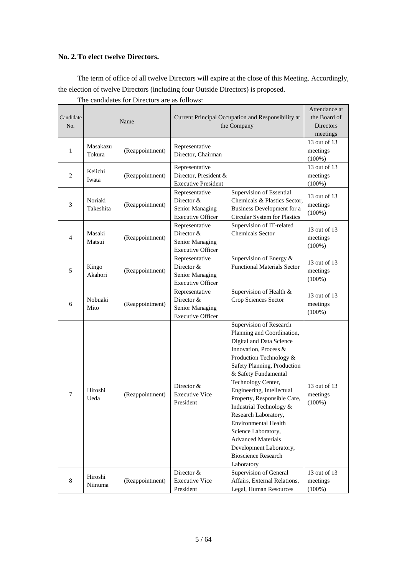# **No. 2.To elect twelve Directors.**

The term of office of all twelve Directors will expire at the close of this Meeting. Accordingly, the election of twelve Directors (including four Outside Directors) is proposed.

| Candidate<br>No. |                      | Name            |                                                                             | Current Principal Occupation and Responsibility at<br>the Company                                                                                                                                                                                                                                                                                                                                                                                                                           | Attendance at<br>the Board of<br><b>Directors</b><br>meetings |
|------------------|----------------------|-----------------|-----------------------------------------------------------------------------|---------------------------------------------------------------------------------------------------------------------------------------------------------------------------------------------------------------------------------------------------------------------------------------------------------------------------------------------------------------------------------------------------------------------------------------------------------------------------------------------|---------------------------------------------------------------|
| $\mathbf{1}$     | Masakazu<br>Tokura   | (Reappointment) | Representative<br>Director, Chairman                                        |                                                                                                                                                                                                                                                                                                                                                                                                                                                                                             | 13 out of 13<br>meetings<br>$(100\%)$                         |
| $\mathfrak{2}$   | Keiichi<br>Iwata     | (Reappointment) | Representative<br>Director, President &<br><b>Executive President</b>       |                                                                                                                                                                                                                                                                                                                                                                                                                                                                                             | 13 out of 13<br>meetings<br>$(100\%)$                         |
| 3                | Noriaki<br>Takeshita | (Reappointment) | Representative<br>Director &<br>Senior Managing<br><b>Executive Officer</b> | Supervision of Essential<br>Chemicals & Plastics Sector,<br>Business Development for a<br>Circular System for Plastics                                                                                                                                                                                                                                                                                                                                                                      | 13 out of 13<br>meetings<br>$(100\%)$                         |
| $\overline{4}$   | Masaki<br>Matsui     | (Reappointment) | Representative<br>Director &<br>Senior Managing<br><b>Executive Officer</b> | Supervision of IT-related<br><b>Chemicals Sector</b>                                                                                                                                                                                                                                                                                                                                                                                                                                        | 13 out of 13<br>meetings<br>$(100\%)$                         |
| 5                | Kingo<br>Akahori     | (Reappointment) | Representative<br>Director &<br>Senior Managing<br><b>Executive Officer</b> | Supervision of Energy &<br><b>Functional Materials Sector</b>                                                                                                                                                                                                                                                                                                                                                                                                                               | 13 out of 13<br>meetings<br>$(100\%)$                         |
| 6                | Nobuaki<br>Mito      | (Reappointment) | Representative<br>Director &<br>Senior Managing<br><b>Executive Officer</b> | Supervision of Health &<br>Crop Sciences Sector                                                                                                                                                                                                                                                                                                                                                                                                                                             | 13 out of 13<br>meetings<br>$(100\%)$                         |
| $\overline{7}$   | Hiroshi<br>Ueda      | (Reappointment) | Director $&$<br><b>Executive Vice</b><br>President                          | Supervision of Research<br>Planning and Coordination,<br>Digital and Data Science<br>Innovation, Process &<br>Production Technology &<br>Safety Planning, Production<br>& Safety Fundamental<br>Technology Center,<br>Engineering, Intellectual<br>Property, Responsible Care,<br>Industrial Technology &<br>Research Laboratory,<br><b>Environmental Health</b><br>Science Laboratory,<br><b>Advanced Materials</b><br>Development Laboratory,<br><b>Bioscience Research</b><br>Laboratory | 13 out of 13<br>meetings<br>$(100\%)$                         |
| 8                | Hiroshi<br>Niinuma   | (Reappointment) | Director &<br><b>Executive Vice</b><br>President                            | Supervision of General<br>Affairs, External Relations,<br>Legal, Human Resources                                                                                                                                                                                                                                                                                                                                                                                                            | 13 out of 13<br>meetings<br>$(100\%)$                         |

The candidates for Directors are as follows: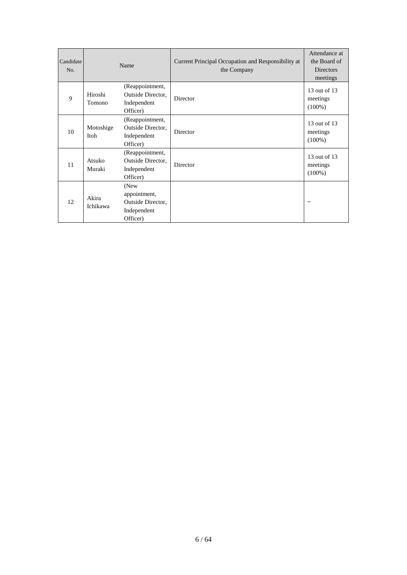| Candidate<br>No. |                   | Name                                                                 | Current Principal Occupation and Responsibility at<br>the Company | Attendance at<br>the Board of<br><b>Directors</b><br>meetings |
|------------------|-------------------|----------------------------------------------------------------------|-------------------------------------------------------------------|---------------------------------------------------------------|
| 9                | Hiroshi<br>Tomono | (Reappointment,<br>Outside Director,<br>Independent<br>Officer)      | Director                                                          | 13 out of 13<br>meetings<br>$(100\%)$                         |
| 10               | Motoshige<br>Itoh | (Reappointment,<br>Outside Director,<br>Independent<br>Officer)      | Director                                                          | 13 out of 13<br>meetings<br>$(100\%)$                         |
| 11               | Atsuko<br>Muraki  | (Reappointment,<br>Outside Director.<br>Independent<br>Officer)      | Director                                                          | 13 out of 13<br>meetings<br>$(100\%)$                         |
| 12               | Akira<br>Ichikawa | (New<br>appointment,<br>Outside Director.<br>Independent<br>Officer) |                                                                   |                                                               |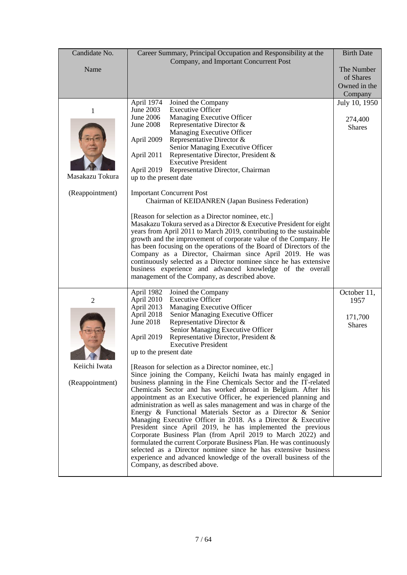| Candidate No.   | Career Summary, Principal Occupation and Responsibility at the                                                                           | <b>Birth Date</b>        |
|-----------------|------------------------------------------------------------------------------------------------------------------------------------------|--------------------------|
| Name            | Company, and Important Concurrent Post                                                                                                   | The Number               |
|                 |                                                                                                                                          | of Shares                |
|                 |                                                                                                                                          | Owned in the             |
|                 |                                                                                                                                          | Company                  |
|                 | April 1974<br>Joined the Company<br><b>Executive Officer</b><br>June 2003                                                                | July 10, 1950            |
| 1               | June 2006<br>Managing Executive Officer                                                                                                  | 274,400                  |
|                 | <b>June 2008</b><br>Representative Director &                                                                                            | <b>Shares</b>            |
|                 | Managing Executive Officer<br>April 2009<br>Representative Director &                                                                    |                          |
|                 | Senior Managing Executive Officer                                                                                                        |                          |
|                 | April 2011<br>Representative Director, President &                                                                                       |                          |
|                 | <b>Executive President</b>                                                                                                               |                          |
| Masakazu Tokura | Representative Director, Chairman<br>April 2019<br>up to the present date                                                                |                          |
|                 |                                                                                                                                          |                          |
| (Reappointment) | <b>Important Concurrent Post</b><br>Chairman of KEIDANREN (Japan Business Federation)                                                    |                          |
|                 |                                                                                                                                          |                          |
|                 | [Reason for selection as a Director nominee, etc.]<br>Masakazu Tokura served as a Director & Executive President for eight               |                          |
|                 | years from April 2011 to March 2019, contributing to the sustainable                                                                     |                          |
|                 | growth and the improvement of corporate value of the Company. He<br>has been focusing on the operations of the Board of Directors of the |                          |
|                 | Company as a Director, Chairman since April 2019. He was                                                                                 |                          |
|                 | continuously selected as a Director nominee since he has extensive                                                                       |                          |
|                 | business experience and advanced knowledge of the overall                                                                                |                          |
|                 | management of the Company, as described above.                                                                                           |                          |
|                 | Joined the Company<br>April 1982                                                                                                         | October 11,              |
| 2               | April 2010<br><b>Executive Officer</b>                                                                                                   | 1957                     |
|                 | April 2013<br>Managing Executive Officer<br>April 2018<br>Senior Managing Executive Officer                                              |                          |
|                 | June 2018<br>Representative Director &                                                                                                   | 171,700<br><b>Shares</b> |
|                 | Senior Managing Executive Officer                                                                                                        |                          |
|                 | Representative Director, President &<br>April 2019<br><b>Executive President</b>                                                         |                          |
|                 | up to the present date                                                                                                                   |                          |
| Keiichi Iwata   |                                                                                                                                          |                          |
|                 | [Reason for selection as a Director nominee, etc.]<br>Since joining the Company, Keiichi Iwata has mainly engaged in                     |                          |
| (Reappointment) | business planning in the Fine Chemicals Sector and the IT-related                                                                        |                          |
|                 | Chemicals Sector and has worked abroad in Belgium. After his                                                                             |                          |
|                 | appointment as an Executive Officer, he experienced planning and<br>administration as well as sales management and was in charge of the  |                          |
|                 | Energy & Functional Materials Sector as a Director & Senior                                                                              |                          |
|                 | Managing Executive Officer in 2018. As a Director & Executive                                                                            |                          |
|                 | President since April 2019, he has implemented the previous<br>Corporate Business Plan (from April 2019 to March 2022) and               |                          |
|                 | formulated the current Corporate Business Plan. He was continuously                                                                      |                          |
|                 | selected as a Director nominee since he has extensive business                                                                           |                          |
|                 | experience and advanced knowledge of the overall business of the<br>Company, as described above.                                         |                          |
|                 |                                                                                                                                          |                          |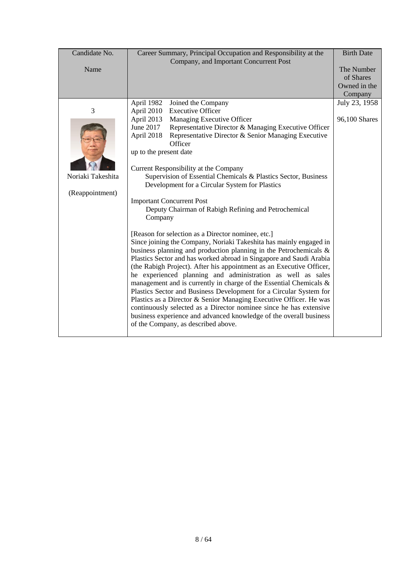| Candidate No.     | Career Summary, Principal Occupation and Responsibility at the       | <b>Birth Date</b> |
|-------------------|----------------------------------------------------------------------|-------------------|
|                   | Company, and Important Concurrent Post                               |                   |
| Name              |                                                                      | The Number        |
|                   |                                                                      | of Shares         |
|                   |                                                                      | Owned in the      |
|                   |                                                                      | Company           |
|                   | April 1982<br>Joined the Company                                     | July 23, 1958     |
| 3                 | <b>Executive Officer</b><br>April 2010                               |                   |
|                   | April 2013<br>Managing Executive Officer                             | 96,100 Shares     |
|                   | June 2017<br>Representative Director & Managing Executive Officer    |                   |
|                   | April 2018<br>Representative Director & Senior Managing Executive    |                   |
|                   | Officer                                                              |                   |
|                   | up to the present date                                               |                   |
|                   |                                                                      |                   |
|                   | Current Responsibility at the Company                                |                   |
| Noriaki Takeshita | Supervision of Essential Chemicals & Plastics Sector, Business       |                   |
|                   | Development for a Circular System for Plastics                       |                   |
| (Reappointment)   |                                                                      |                   |
|                   | <b>Important Concurrent Post</b>                                     |                   |
|                   | Deputy Chairman of Rabigh Refining and Petrochemical                 |                   |
|                   | Company                                                              |                   |
|                   |                                                                      |                   |
|                   | [Reason for selection as a Director nominee, etc.]                   |                   |
|                   | Since joining the Company, Noriaki Takeshita has mainly engaged in   |                   |
|                   | business planning and production planning in the Petrochemicals &    |                   |
|                   | Plastics Sector and has worked abroad in Singapore and Saudi Arabia  |                   |
|                   | (the Rabigh Project). After his appointment as an Executive Officer, |                   |
|                   | he experienced planning and administration as well as sales          |                   |
|                   | management and is currently in charge of the Essential Chemicals &   |                   |
|                   | Plastics Sector and Business Development for a Circular System for   |                   |
|                   | Plastics as a Director & Senior Managing Executive Officer. He was   |                   |
|                   | continuously selected as a Director nominee since he has extensive   |                   |
|                   | business experience and advanced knowledge of the overall business   |                   |
|                   | of the Company, as described above.                                  |                   |
|                   |                                                                      |                   |
|                   |                                                                      |                   |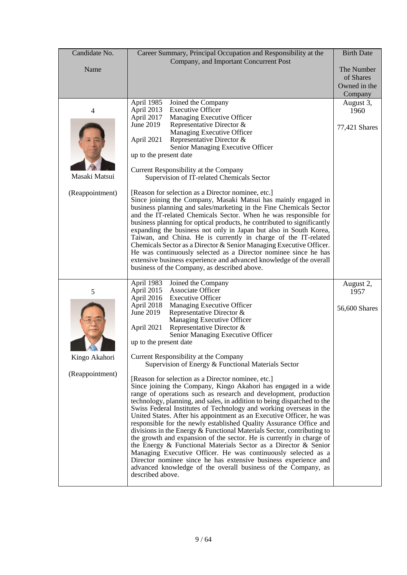| Candidate No.   | Career Summary, Principal Occupation and Responsibility at the<br>Company, and Important Concurrent Post                                                                                                                                                                                                                                                                                                                                                                                                                                                                                                                                                                                                                                                                                                                                                                                                                                    | <b>Birth Date</b>                       |
|-----------------|---------------------------------------------------------------------------------------------------------------------------------------------------------------------------------------------------------------------------------------------------------------------------------------------------------------------------------------------------------------------------------------------------------------------------------------------------------------------------------------------------------------------------------------------------------------------------------------------------------------------------------------------------------------------------------------------------------------------------------------------------------------------------------------------------------------------------------------------------------------------------------------------------------------------------------------------|-----------------------------------------|
| Name            |                                                                                                                                                                                                                                                                                                                                                                                                                                                                                                                                                                                                                                                                                                                                                                                                                                                                                                                                             | The Number<br>of Shares<br>Owned in the |
|                 |                                                                                                                                                                                                                                                                                                                                                                                                                                                                                                                                                                                                                                                                                                                                                                                                                                                                                                                                             | Company                                 |
| $\overline{4}$  | April 1985<br>Joined the Company<br><b>Executive Officer</b><br>April 2013<br>April 2017<br>Managing Executive Officer<br>June 2019<br>Representative Director &                                                                                                                                                                                                                                                                                                                                                                                                                                                                                                                                                                                                                                                                                                                                                                            | August 3,<br>1960                       |
| Masaki Matsui   | Managing Executive Officer<br>April 2021<br>Representative Director &<br>Senior Managing Executive Officer<br>up to the present date<br>Current Responsibility at the Company                                                                                                                                                                                                                                                                                                                                                                                                                                                                                                                                                                                                                                                                                                                                                               | 77,421 Shares                           |
|                 | Supervision of IT-related Chemicals Sector                                                                                                                                                                                                                                                                                                                                                                                                                                                                                                                                                                                                                                                                                                                                                                                                                                                                                                  |                                         |
| (Reappointment) | [Reason for selection as a Director nominee, etc.]<br>Since joining the Company, Masaki Matsui has mainly engaged in<br>business planning and sales/marketing in the Fine Chemicals Sector<br>and the IT-related Chemicals Sector. When he was responsible for<br>business planning for optical products, he contributed to significantly<br>expanding the business not only in Japan but also in South Korea,<br>Taiwan, and China. He is currently in charge of the IT-related<br>Chemicals Sector as a Director & Senior Managing Executive Officer.<br>He was continuously selected as a Director nominee since he has<br>extensive business experience and advanced knowledge of the overall<br>business of the Company, as described above.                                                                                                                                                                                           |                                         |
| 5               | April 1983<br>Joined the Company<br>April 2015<br><b>Associate Officer</b><br><b>Executive Officer</b><br>April 2016                                                                                                                                                                                                                                                                                                                                                                                                                                                                                                                                                                                                                                                                                                                                                                                                                        | August 2,<br>1957                       |
|                 | April 2018<br>Managing Executive Officer<br>June 2019<br>Representative Director &<br>Managing Executive Officer<br>Representative Director &<br>April 2021<br>Senior Managing Executive Officer<br>up to the present date                                                                                                                                                                                                                                                                                                                                                                                                                                                                                                                                                                                                                                                                                                                  | 56,600 Shares                           |
| Kingo Akahori   | Current Responsibility at the Company<br>Supervision of Energy & Functional Materials Sector                                                                                                                                                                                                                                                                                                                                                                                                                                                                                                                                                                                                                                                                                                                                                                                                                                                |                                         |
| (Reappointment) | [Reason for selection as a Director nominee, etc.]<br>Since joining the Company, Kingo Akahori has engaged in a wide<br>range of operations such as research and development, production<br>technology, planning, and sales, in addition to being dispatched to the<br>Swiss Federal Institutes of Technology and working overseas in the<br>United States. After his appointment as an Executive Officer, he was<br>responsible for the newly established Quality Assurance Office and<br>divisions in the Energy & Functional Materials Sector, contributing to<br>the growth and expansion of the sector. He is currently in charge of<br>the Energy $\&$ Functional Materials Sector as a Director $\&$ Senior<br>Managing Executive Officer. He was continuously selected as a<br>Director nominee since he has extensive business experience and<br>advanced knowledge of the overall business of the Company, as<br>described above. |                                         |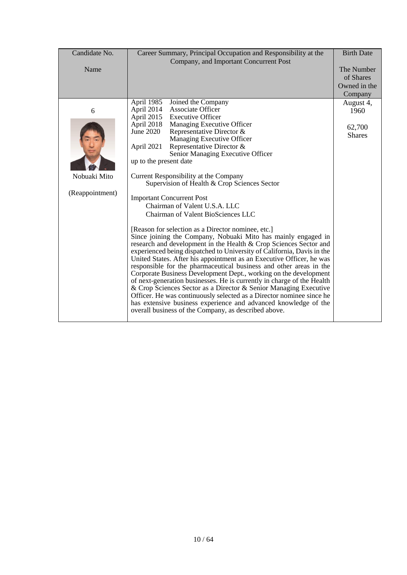| Candidate No.   | Career Summary, Principal Occupation and Responsibility at the                                                      | <b>Birth Date</b> |
|-----------------|---------------------------------------------------------------------------------------------------------------------|-------------------|
|                 | Company, and Important Concurrent Post                                                                              |                   |
| Name            |                                                                                                                     | The Number        |
|                 |                                                                                                                     | of Shares         |
|                 |                                                                                                                     | Owned in the      |
|                 |                                                                                                                     | Company           |
|                 | April 1985<br>Joined the Company                                                                                    | August 4,         |
| 6               | Associate Officer<br>April 2014                                                                                     | 1960              |
|                 | April 2015<br><b>Executive Officer</b>                                                                              |                   |
|                 | April 2018<br>Managing Executive Officer                                                                            | 62,700            |
|                 | June 2020<br>Representative Director &                                                                              | <b>Shares</b>     |
|                 | Managing Executive Officer                                                                                          |                   |
|                 | April 2021<br>Representative Director &                                                                             |                   |
|                 | Senior Managing Executive Officer                                                                                   |                   |
|                 | up to the present date                                                                                              |                   |
| Nobuaki Mito    | Current Responsibility at the Company                                                                               |                   |
|                 | Supervision of Health & Crop Sciences Sector                                                                        |                   |
| (Reappointment) |                                                                                                                     |                   |
|                 | <b>Important Concurrent Post</b>                                                                                    |                   |
|                 | Chairman of Valent U.S.A. LLC                                                                                       |                   |
|                 | Chairman of Valent BioSciences LLC                                                                                  |                   |
|                 |                                                                                                                     |                   |
|                 | [Reason for selection as a Director nominee, etc.]<br>Since joining the Company, Nobuaki Mito has mainly engaged in |                   |
|                 | research and development in the Health & Crop Sciences Sector and                                                   |                   |
|                 | experienced being dispatched to University of California, Davis in the                                              |                   |
|                 | United States. After his appointment as an Executive Officer, he was                                                |                   |
|                 | responsible for the pharmaceutical business and other areas in the                                                  |                   |
|                 | Corporate Business Development Dept., working on the development                                                    |                   |
|                 | of next-generation businesses. He is currently in charge of the Health                                              |                   |
|                 | & Crop Sciences Sector as a Director & Senior Managing Executive                                                    |                   |
|                 | Officer. He was continuously selected as a Director nominee since he                                                |                   |
|                 | has extensive business experience and advanced knowledge of the                                                     |                   |
|                 | overall business of the Company, as described above.                                                                |                   |
|                 |                                                                                                                     |                   |
|                 |                                                                                                                     |                   |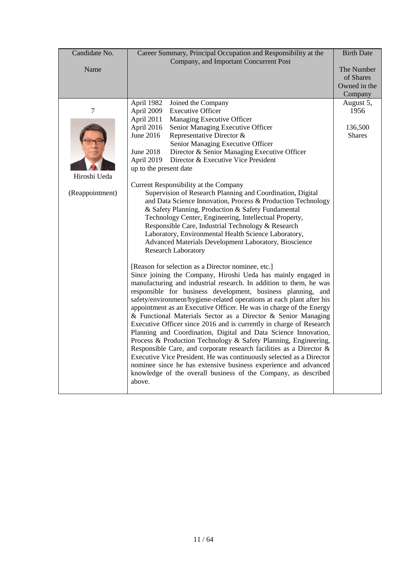| Candidate No.   | Career Summary, Principal Occupation and Responsibility at the                                               | <b>Birth Date</b>         |
|-----------------|--------------------------------------------------------------------------------------------------------------|---------------------------|
|                 | Company, and Important Concurrent Post                                                                       |                           |
| Name            |                                                                                                              | The Number                |
|                 |                                                                                                              | of Shares<br>Owned in the |
|                 |                                                                                                              | Company                   |
|                 | April 1982<br>Joined the Company                                                                             | August 5,                 |
| $\tau$          | April 2009<br><b>Executive Officer</b>                                                                       | 1956                      |
|                 | April 2011<br>Managing Executive Officer                                                                     |                           |
|                 | April 2016<br>Senior Managing Executive Officer                                                              | 136,500                   |
|                 | June 2016<br>Representative Director &                                                                       | <b>Shares</b>             |
|                 | Senior Managing Executive Officer                                                                            |                           |
|                 | June 2018<br>Director & Senior Managing Executive Officer                                                    |                           |
|                 | April 2019<br>Director & Executive Vice President                                                            |                           |
|                 | up to the present date                                                                                       |                           |
| Hiroshi Ueda    |                                                                                                              |                           |
|                 | Current Responsibility at the Company                                                                        |                           |
| (Reappointment) | Supervision of Research Planning and Coordination, Digital                                                   |                           |
|                 | and Data Science Innovation, Process & Production Technology                                                 |                           |
|                 | & Safety Planning, Production & Safety Fundamental<br>Technology Center, Engineering, Intellectual Property, |                           |
|                 | Responsible Care, Industrial Technology & Research                                                           |                           |
|                 | Laboratory, Environmental Health Science Laboratory,                                                         |                           |
|                 | Advanced Materials Development Laboratory, Bioscience                                                        |                           |
|                 | <b>Research Laboratory</b>                                                                                   |                           |
|                 |                                                                                                              |                           |
|                 | [Reason for selection as a Director nominee, etc.]                                                           |                           |
|                 | Since joining the Company, Hiroshi Ueda has mainly engaged in                                                |                           |
|                 | manufacturing and industrial research. In addition to them, he was                                           |                           |
|                 | responsible for business development, business planning, and                                                 |                           |
|                 | safety/environment/hygiene-related operations at each plant after his                                        |                           |
|                 | appointment as an Executive Officer. He was in charge of the Energy                                          |                           |
|                 | & Functional Materials Sector as a Director & Senior Managing                                                |                           |
|                 | Executive Officer since 2016 and is currently in charge of Research                                          |                           |
|                 | Planning and Coordination, Digital and Data Science Innovation,                                              |                           |
|                 | Process & Production Technology & Safety Planning, Engineering,                                              |                           |
|                 | Responsible Care, and corporate research facilities as a Director &                                          |                           |
|                 | Executive Vice President. He was continuously selected as a Director                                         |                           |
|                 | nominee since he has extensive business experience and advanced                                              |                           |
|                 | knowledge of the overall business of the Company, as described                                               |                           |
|                 | above.                                                                                                       |                           |
|                 |                                                                                                              |                           |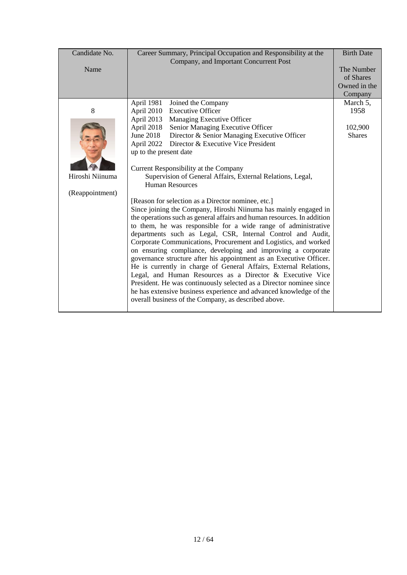| Candidate No.   | Career Summary, Principal Occupation and Responsibility at the          | <b>Birth Date</b> |
|-----------------|-------------------------------------------------------------------------|-------------------|
|                 | Company, and Important Concurrent Post                                  |                   |
| Name            |                                                                         | The Number        |
|                 |                                                                         | of Shares         |
|                 |                                                                         | Owned in the      |
|                 |                                                                         | Company           |
|                 | April 1981<br>Joined the Company                                        | March 5,          |
| 8               | <b>Executive Officer</b><br>April 2010                                  | 1958              |
|                 | April 2013<br>Managing Executive Officer                                |                   |
|                 | April 2018<br>Senior Managing Executive Officer                         | 102,900           |
|                 | June 2018<br>Director & Senior Managing Executive Officer               | <b>Shares</b>     |
|                 | April 2022<br>Director & Executive Vice President                       |                   |
|                 | up to the present date                                                  |                   |
|                 |                                                                         |                   |
|                 | Current Responsibility at the Company                                   |                   |
| Hiroshi Niinuma | Supervision of General Affairs, External Relations, Legal,              |                   |
|                 | <b>Human Resources</b>                                                  |                   |
| (Reappointment) |                                                                         |                   |
|                 | [Reason for selection as a Director nominee, etc.]                      |                   |
|                 | Since joining the Company, Hiroshi Niinuma has mainly engaged in        |                   |
|                 | the operations such as general affairs and human resources. In addition |                   |
|                 | to them, he was responsible for a wide range of administrative          |                   |
|                 | departments such as Legal, CSR, Internal Control and Audit,             |                   |
|                 | Corporate Communications, Procurement and Logistics, and worked         |                   |
|                 | on ensuring compliance, developing and improving a corporate            |                   |
|                 | governance structure after his appointment as an Executive Officer.     |                   |
|                 | He is currently in charge of General Affairs, External Relations,       |                   |
|                 | Legal, and Human Resources as a Director & Executive Vice               |                   |
|                 | President. He was continuously selected as a Director nominee since     |                   |
|                 | he has extensive business experience and advanced knowledge of the      |                   |
|                 | overall business of the Company, as described above.                    |                   |
|                 |                                                                         |                   |
|                 |                                                                         |                   |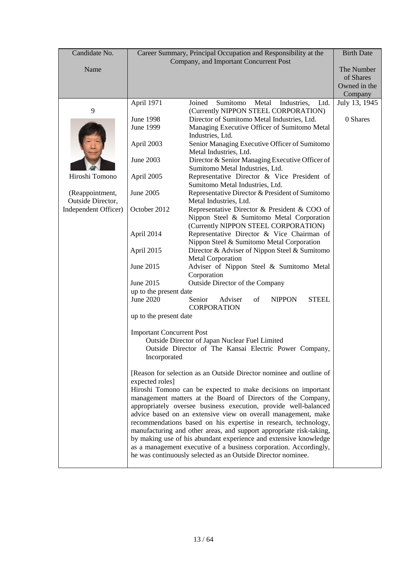| Candidate No.                        |                                  | Career Summary, Principal Occupation and Responsibility at the                                                                  | <b>Birth Date</b> |
|--------------------------------------|----------------------------------|---------------------------------------------------------------------------------------------------------------------------------|-------------------|
|                                      |                                  | Company, and Important Concurrent Post                                                                                          |                   |
| Name                                 |                                  |                                                                                                                                 | The Number        |
|                                      |                                  |                                                                                                                                 | of Shares         |
|                                      |                                  |                                                                                                                                 | Owned in the      |
|                                      |                                  |                                                                                                                                 | Company           |
|                                      | April 1971                       | Sumitomo<br>Joined<br>Metal<br>Industries,<br>Ltd.                                                                              | July 13, 1945     |
| 9                                    |                                  | (Currently NIPPON STEEL CORPORATION)                                                                                            |                   |
|                                      | <b>June 1998</b>                 | Director of Sumitomo Metal Industries, Ltd.                                                                                     | 0 Shares          |
|                                      | <b>June 1999</b>                 | Managing Executive Officer of Sumitomo Metal                                                                                    |                   |
|                                      |                                  | Industries, Ltd.                                                                                                                |                   |
|                                      | April 2003                       | Senior Managing Executive Officer of Sumitomo                                                                                   |                   |
|                                      |                                  | Metal Industries, Ltd.                                                                                                          |                   |
|                                      | June 2003                        | Director & Senior Managing Executive Officer of                                                                                 |                   |
|                                      |                                  | Sumitomo Metal Industries, Ltd.                                                                                                 |                   |
| Hiroshi Tomono                       | April 2005                       | Representative Director & Vice President of                                                                                     |                   |
|                                      | June 2005                        | Sumitomo Metal Industries, Ltd.                                                                                                 |                   |
| (Reappointment,<br>Outside Director, |                                  | Representative Director & President of Sumitomo<br>Metal Industries, Ltd.                                                       |                   |
| Independent Officer)                 | October 2012                     | Representative Director & President & COO of                                                                                    |                   |
|                                      |                                  | Nippon Steel & Sumitomo Metal Corporation                                                                                       |                   |
|                                      |                                  | (Currently NIPPON STEEL CORPORATION)                                                                                            |                   |
|                                      | April 2014                       | Representative Director & Vice Chairman of                                                                                      |                   |
|                                      |                                  | Nippon Steel & Sumitomo Metal Corporation                                                                                       |                   |
|                                      | April 2015                       | Director & Adviser of Nippon Steel & Sumitomo                                                                                   |                   |
|                                      |                                  | <b>Metal Corporation</b>                                                                                                        |                   |
|                                      | June 2015                        | Adviser of Nippon Steel & Sumitomo Metal                                                                                        |                   |
|                                      |                                  | Corporation                                                                                                                     |                   |
|                                      | June 2015                        | Outside Director of the Company                                                                                                 |                   |
|                                      | up to the present date           |                                                                                                                                 |                   |
|                                      | June 2020                        | Senior<br>Adviser<br><b>NIPPON</b><br><b>STEEL</b><br>of                                                                        |                   |
|                                      |                                  | <b>CORPORATION</b>                                                                                                              |                   |
|                                      | up to the present date           |                                                                                                                                 |                   |
|                                      |                                  |                                                                                                                                 |                   |
|                                      | <b>Important Concurrent Post</b> |                                                                                                                                 |                   |
|                                      |                                  | Outside Director of Japan Nuclear Fuel Limited                                                                                  |                   |
|                                      |                                  | Outside Director of The Kansai Electric Power Company,                                                                          |                   |
|                                      | Incorporated                     |                                                                                                                                 |                   |
|                                      |                                  |                                                                                                                                 |                   |
|                                      |                                  | [Reason for selection as an Outside Director nominee and outline of                                                             |                   |
|                                      | expected roles]                  |                                                                                                                                 |                   |
|                                      |                                  | Hiroshi Tomono can be expected to make decisions on important                                                                   |                   |
|                                      |                                  | management matters at the Board of Directors of the Company,<br>appropriately oversee business execution, provide well-balanced |                   |
|                                      |                                  | advice based on an extensive view on overall management, make                                                                   |                   |
|                                      |                                  | recommendations based on his expertise in research, technology,                                                                 |                   |
|                                      |                                  | manufacturing and other areas, and support appropriate risk-taking,                                                             |                   |
|                                      |                                  | by making use of his abundant experience and extensive knowledge                                                                |                   |
|                                      |                                  | as a management executive of a business corporation. Accordingly,                                                               |                   |
|                                      |                                  | he was continuously selected as an Outside Director nominee.                                                                    |                   |
|                                      |                                  |                                                                                                                                 |                   |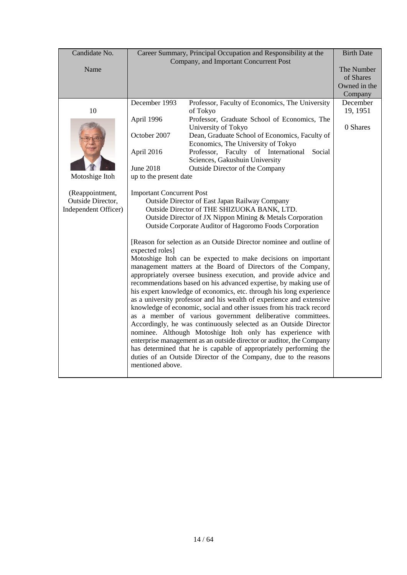| Candidate No.        |                                  | Career Summary, Principal Occupation and Responsibility at the                  | <b>Birth Date</b> |
|----------------------|----------------------------------|---------------------------------------------------------------------------------|-------------------|
|                      |                                  | Company, and Important Concurrent Post                                          |                   |
| Name                 |                                  |                                                                                 | The Number        |
|                      |                                  |                                                                                 | of Shares         |
|                      |                                  |                                                                                 | Owned in the      |
|                      |                                  |                                                                                 | Company           |
|                      | December 1993                    | Professor, Faculty of Economics, The University                                 | December          |
| 10                   |                                  | of Tokyo                                                                        | 19, 1951          |
|                      | April 1996                       | Professor, Graduate School of Economics, The                                    |                   |
|                      |                                  | University of Tokyo                                                             | 0 Shares          |
|                      | October 2007                     | Dean, Graduate School of Economics, Faculty of                                  |                   |
|                      |                                  | Economics, The University of Tokyo                                              |                   |
|                      | April 2016                       | Professor, Faculty of International<br>Social<br>Sciences, Gakushuin University |                   |
|                      | <b>June 2018</b>                 | Outside Director of the Company                                                 |                   |
| Motoshige Itoh       | up to the present date           |                                                                                 |                   |
|                      |                                  |                                                                                 |                   |
| (Reappointment,      | <b>Important Concurrent Post</b> |                                                                                 |                   |
| Outside Director,    |                                  | Outside Director of East Japan Railway Company                                  |                   |
| Independent Officer) |                                  | Outside Director of THE SHIZUOKA BANK, LTD.                                     |                   |
|                      |                                  | Outside Director of JX Nippon Mining & Metals Corporation                       |                   |
|                      |                                  | Outside Corporate Auditor of Hagoromo Foods Corporation                         |                   |
|                      |                                  |                                                                                 |                   |
|                      |                                  | [Reason for selection as an Outside Director nominee and outline of             |                   |
|                      | expected roles]                  |                                                                                 |                   |
|                      |                                  | Motoshige Itoh can be expected to make decisions on important                   |                   |
|                      |                                  | management matters at the Board of Directors of the Company,                    |                   |
|                      |                                  | appropriately oversee business execution, and provide advice and                |                   |
|                      |                                  | recommendations based on his advanced expertise, by making use of               |                   |
|                      |                                  | his expert knowledge of economics, etc. through his long experience             |                   |
|                      |                                  | as a university professor and his wealth of experience and extensive            |                   |
|                      |                                  | knowledge of economic, social and other issues from his track record            |                   |
|                      |                                  | as a member of various government deliberative committees.                      |                   |
|                      |                                  | Accordingly, he was continuously selected as an Outside Director                |                   |
|                      |                                  | nominee. Although Motoshige Itoh only has experience with                       |                   |
|                      |                                  | enterprise management as an outside director or auditor, the Company            |                   |
|                      |                                  | has determined that he is capable of appropriately performing the               |                   |
|                      |                                  | duties of an Outside Director of the Company, due to the reasons                |                   |
|                      | mentioned above.                 |                                                                                 |                   |
|                      |                                  |                                                                                 |                   |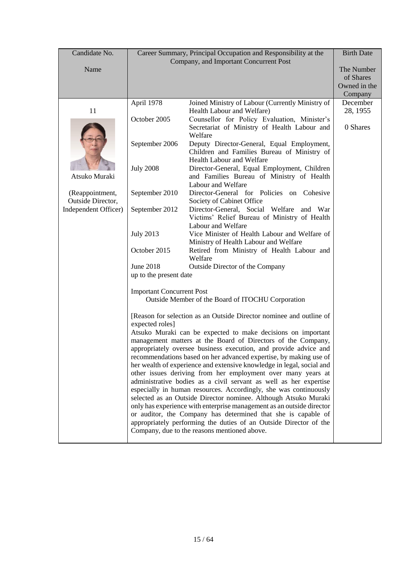| Candidate No.        | Career Summary, Principal Occupation and Responsibility at the        | <b>Birth Date</b>                                                                                                                   |                           |
|----------------------|-----------------------------------------------------------------------|-------------------------------------------------------------------------------------------------------------------------------------|---------------------------|
|                      | Company, and Important Concurrent Post                                |                                                                                                                                     |                           |
| Name                 |                                                                       |                                                                                                                                     | The Number                |
|                      |                                                                       |                                                                                                                                     | of Shares<br>Owned in the |
|                      |                                                                       |                                                                                                                                     | Company                   |
|                      | April 1978                                                            | Joined Ministry of Labour (Currently Ministry of                                                                                    | December                  |
| 11                   |                                                                       | Health Labour and Welfare)                                                                                                          | 28, 1955                  |
|                      | October 2005                                                          | Counsellor for Policy Evaluation, Minister's                                                                                        |                           |
|                      |                                                                       | Secretariat of Ministry of Health Labour and                                                                                        | 0 Shares                  |
|                      |                                                                       | Welfare                                                                                                                             |                           |
|                      | September 2006                                                        | Deputy Director-General, Equal Employment,                                                                                          |                           |
|                      |                                                                       | Children and Families Bureau of Ministry of                                                                                         |                           |
|                      |                                                                       | Health Labour and Welfare                                                                                                           |                           |
| Atsuko Muraki        | <b>July 2008</b>                                                      | Director-General, Equal Employment, Children                                                                                        |                           |
|                      |                                                                       | and Families Bureau of Ministry of Health<br>Labour and Welfare                                                                     |                           |
| (Reappointment,      | September 2010                                                        | Director-General for Policies on Cohesive                                                                                           |                           |
| Outside Director,    |                                                                       | Society of Cabinet Office                                                                                                           |                           |
| Independent Officer) | September 2012                                                        | Director-General, Social Welfare and War                                                                                            |                           |
|                      |                                                                       | Victims' Relief Bureau of Ministry of Health                                                                                        |                           |
|                      |                                                                       | Labour and Welfare                                                                                                                  |                           |
|                      | <b>July 2013</b>                                                      | Vice Minister of Health Labour and Welfare of                                                                                       |                           |
|                      |                                                                       | Ministry of Health Labour and Welfare                                                                                               |                           |
|                      | October 2015                                                          | Retired from Ministry of Health Labour and<br>Welfare                                                                               |                           |
|                      | <b>June 2018</b>                                                      | Outside Director of the Company                                                                                                     |                           |
|                      | up to the present date                                                |                                                                                                                                     |                           |
|                      | <b>Important Concurrent Post</b>                                      |                                                                                                                                     |                           |
|                      |                                                                       | Outside Member of the Board of ITOCHU Corporation                                                                                   |                           |
|                      |                                                                       |                                                                                                                                     |                           |
|                      | expected roles]                                                       | [Reason for selection as an Outside Director nominee and outline of                                                                 |                           |
|                      |                                                                       | Atsuko Muraki can be expected to make decisions on important                                                                        |                           |
|                      |                                                                       | management matters at the Board of Directors of the Company,                                                                        |                           |
|                      | appropriately oversee business execution, and provide advice and      |                                                                                                                                     |                           |
|                      |                                                                       | recommendations based on her advanced expertise, by making use of                                                                   |                           |
|                      | her wealth of experience and extensive knowledge in legal, social and |                                                                                                                                     |                           |
|                      |                                                                       | other issues deriving from her employment over many years at                                                                        |                           |
|                      |                                                                       | administrative bodies as a civil servant as well as her expertise                                                                   |                           |
|                      |                                                                       | especially in human resources. Accordingly, she was continuously<br>selected as an Outside Director nominee. Although Atsuko Muraki |                           |
|                      |                                                                       | only has experience with enterprise management as an outside director                                                               |                           |
|                      |                                                                       | or auditor, the Company has determined that she is capable of                                                                       |                           |
|                      |                                                                       | appropriately performing the duties of an Outside Director of the                                                                   |                           |
|                      |                                                                       | Company, due to the reasons mentioned above.                                                                                        |                           |
|                      |                                                                       |                                                                                                                                     |                           |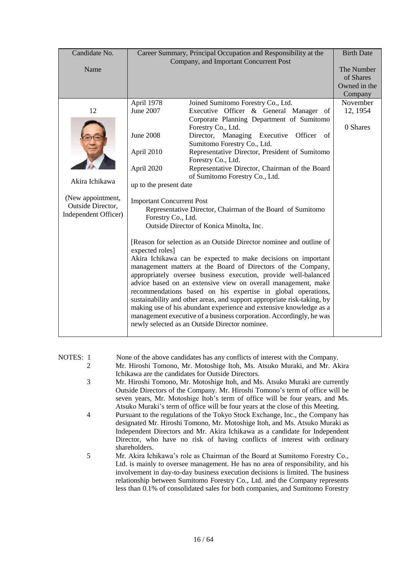| Candidate No.        | Career Summary, Principal Occupation and Responsibility at the | <b>Birth Date</b>                                                       |                         |
|----------------------|----------------------------------------------------------------|-------------------------------------------------------------------------|-------------------------|
|                      | Company, and Important Concurrent Post                         |                                                                         |                         |
| Name                 |                                                                |                                                                         | The Number<br>of Shares |
|                      |                                                                |                                                                         | Owned in the            |
|                      |                                                                |                                                                         | Company                 |
|                      | April 1978                                                     | Joined Sumitomo Forestry Co., Ltd.                                      | November                |
| 12                   | June 2007                                                      | Executive Officer & General Manager of                                  | 12, 1954                |
|                      |                                                                | Corporate Planning Department of Sumitomo                               |                         |
|                      |                                                                | Forestry Co., Ltd.                                                      | 0 Shares                |
|                      | <b>June 2008</b>                                               | Director, Managing Executive<br>Officer of                              |                         |
|                      |                                                                | Sumitomo Forestry Co., Ltd.                                             |                         |
|                      | April 2010                                                     | Representative Director, President of Sumitomo                          |                         |
|                      |                                                                | Forestry Co., Ltd.                                                      |                         |
|                      | April 2020                                                     | Representative Director, Chairman of the Board                          |                         |
| Akira Ichikawa       |                                                                | of Sumitomo Forestry Co., Ltd.                                          |                         |
|                      | up to the present date                                         |                                                                         |                         |
| (New appointment,    | <b>Important Concurrent Post</b>                               |                                                                         |                         |
| Outside Director,    |                                                                | Representative Director, Chairman of the Board of Sumitomo              |                         |
| Independent Officer) | Forestry Co., Ltd.                                             |                                                                         |                         |
|                      |                                                                | Outside Director of Konica Minolta, Inc.                                |                         |
|                      |                                                                |                                                                         |                         |
|                      |                                                                | [Reason for selection as an Outside Director nominee and outline of     |                         |
|                      | expected roles]                                                |                                                                         |                         |
|                      |                                                                | Akira Ichikawa can be expected to make decisions on important           |                         |
|                      |                                                                | management matters at the Board of Directors of the Company,            |                         |
|                      |                                                                | appropriately oversee business execution, provide well-balanced         |                         |
|                      |                                                                | advice based on an extensive view on overall management, make           |                         |
|                      |                                                                | recommendations based on his expertise in global operations,            |                         |
|                      |                                                                | sustainability and other areas, and support appropriate risk-taking, by |                         |
|                      |                                                                | making use of his abundant experience and extensive knowledge as a      |                         |
|                      |                                                                | management executive of a business corporation. Accordingly, he was     |                         |
|                      |                                                                | newly selected as an Outside Director nominee.                          |                         |
|                      |                                                                |                                                                         |                         |

### NOTES: 1 None of the above candidates has any conflicts of interest with the Company. 2 Mr. Hiroshi Tomono, Mr. Motoshige Itoh, Ms. Atsuko Muraki, and Mr. Akira Ichikawa are the candidates for Outside Directors.

- 3 Mr. Hiroshi Tomono, Mr. Motoshige Itoh, and Ms. Atsuko Muraki are currently Outside Directors of the Company. Mr. Hiroshi Tomono's term of office will be seven years, Mr. Motoshige Itoh's term of office will be four years, and Ms. Atsuko Muraki's term of office will be four years at the close of this Meeting.
- 4 Pursuant to the regulations of the Tokyo Stock Exchange, Inc., the Company has designated Mr. Hiroshi Tomono, Mr. Motoshige Itoh, and Ms. Atsuko Muraki as Independent Directors and Mr. Akira Ichikawa as a candidate for Independent Director, who have no risk of having conflicts of interest with ordinary shareholders.
- 5 Mr. Akira Ichikawa's role as Chairman of the Board at Sumitomo Forestry Co., Ltd. is mainly to oversee management. He has no area of responsibility, and his involvement in day-to-day business execution decisions is limited. The business relationship between Sumitomo Forestry Co., Ltd. and the Company represents less than 0.1% of consolidated sales for both companies, and Sumitomo Forestry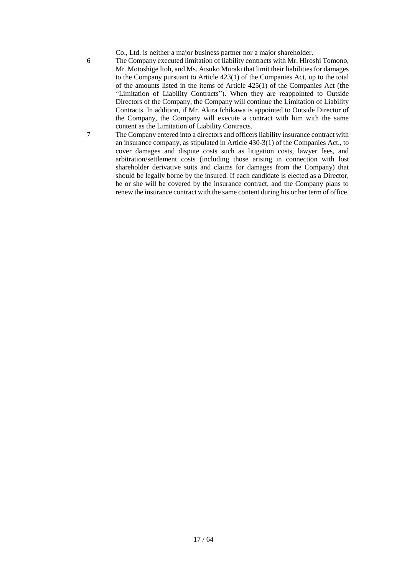Co., Ltd. is neither a major business partner nor a major shareholder.

- 6 The Company executed limitation of liability contracts with Mr. Hiroshi Tomono, Mr. Motoshige Itoh, and Ms. Atsuko Muraki that limit their liabilities for damages to the Company pursuant to Article 423(1) of the Companies Act, up to the total of the amounts listed in the items of Article 425(1) of the Companies Act (the "Limitation of Liability Contracts"). When they are reappointed to Outside Directors of the Company, the Company will continue the Limitation of Liability Contracts. In addition, if Mr. Akira Ichikawa is appointed to Outside Director of the Company, the Company will execute a contract with him with the same content as the Limitation of Liability Contracts.
- 7 The Company entered into a directors and officers liability insurance contract with an insurance company, as stipulated in Article 430-3(1) of the Companies Act., to cover damages and dispute costs such as litigation costs, lawyer fees, and arbitration/settlement costs (including those arising in connection with lost shareholder derivative suits and claims for damages from the Company) that should be legally borne by the insured. If each candidate is elected as a Director, he or she will be covered by the insurance contract, and the Company plans to renew the insurance contract with the same content during his or her term of office.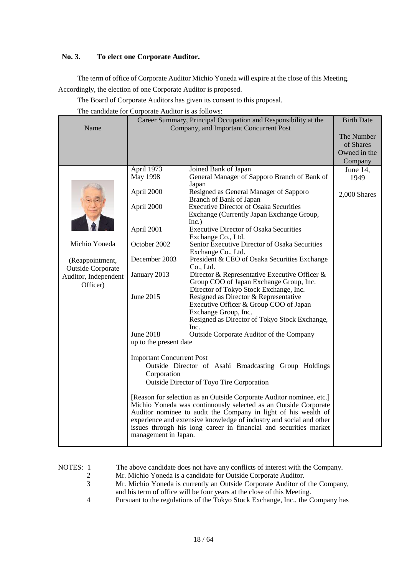# **No. 3. To elect one Corporate Auditor.**

The term of office of Corporate Auditor Michio Yoneda will expire at the close of this Meeting. Accordingly, the election of one Corporate Auditor is proposed.

The Board of Corporate Auditors has given its consent to this proposal.

The candidate for Corporate Auditor is as follows:

|                          |                                                                      | Career Summary, Principal Occupation and Responsibility at the      | <b>Birth Date</b> |  |
|--------------------------|----------------------------------------------------------------------|---------------------------------------------------------------------|-------------------|--|
| Name                     | Company, and Important Concurrent Post                               |                                                                     |                   |  |
|                          |                                                                      | The Number                                                          |                   |  |
|                          |                                                                      |                                                                     | of Shares         |  |
|                          |                                                                      |                                                                     | Owned in the      |  |
|                          |                                                                      |                                                                     | Company           |  |
|                          | April 1973                                                           | Joined Bank of Japan                                                | June 14,          |  |
|                          | May 1998                                                             | General Manager of Sapporo Branch of Bank of                        | 1949              |  |
|                          |                                                                      | Japan                                                               |                   |  |
|                          | April 2000                                                           | Resigned as General Manager of Sapporo<br>Branch of Bank of Japan   | 2,000 Shares      |  |
|                          | April 2000                                                           | <b>Executive Director of Osaka Securities</b>                       |                   |  |
|                          |                                                                      | Exchange (Currently Japan Exchange Group,                           |                   |  |
|                          |                                                                      | Inc.)                                                               |                   |  |
|                          | April 2001                                                           | <b>Executive Director of Osaka Securities</b>                       |                   |  |
|                          |                                                                      | Exchange Co., Ltd.                                                  |                   |  |
| Michio Yoneda            | October 2002                                                         | Senior Executive Director of Osaka Securities                       |                   |  |
|                          |                                                                      | Exchange Co., Ltd.                                                  |                   |  |
| (Reappointment,          | December 2003                                                        | President & CEO of Osaka Securities Exchange                        |                   |  |
| <b>Outside Corporate</b> | January 2013                                                         | Co., Ltd.<br>Director & Representative Executive Officer &          |                   |  |
| Auditor, Independent     |                                                                      | Group COO of Japan Exchange Group, Inc.                             |                   |  |
| Officer)                 |                                                                      | Director of Tokyo Stock Exchange, Inc.                              |                   |  |
|                          | June 2015                                                            | Resigned as Director & Representative                               |                   |  |
|                          |                                                                      | Executive Officer & Group COO of Japan                              |                   |  |
|                          |                                                                      | Exchange Group, Inc.                                                |                   |  |
|                          |                                                                      | Resigned as Director of Tokyo Stock Exchange,                       |                   |  |
|                          |                                                                      | Inc.                                                                |                   |  |
|                          | <b>June 2018</b>                                                     | Outside Corporate Auditor of the Company                            |                   |  |
|                          | up to the present date                                               |                                                                     |                   |  |
|                          | <b>Important Concurrent Post</b>                                     |                                                                     |                   |  |
|                          |                                                                      | Outside Director of Asahi Broadcasting Group Holdings               |                   |  |
|                          | Corporation                                                          |                                                                     |                   |  |
|                          |                                                                      | Outside Director of Toyo Tire Corporation                           |                   |  |
|                          |                                                                      |                                                                     |                   |  |
|                          | [Reason for selection as an Outside Corporate Auditor nominee, etc.] |                                                                     |                   |  |
|                          | Michio Yoneda was continuously selected as an Outside Corporate      |                                                                     |                   |  |
|                          |                                                                      | Auditor nominee to audit the Company in light of his wealth of      |                   |  |
|                          |                                                                      | experience and extensive knowledge of industry and social and other |                   |  |
|                          | management in Japan.                                                 | issues through his long career in financial and securities market   |                   |  |
|                          |                                                                      |                                                                     |                   |  |

NOTES: 1 The above candidate does not have any conflicts of interest with the Company.<br>2 Mr. Michio Yoneda is a candidate for Outside Corporate Auditor.

- 2 Mr. Michio Yoneda is a candidate for Outside Corporate Auditor.<br>3 Mr. Michio Yoneda is currently an Outside Corporate Auditor of
- Mr. Michio Yoneda is currently an Outside Corporate Auditor of the Company, and his term of office will be four years at the close of this Meeting.
- 4 Pursuant to the regulations of the Tokyo Stock Exchange, Inc., the Company has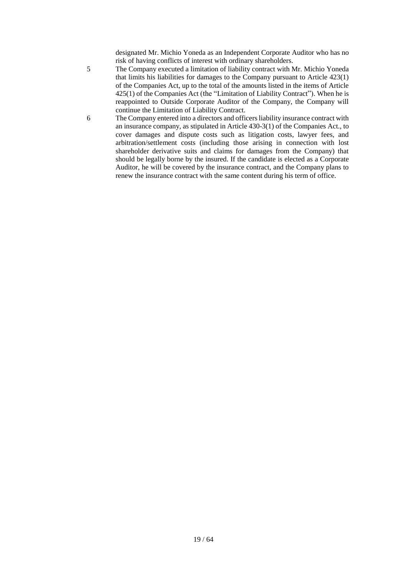designated Mr. Michio Yoneda as an Independent Corporate Auditor who has no risk of having conflicts of interest with ordinary shareholders.

- 5 The Company executed a limitation of liability contract with Mr. Michio Yoneda that limits his liabilities for damages to the Company pursuant to Article 423(1) of the Companies Act, up to the total of the amounts listed in the items of Article 425(1) of the Companies Act (the "Limitation of Liability Contract"). When he is reappointed to Outside Corporate Auditor of the Company, the Company will continue the Limitation of Liability Contract.
- 6 The Company entered into a directors and officers liability insurance contract with an insurance company, as stipulated in Article 430-3(1) of the Companies Act., to cover damages and dispute costs such as litigation costs, lawyer fees, and arbitration/settlement costs (including those arising in connection with lost shareholder derivative suits and claims for damages from the Company) that should be legally borne by the insured. If the candidate is elected as a Corporate Auditor, he will be covered by the insurance contract, and the Company plans to renew the insurance contract with the same content during his term of office.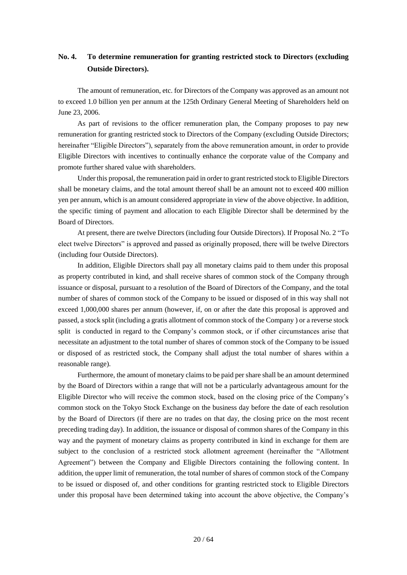# **No. 4. To determine remuneration for granting restricted stock to Directors (excluding Outside Directors).**

The amount of remuneration, etc. for Directors of the Company was approved as an amount not to exceed 1.0 billion yen per annum at the 125th Ordinary General Meeting of Shareholders held on June 23, 2006.

As part of revisions to the officer remuneration plan, the Company proposes to pay new remuneration for granting restricted stock to Directors of the Company (excluding Outside Directors; hereinafter "Eligible Directors"), separately from the above remuneration amount, in order to provide Eligible Directors with incentives to continually enhance the corporate value of the Company and promote further shared value with shareholders.

Under this proposal, the remuneration paid in order to grant restricted stock to Eligible Directors shall be monetary claims, and the total amount thereof shall be an amount not to exceed 400 million yen per annum, which is an amount considered appropriate in view of the above objective. In addition, the specific timing of payment and allocation to each Eligible Director shall be determined by the Board of Directors.

At present, there are twelve Directors (including four Outside Directors). If Proposal No. 2 "To elect twelve Directors" is approved and passed as originally proposed, there will be twelve Directors (including four Outside Directors).

In addition, Eligible Directors shall pay all monetary claims paid to them under this proposal as property contributed in kind, and shall receive shares of common stock of the Company through issuance or disposal, pursuant to a resolution of the Board of Directors of the Company, and the total number of shares of common stock of the Company to be issued or disposed of in this way shall not exceed 1,000,000 shares per annum (however, if, on or after the date this proposal is approved and passed, a stock split (including a gratis allotment of common stock of the Company ) or a reverse stock split is conducted in regard to the Company's common stock, or if other circumstances arise that necessitate an adjustment to the total number of shares of common stock of the Company to be issued or disposed of as restricted stock, the Company shall adjust the total number of shares within a reasonable range).

Furthermore, the amount of monetary claims to be paid per share shall be an amount determined by the Board of Directors within a range that will not be a particularly advantageous amount for the Eligible Director who will receive the common stock, based on the closing price of the Company's common stock on the Tokyo Stock Exchange on the business day before the date of each resolution by the Board of Directors (if there are no trades on that day, the closing price on the most recent preceding trading day). In addition, the issuance or disposal of common shares of the Company in this way and the payment of monetary claims as property contributed in kind in exchange for them are subject to the conclusion of a restricted stock allotment agreement (hereinafter the "Allotment Agreement") between the Company and Eligible Directors containing the following content. In addition, the upper limit of remuneration, the total number of shares of common stock of the Company to be issued or disposed of, and other conditions for granting restricted stock to Eligible Directors under this proposal have been determined taking into account the above objective, the Company's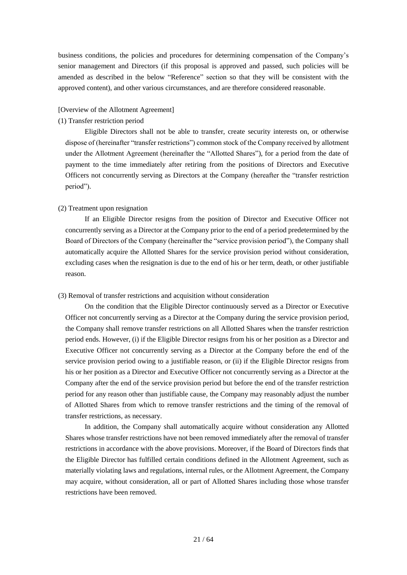business conditions, the policies and procedures for determining compensation of the Company's senior management and Directors (if this proposal is approved and passed, such policies will be amended as described in the below "Reference" section so that they will be consistent with the approved content), and other various circumstances, and are therefore considered reasonable.

### [Overview of the Allotment Agreement]

### (1) Transfer restriction period

Eligible Directors shall not be able to transfer, create security interests on, or otherwise dispose of (hereinafter "transfer restrictions") common stock of the Company received by allotment under the Allotment Agreement (hereinafter the "Allotted Shares"), for a period from the date of payment to the time immediately after retiring from the positions of Directors and Executive Officers not concurrently serving as Directors at the Company (hereafter the "transfer restriction period").

# (2) Treatment upon resignation

If an Eligible Director resigns from the position of Director and Executive Officer not concurrently serving as a Director at the Company prior to the end of a period predetermined by the Board of Directors of the Company (hereinafter the "service provision period"), the Company shall automatically acquire the Allotted Shares for the service provision period without consideration, excluding cases when the resignation is due to the end of his or her term, death, or other justifiable reason.

### (3) Removal of transfer restrictions and acquisition without consideration

On the condition that the Eligible Director continuously served as a Director or Executive Officer not concurrently serving as a Director at the Company during the service provision period, the Company shall remove transfer restrictions on all Allotted Shares when the transfer restriction period ends. However, (i) if the Eligible Director resigns from his or her position as a Director and Executive Officer not concurrently serving as a Director at the Company before the end of the service provision period owing to a justifiable reason, or (ii) if the Eligible Director resigns from his or her position as a Director and Executive Officer not concurrently serving as a Director at the Company after the end of the service provision period but before the end of the transfer restriction period for any reason other than justifiable cause, the Company may reasonably adjust the number of Allotted Shares from which to remove transfer restrictions and the timing of the removal of transfer restrictions, as necessary.

In addition, the Company shall automatically acquire without consideration any Allotted Shares whose transfer restrictions have not been removed immediately after the removal of transfer restrictions in accordance with the above provisions. Moreover, if the Board of Directors finds that the Eligible Director has fulfilled certain conditions defined in the Allotment Agreement, such as materially violating laws and regulations, internal rules, or the Allotment Agreement, the Company may acquire, without consideration, all or part of Allotted Shares including those whose transfer restrictions have been removed.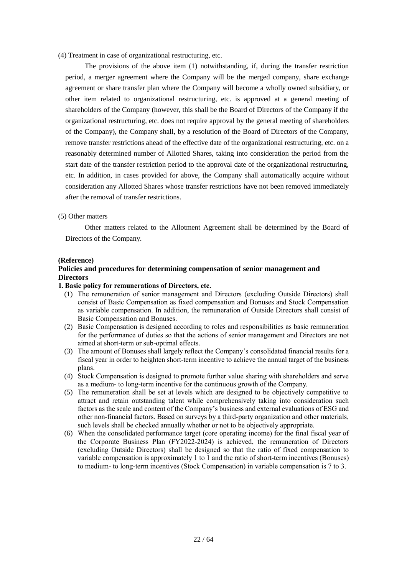(4) Treatment in case of organizational restructuring, etc.

The provisions of the above item (1) notwithstanding, if, during the transfer restriction period, a merger agreement where the Company will be the merged company, share exchange agreement or share transfer plan where the Company will become a wholly owned subsidiary, or other item related to organizational restructuring, etc. is approved at a general meeting of shareholders of the Company (however, this shall be the Board of Directors of the Company if the organizational restructuring, etc. does not require approval by the general meeting of shareholders of the Company), the Company shall, by a resolution of the Board of Directors of the Company, remove transfer restrictions ahead of the effective date of the organizational restructuring, etc. on a reasonably determined number of Allotted Shares, taking into consideration the period from the start date of the transfer restriction period to the approval date of the organizational restructuring, etc. In addition, in cases provided for above, the Company shall automatically acquire without consideration any Allotted Shares whose transfer restrictions have not been removed immediately after the removal of transfer restrictions.

(5) Other matters

Other matters related to the Allotment Agreement shall be determined by the Board of Directors of the Company.

#### **(Reference)**

# **Policies and procedures for determining compensation of senior management and Directors**

#### **1. Basic policy for remunerations of Directors, etc.**

- (1) The remuneration of senior management and Directors (excluding Outside Directors) shall consist of Basic Compensation as fixed compensation and Bonuses and Stock Compensation as variable compensation. In addition, the remuneration of Outside Directors shall consist of Basic Compensation and Bonuses.
- (2) Basic Compensation is designed according to roles and responsibilities as basic remuneration for the performance of duties so that the actions of senior management and Directors are not aimed at short-term or sub-optimal effects.
- (3) The amount of Bonuses shall largely reflect the Company's consolidated financial results for a fiscal year in order to heighten short-term incentive to achieve the annual target of the business plans.
- (4) Stock Compensation is designed to promote further value sharing with shareholders and serve as a medium- to long-term incentive for the continuous growth of the Company.
- (5) The remuneration shall be set at levels which are designed to be objectively competitive to attract and retain outstanding talent while comprehensively taking into consideration such factors as the scale and content of the Company's business and external evaluations of ESG and other non-financial factors. Based on surveys by a third-party organization and other materials, such levels shall be checked annually whether or not to be objectively appropriate.
- (6) When the consolidated performance target (core operating income) for the final fiscal year of the Corporate Business Plan (FY2022-2024) is achieved, the remuneration of Directors (excluding Outside Directors) shall be designed so that the ratio of fixed compensation to variable compensation is approximately 1 to 1 and the ratio of short-term incentives (Bonuses) to medium- to long-term incentives (Stock Compensation) in variable compensation is 7 to 3.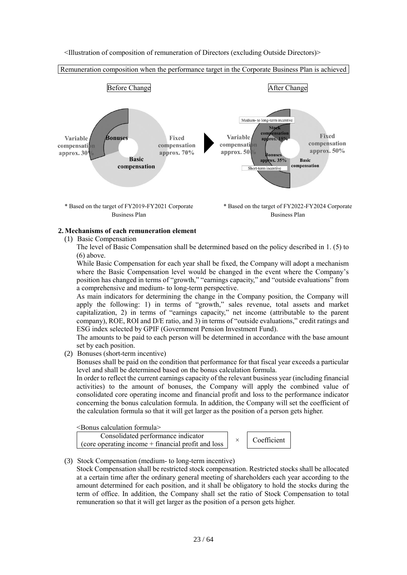<Illustration of composition of remuneration of Directors (excluding Outside Directors)>



#### **2. Mechanisms of each remuneration element**

(1) Basic Compensation

The level of Basic Compensation shall be determined based on the policy described in 1. (5) to  $(6)$  above.

While Basic Compensation for each year shall be fixed, the Company will adopt a mechanism where the Basic Compensation level would be changed in the event where the Company's position has changed in terms of "growth," "earnings capacity," and "outside evaluations" from a comprehensive and medium- to long-term perspective.

As main indicators for determining the change in the Company position, the Company will apply the following: 1) in terms of "growth," sales revenue, total assets and market capitalization, 2) in terms of "earnings capacity," net income (attributable to the parent company), ROE, ROI and D/E ratio, and 3) in terms of "outside evaluations," credit ratings and ESG index selected by GPIF (Government Pension Investment Fund).

The amounts to be paid to each person will be determined in accordance with the base amount set by each position.

(2) Bonuses (short-term incentive)

Bonuses shall be paid on the condition that performance for that fiscal year exceeds a particular level and shall be determined based on the bonus calculation formula.

In order to reflect the current earnings capacity of the relevant business year (including financial activities) to the amount of bonuses, the Company will apply the combined value of consolidated core operating income and financial profit and loss to the performance indicator concerning the bonus calculation formula. In addition, the Company will set the coefficient of the calculation formula so that it will get larger as the position of a person gets higher.

<Bonus calculation formula>

Consolidated performance indicator  $\left\{\begin{array}{c} \text{cosonance performance interaction} \\ \text{(core operating income + financial profit and loss)} \end{array}\right\} \times \left\{\begin{array}{c} \text{Coefficient} \\ \text{Coefficient} \end{array}\right\}$ 

(3) Stock Compensation (medium- to long-term incentive)

Stock Compensation shall be restricted stock compensation. Restricted stocks shall be allocated at a certain time after the ordinary general meeting of shareholders each year according to the amount determined for each position, and it shall be obligatory to hold the stocks during the term of office. In addition, the Company shall set the ratio of Stock Compensation to total remuneration so that it will get larger as the position of a person gets higher.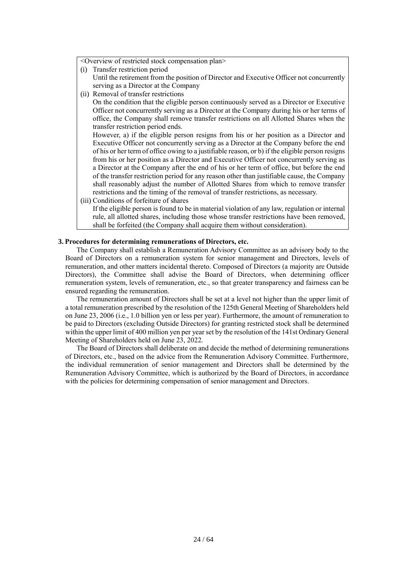<Overview of restricted stock compensation plan>

- (i) Transfer restriction period Until the retirement from the position of Director and Executive Officer not concurrently serving as a Director at the Company
- (ii) Removal of transfer restrictions

On the condition that the eligible person continuously served as a Director or Executive Officer not concurrently serving as a Director at the Company during his or her terms of office, the Company shall remove transfer restrictions on all Allotted Shares when the transfer restriction period ends.

However, a) if the eligible person resigns from his or her position as a Director and Executive Officer not concurrently serving as a Director at the Company before the end of his or her term of office owing to a justifiable reason, or b) if the eligible person resigns from his or her position as a Director and Executive Officer not concurrently serving as a Director at the Company after the end of his or her term of office, but before the end of the transfer restriction period for any reason other than justifiable cause, the Company shall reasonably adjust the number of Allotted Shares from which to remove transfer restrictions and the timing of the removal of transfer restrictions, as necessary.

(iii) Conditions of forfeiture of shares

If the eligible person is found to be in material violation of any law, regulation or internal rule, all allotted shares, including those whose transfer restrictions have been removed, shall be forfeited (the Company shall acquire them without consideration).

### **3. Procedures for determining remunerations of Directors, etc.**

The Company shall establish a Remuneration Advisory Committee as an advisory body to the Board of Directors on a remuneration system for senior management and Directors, levels of remuneration, and other matters incidental thereto. Composed of Directors (a majority are Outside Directors), the Committee shall advise the Board of Directors, when determining officer remuneration system, levels of remuneration, etc., so that greater transparency and fairness can be ensured regarding the remuneration.

The remuneration amount of Directors shall be set at a level not higher than the upper limit of a total remuneration prescribed by the resolution of the 125th General Meeting of Shareholders held on June 23, 2006 (i.e., 1.0 billion yen or less per year). Furthermore, the amount of remuneration to be paid to Directors (excluding Outside Directors) for granting restricted stock shall be determined within the upper limit of 400 million yen per year set by the resolution of the 141st Ordinary General Meeting of Shareholders held on June 23, 2022.

The Board of Directors shall deliberate on and decide the method of determining remunerations of Directors, etc., based on the advice from the Remuneration Advisory Committee. Furthermore, the individual remuneration of senior management and Directors shall be determined by the Remuneration Advisory Committee, which is authorized by the Board of Directors, in accordance with the policies for determining compensation of senior management and Directors.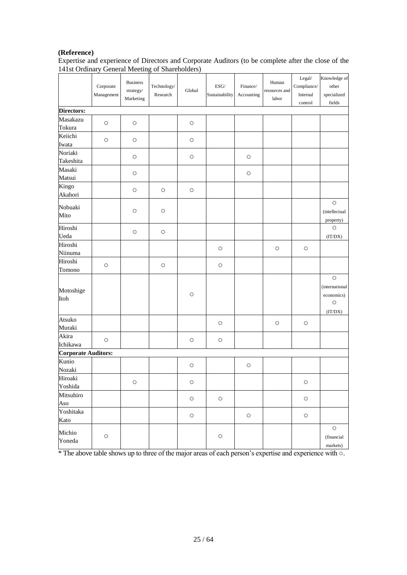# **(Reference)**

| Expertise and experience of Directors and Corporate Auditors (to be complete after the close of the |  |
|-----------------------------------------------------------------------------------------------------|--|
| 141st Ordinary General Meeting of Shareholders)                                                     |  |

|                            | Corporate<br>Management | <b>Business</b><br>$strategy/$<br>Marketing | Technology/<br>Research | Global              | $\mathrm{ESG}/% \mathbb{Z} _{2}$<br>Sustainability | Finance/<br>Accounting | Human<br>resources and<br>labor | $\mathtt{Legal}/$<br>Compliance/<br>Internal<br>control | Knowledge of<br>other<br>specialized<br>fields                |
|----------------------------|-------------------------|---------------------------------------------|-------------------------|---------------------|----------------------------------------------------|------------------------|---------------------------------|---------------------------------------------------------|---------------------------------------------------------------|
| Directors:                 |                         |                                             |                         |                     |                                                    |                        |                                 |                                                         |                                                               |
| Masakazu<br>Tokura         | $\bigcirc$              | $\bigcirc$                                  |                         | $\bigcirc$          |                                                    |                        |                                 |                                                         |                                                               |
| Keiichi<br>Iwata           | O                       | $\bigcirc$                                  |                         | $\circ$             |                                                    |                        |                                 |                                                         |                                                               |
| Noriaki<br>Takeshita       |                         | $\bigcirc$                                  |                         | $\bigcirc$          |                                                    | $\circ$                |                                 |                                                         |                                                               |
| Masaki<br>Matsui           |                         | $\bigcirc$                                  |                         |                     |                                                    | $\bigcirc$             |                                 |                                                         |                                                               |
| Kingo<br>Akahori           |                         | $\bigcirc$                                  | $\circ$                 | $\circ$             |                                                    |                        |                                 |                                                         |                                                               |
| Nobuaki<br>Mito            |                         | $\bigcirc$                                  | $\bigcirc$              |                     |                                                    |                        |                                 |                                                         | $\bigcirc$<br>(intellectual<br>property)                      |
| Hiroshi<br>Ueda            |                         | $\bigcirc$                                  | $\bigcirc$              |                     |                                                    |                        |                                 |                                                         | $\bigcirc$<br>$(\mathrm{IT}/\mathrm{DX})$                     |
| Hiroshi<br>Niinuma         |                         |                                             |                         |                     | О                                                  |                        | $\circ$                         | O                                                       |                                                               |
| Hiroshi<br>Tomono          | $\circ$                 |                                             | $\circ$                 |                     | $\circlearrowright$                                |                        |                                 |                                                         |                                                               |
| Motoshige<br>Itoh          |                         |                                             |                         | $\circ$             |                                                    |                        |                                 |                                                         | $\circ$<br>(international<br>economics)<br>$\circ$<br>(IT/DX) |
| Atsuko<br>Muraki           |                         |                                             |                         |                     | $\bigcirc$                                         |                        | $\circ$                         | $\bigcirc$                                              |                                                               |
| Akira<br>Ichikawa          | $\bigcirc$              |                                             |                         | $\circlearrowright$ | $\circlearrowright$                                |                        |                                 |                                                         |                                                               |
| <b>Corporate Auditors:</b> |                         |                                             |                         |                     |                                                    |                        |                                 |                                                         |                                                               |
| Kunio<br>Nozaki            |                         |                                             |                         | $\bigcirc$          |                                                    | $\bigcirc$             |                                 |                                                         |                                                               |
| Hiroaki<br>Yoshida         |                         | $\bigcirc$                                  |                         | $\bigcirc$          |                                                    |                        |                                 | $\bigcirc$                                              |                                                               |
| Mitsuhiro<br>Aso           |                         |                                             |                         | $\bigcirc$          | $\bigcirc$                                         |                        |                                 | $\bigcirc$                                              |                                                               |
| Yoshitaka<br>Kato          |                         |                                             |                         | $\bigcirc$          |                                                    | $\bigcirc$             |                                 | $\bigcirc$                                              |                                                               |
| Michio<br>Yoneda           | $\bigcirc$              |                                             |                         |                     | $\bigcirc$                                         |                        |                                 |                                                         | $\bigcirc$<br>(financial<br>markets)                          |

\* The above table shows up to three of the major areas of each person's expertise and experience with ○.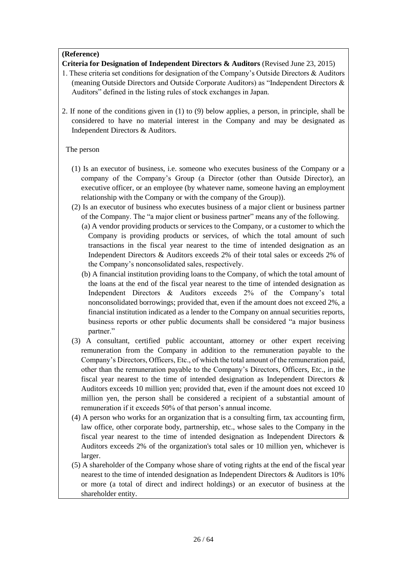# **(Reference)**

**Criteria for Designation of Independent Directors & Auditors** (Revised June 23, 2015)

- 1. These criteria set conditions for designation of the Company's Outside Directors & Auditors (meaning Outside Directors and Outside Corporate Auditors) as "Independent Directors & Auditors" defined in the listing rules of stock exchanges in Japan.
- 2. If none of the conditions given in (1) to (9) below applies, a person, in principle, shall be considered to have no material interest in the Company and may be designated as Independent Directors & Auditors.

# The person

- (1) Is an executor of business, i.e. someone who executes business of the Company or a company of the Company's Group (a Director (other than Outside Director), an executive officer, or an employee (by whatever name, someone having an employment relationship with the Company or with the company of the Group)).
- (2) Is an executor of business who executes business of a major client or business partner of the Company. The "a major client or business partner" means any of the following.
	- (a) A vendor providing products or services to the Company, or a customer to which the Company is providing products or services, of which the total amount of such transactions in the fiscal year nearest to the time of intended designation as an Independent Directors & Auditors exceeds 2% of their total sales or exceeds 2% of the Company's nonconsolidated sales, respectively.
	- (b) A financial institution providing loans to the Company, of which the total amount of the loans at the end of the fiscal year nearest to the time of intended designation as Independent Directors & Auditors exceeds 2% of the Company's total nonconsolidated borrowings; provided that, even if the amount does not exceed 2%, a financial institution indicated as a lender to the Company on annual securities reports, business reports or other public documents shall be considered "a major business partner."
- (3) A consultant, certified public accountant, attorney or other expert receiving remuneration from the Company in addition to the remuneration payable to the Company's Directors, Officers, Etc., of which the total amount of the remuneration paid, other than the remuneration payable to the Company's Directors, Officers, Etc., in the fiscal year nearest to the time of intended designation as Independent Directors  $\&$ Auditors exceeds 10 million yen; provided that, even if the amount does not exceed 10 million yen, the person shall be considered a recipient of a substantial amount of remuneration if it exceeds 50% of that person's annual income.
- (4) A person who works for an organization that is a consulting firm, tax accounting firm, law office, other corporate body, partnership, etc., whose sales to the Company in the fiscal year nearest to the time of intended designation as Independent Directors & Auditors exceeds 2% of the organization's total sales or 10 million yen, whichever is larger.
- (5) A shareholder of the Company whose share of voting rights at the end of the fiscal year nearest to the time of intended designation as Independent Directors & Auditors is 10% or more (a total of direct and indirect holdings) or an executor of business at the shareholder entity.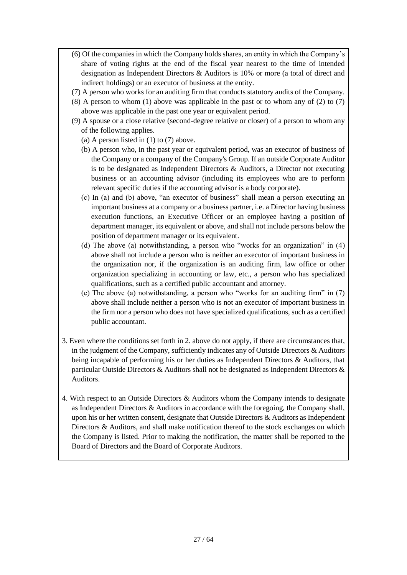- (6) Of the companies in which the Company holds shares, an entity in which the Company's share of voting rights at the end of the fiscal year nearest to the time of intended designation as Independent Directors & Auditors is 10% or more (a total of direct and indirect holdings) or an executor of business at the entity.
- (7) A person who works for an auditing firm that conducts statutory audits of the Company.
- (8) A person to whom (1) above was applicable in the past or to whom any of (2) to (7) above was applicable in the past one year or equivalent period.
- (9) A spouse or a close relative (second-degree relative or closer) of a person to whom any of the following applies.
	- (a) A person listed in  $(1)$  to  $(7)$  above.
	- (b) A person who, in the past year or equivalent period, was an executor of business of the Company or a company of the Company's Group. If an outside Corporate Auditor is to be designated as Independent Directors & Auditors, a Director not executing business or an accounting advisor (including its employees who are to perform relevant specific duties if the accounting advisor is a body corporate).
	- (c) In (a) and (b) above, "an executor of business" shall mean a person executing an important business at a company or a business partner, i.e. a Director having business execution functions, an Executive Officer or an employee having a position of department manager, its equivalent or above, and shall not include persons below the position of department manager or its equivalent.
	- (d) The above (a) notwithstanding, a person who "works for an organization" in (4) above shall not include a person who is neither an executor of important business in the organization nor, if the organization is an auditing firm, law office or other organization specializing in accounting or law, etc., a person who has specialized qualifications, such as a certified public accountant and attorney.
	- (e) The above (a) notwithstanding, a person who "works for an auditing firm" in (7) above shall include neither a person who is not an executor of important business in the firm nor a person who does not have specialized qualifications, such as a certified public accountant.
- 3. Even where the conditions set forth in 2. above do not apply, if there are circumstances that, in the judgment of the Company, sufficiently indicates any of Outside Directors & Auditors being incapable of performing his or her duties as Independent Directors & Auditors, that particular Outside Directors & Auditors shall not be designated as Independent Directors & Auditors.
- 4. With respect to an Outside Directors & Auditors whom the Company intends to designate as Independent Directors & Auditors in accordance with the foregoing, the Company shall, upon his or her written consent, designate that Outside Directors & Auditors as Independent Directors & Auditors, and shall make notification thereof to the stock exchanges on which the Company is listed. Prior to making the notification, the matter shall be reported to the Board of Directors and the Board of Corporate Auditors.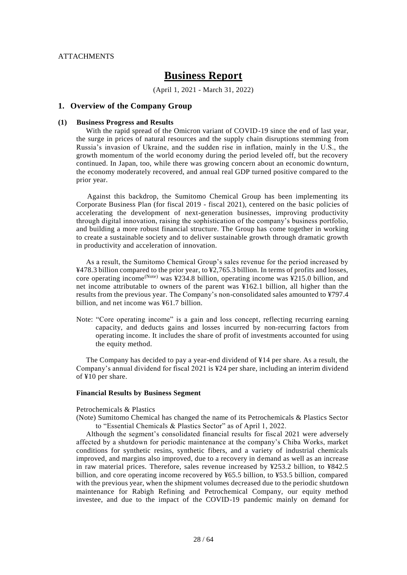# **ATTACHMENTS**

# **Business Report**

(April 1, 2021 - March 31, 2022)

### **1. Overview of the Company Group**

#### **(1) Business Progress and Results**

With the rapid spread of the Omicron variant of COVID-19 since the end of last year, the surge in prices of natural resources and the supply chain disruptions stemming from Russia's invasion of Ukraine, and the sudden rise in inflation, mainly in the U.S., the growth momentum of the world economy during the period leveled off, but the recovery continued. In Japan, too, while there was growing concern about an economic downturn, the economy moderately recovered, and annual real GDP turned positive compared to the prior year.

Against this backdrop, the Sumitomo Chemical Group has been implementing its Corporate Business Plan (for fiscal 2019 - fiscal 2021), centered on the basic policies of accelerating the development of next-generation businesses, improving productivity through digital innovation, raising the sophistication of the company's business portfolio, and building a more robust financial structure. The Group has come together in working to create a sustainable society and to deliver sustainable growth through dramatic growth in productivity and acceleration of innovation.

As a result, the Sumitomo Chemical Group's sales revenue for the period increased by ¥478.3 billion compared to the prior year, to ¥2,765.3 billion. In terms of profits and losses, core operating income(Note) was ¥234.8 billion, operating income was ¥215.0 billion, and net income attributable to owners of the parent was ¥162.1 billion, all higher than the results from the previous year. The Company's non-consolidated sales amounted to ¥797.4 billion, and net income was ¥61.7 billion.

Note: "Core operating income" is a gain and loss concept, reflecting recurring earning capacity, and deducts gains and losses incurred by non-recurring factors from operating income. It includes the share of profit of investments accounted for using the equity method.

The Company has decided to pay a year-end dividend of ¥14 per share. As a result, the Company's annual dividend for fiscal 2021 is ¥24 per share, including an interim dividend of ¥10 per share.

#### **Financial Results by Business Segment**

#### Petrochemicals & Plastics

(Note) Sumitomo Chemical has changed the name of its Petrochemicals & Plastics Sector to "Essential Chemicals & Plastics Sector" as of April 1, 2022.

Although the segment's consolidated financial results for fiscal 2021 were adversely affected by a shutdown for periodic maintenance at the company's Chiba Works, market conditions for synthetic resins, synthetic fibers, and a variety of industrial chemicals improved, and margins also improved, due to a recovery in demand as well as an increase in raw material prices. Therefore, sales revenue increased by ¥253.2 billion, to ¥842.5 billion, and core operating income recovered by ¥65.5 billion, to ¥53.5 billion, compared with the previous year, when the shipment volumes decreased due to the periodic shutdown maintenance for Rabigh Refining and Petrochemical Company, our equity method investee, and due to the impact of the COVID-19 pandemic mainly on demand for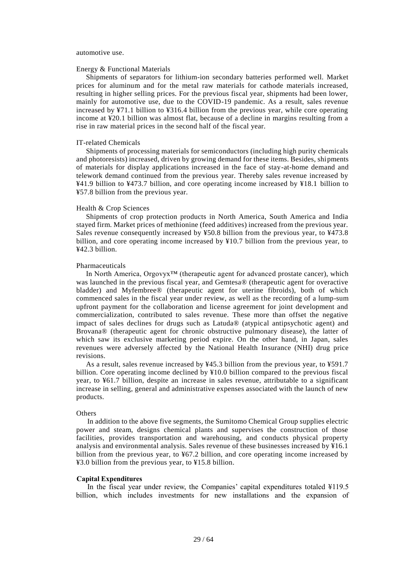#### automotive use.

#### Energy & Functional Materials

Shipments of separators for lithium-ion secondary batteries performed well. Market prices for aluminum and for the metal raw materials for cathode materials increased, resulting in higher selling prices. For the previous fiscal year, shipments had been lower, mainly for automotive use, due to the COVID-19 pandemic. As a result, sales revenue increased by ¥71.1 billion to ¥316.4 billion from the previous year, while core operating income at ¥20.1 billion was almost flat, because of a decline in margins resulting from a rise in raw material prices in the second half of the fiscal year.

#### IT-related Chemicals

Shipments of processing materials for semiconductors (including high purity chemicals and photoresists) increased, driven by growing demand for these items. Besides, shipments of materials for display applications increased in the face of stay-at-home demand and telework demand continued from the previous year. Thereby sales revenue increased by ¥41.9 billion to ¥473.7 billion, and core operating income increased by ¥18.1 billion to ¥57.8 billion from the previous year.

#### Health & Crop Sciences

Shipments of crop protection products in North America, South America and India stayed firm. Market prices of methionine (feed additives) increased from the previous year. Sales revenue consequently increased by ¥50.8 billion from the previous year, to ¥473.8 billion, and core operating income increased by ¥10.7 billion from the previous year, to ¥42.3 billion.

#### Pharmaceuticals

In North America, Orgovyx™ (therapeutic agent for advanced prostate cancer), which was launched in the previous fiscal year, and Gemtesa® (therapeutic agent for overactive bladder) and Myfembree® (therapeutic agent for uterine fibroids), both of which commenced sales in the fiscal year under review, as well as the recording of a lump-sum upfront payment for the collaboration and license agreement for joint development and commercialization, contributed to sales revenue. These more than offset the negative impact of sales declines for drugs such as Latuda® (atypical antipsychotic agent) and Brovana® (therapeutic agent for chronic obstructive pulmonary disease), the latter of which saw its exclusive marketing period expire. On the other hand, in Japan, sales revenues were adversely affected by the National Health Insurance (NHI) drug price revisions.

As a result, sales revenue increased by ¥45.3 billion from the previous year, to ¥591.7 billion. Core operating income declined by ¥10.0 billion compared to the previous fiscal year, to ¥61.7 billion, despite an increase in sales revenue, attributable to a significant increase in selling, general and administrative expenses associated with the launch of new products.

#### **Others**

In addition to the above five segments, the Sumitomo Chemical Group supplies electric power and steam, designs chemical plants and supervises the construction of those facilities, provides transportation and warehousing, and conducts physical property analysis and environmental analysis. Sales revenue of these businesses increased by ¥16.1 billion from the previous year, to ¥67.2 billion, and core operating income increased by ¥3.0 billion from the previous year, to ¥15.8 billion.

#### **Capital Expenditures**

In the fiscal year under review, the Companies' capital expenditures totaled ¥119.5 billion, which includes investments for new installations and the expansion of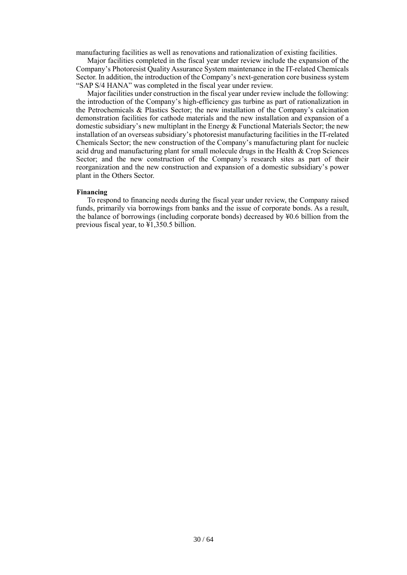manufacturing facilities as well as renovations and rationalization of existing facilities.

Major facilities completed in the fiscal year under review include the expansion of the Company's Photoresist Quality Assurance System maintenance in the IT-related Chemicals Sector. In addition, the introduction of the Company's next-generation core business system "SAP S/4 HANA" was completed in the fiscal year under review.

Major facilities under construction in the fiscal year under review include the following: the introduction of the Company's high-efficiency gas turbine as part of rationalization in the Petrochemicals & Plastics Sector; the new installation of the Company's calcination demonstration facilities for cathode materials and the new installation and expansion of a domestic subsidiary's new multiplant in the Energy  $&$  Functional Materials Sector; the new installation of an overseas subsidiary's photoresist manufacturing facilities in the IT-related Chemicals Sector; the new construction of the Company's manufacturing plant for nucleic acid drug and manufacturing plant for small molecule drugs in the Health & Crop Sciences Sector; and the new construction of the Company's research sites as part of their reorganization and the new construction and expansion of a domestic subsidiary's power plant in the Others Sector.

### **Financing**

To respond to financing needs during the fiscal year under review, the Company raised funds, primarily via borrowings from banks and the issue of corporate bonds. As a result, the balance of borrowings (including corporate bonds) decreased by ¥0.6 billion from the previous fiscal year, to ¥1,350.5 billion.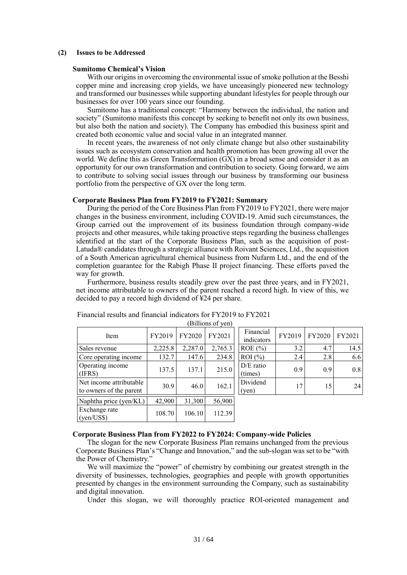### **(2) Issues to be Addressed**

#### **Sumitomo Chemical's Vision**

With our origins in overcoming the environmental issue of smoke pollution at the Besshi copper mine and increasing crop yields, we have unceasingly pioneered new technology and transformed our businesses while supporting abundant lifestyles for people through our businesses for over 100 years since our founding.

Sumitomo has a traditional concept: "Harmony between the individual, the nation and society" (Sumitomo manifests this concept by seeking to benefit not only its own business, but also both the nation and society). The Company has embodied this business spirit and created both economic value and social value in an integrated manner.

In recent years, the awareness of not only climate change but also other sustainability issues such as ecosystem conservation and health promotion has been growing all over the world. We define this as Green Transformation (GX) in a broad sense and consider it as an opportunity for our own transformation and contribution to society. Going forward, we aim to contribute to solving social issues through our business by transforming our business portfolio from the perspective of GX over the long term.

#### **Corporate Business Plan from FY2019 to FY2021: Summary**

During the period of the Core Business Plan from FY2019 to FY2021, there were major changes in the business environment, including COVID-19. Amid such circumstances, the Group carried out the improvement of its business foundation through company-wide projects and other measures, while taking proactive steps regarding the business challenges identified at the start of the Corporate Business Plan, such as the acquisition of post-Latuda® candidates through a strategic alliance with Roivant Sciences, Ltd., the acquisition of a South American agricultural chemical business from Nufarm Ltd., and the end of the completion guarantee for the Rabigh Phase II project financing. These efforts paved the way for growth.

Furthermore, business results steadily grew over the past three years, and in FY2021, net income attributable to owners of the parent reached a record high. In view of this, we decided to pay a record high dividend of ¥24 per share.

|                                                    |         |         | (Billions of yen) |                         |        |        |        |
|----------------------------------------------------|---------|---------|-------------------|-------------------------|--------|--------|--------|
| Item                                               | FY2019  | FY2020  | FY2021            | Financial<br>indicators | FY2019 | FY2020 | FY2021 |
| Sales revenue                                      | 2,225.8 | 2,287.0 | 2,765.3           | $ROE (\% )$             | 3.2    | 4.7    | 14.5   |
| Core operating income                              | 132.7   | 147.6   | 234.8             | ROI (%)                 | 2.4    | 2.8    | 6.6    |
| Operating income<br>(IFRS)                         | 137.5   | 137.1   | 215.0             | $D/E$ ratio<br>(times)  | 0.9    | 0.9    | 0.8    |
| Net income attributable<br>to owners of the parent | 30.9    | 46.0    | 162.1             | Dividend<br>(yen)       | 17     | 15     | 24     |
| Naphtha price (yen/KL)                             | 42,900  | 31,300  | 56,900            |                         |        |        |        |
| Exchange rate<br>(yen/US\$)                        | 108.70  | 106.10  | 112.39            |                         |        |        |        |

Financial results and financial indicators for FY2019 to FY2021

# **Corporate Business Plan from FY2022 to FY2024: Company-wide Policies**

The slogan for the new Corporate Business Plan remains unchanged from the previous Corporate Business Plan's "Change and Innovation," and the sub-slogan was set to be "with the Power of Chemistry."

We will maximize the "power" of chemistry by combining our greatest strength in the diversity of businesses, technologies, geographies and people with growth opportunities presented by changes in the environment surrounding the Company, such as sustainability and digital innovation.

Under this slogan, we will thoroughly practice ROI-oriented management and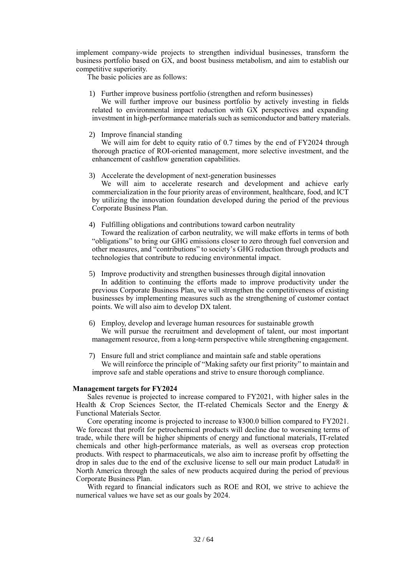implement company-wide projects to strengthen individual businesses, transform the business portfolio based on GX, and boost business metabolism, and aim to establish our competitive superiority.

The basic policies are as follows:

1) Further improve business portfolio (strengthen and reform businesses)

We will further improve our business portfolio by actively investing in fields related to environmental impact reduction with GX perspectives and expanding investment in high-performance materials such as semiconductor and battery materials.

#### 2) Improve financial standing

We will aim for debt to equity ratio of 0.7 times by the end of FY2024 through thorough practice of ROI-oriented management, more selective investment, and the enhancement of cashflow generation capabilities.

#### 3) Accelerate the development of next-generation businesses

We will aim to accelerate research and development and achieve early commercialization in the four priority areas of environment, healthcare, food, and ICT by utilizing the innovation foundation developed during the period of the previous Corporate Business Plan.

#### 4) Fulfilling obligations and contributions toward carbon neutrality

Toward the realization of carbon neutrality, we will make efforts in terms of both "obligations" to bring our GHG emissions closer to zero through fuel conversion and other measures, and "contributions" to society's GHG reduction through products and technologies that contribute to reducing environmental impact.

### 5) Improve productivity and strengthen businesses through digital innovation In addition to continuing the efforts made to improve productivity under the previous Corporate Business Plan, we will strengthen the competitiveness of existing businesses by implementing measures such as the strengthening of customer contact points. We will also aim to develop DX talent.

- 6) Employ, develop and leverage human resources for sustainable growth We will pursue the recruitment and development of talent, our most important management resource, from a long-term perspective while strengthening engagement.
- 7) Ensure full and strict compliance and maintain safe and stable operations We will reinforce the principle of "Making safety our first priority" to maintain and improve safe and stable operations and strive to ensure thorough compliance.

#### **Management targets for FY2024**

Sales revenue is projected to increase compared to FY2021, with higher sales in the Health & Crop Sciences Sector, the IT-related Chemicals Sector and the Energy & Functional Materials Sector.

Core operating income is projected to increase to ¥300.0 billion compared to FY2021. We forecast that profit for petrochemical products will decline due to worsening terms of trade, while there will be higher shipments of energy and functional materials, IT-related chemicals and other high-performance materials, as well as overseas crop protection products. With respect to pharmaceuticals, we also aim to increase profit by offsetting the drop in sales due to the end of the exclusive license to sell our main product Latuda® in North America through the sales of new products acquired during the period of previous Corporate Business Plan.

With regard to financial indicators such as ROE and ROI, we strive to achieve the numerical values we have set as our goals by 2024.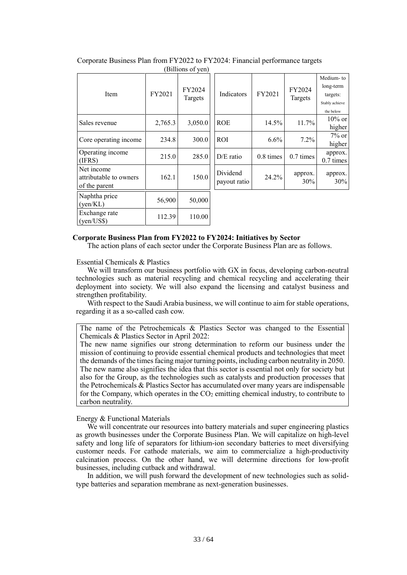| <b>Item</b>                                           | FY2021  | FY2024<br>Targets | Indicators               | FY2021       | FY2024<br>Targets | Medium-to<br>long-term<br>targets:<br>Stably achieve<br>the below |
|-------------------------------------------------------|---------|-------------------|--------------------------|--------------|-------------------|-------------------------------------------------------------------|
| Sales revenue                                         | 2,765.3 | 3,050.0           | <b>ROE</b>               | 14.5%        | 11.7%             | $10\%$ or<br>higher                                               |
| Core operating income                                 | 234.8   | 300.0             | <b>ROI</b>               | $6.6\%$      | $7.2\%$           | $7\%$ or<br>higher                                                |
| Operating income<br>(IFRS)                            | 215.0   | 285.0             | $D/E$ ratio              | $0.8 \times$ | 0.7 times         | approx.<br>0.7 times                                              |
| Net income<br>attributable to owners<br>of the parent | 162.1   | 150.0             | Dividend<br>payout ratio | 24.2%        | approx.<br>30%    | approx.<br>30%                                                    |
| Naphtha price<br>(yen/KL)                             | 56,900  | 50,000            |                          |              |                   |                                                                   |
| Exchange rate<br>(yen/US\$)                           | 112.39  | 110.00            |                          |              |                   |                                                                   |

Corporate Business Plan from FY2022 to FY2024: Financial performance targets (Billions of yen)

#### **Corporate Business Plan from FY2022 to FY2024: Initiatives by Sector**

The action plans of each sector under the Corporate Business Plan are as follows.

Essential Chemicals & Plastics

We will transform our business portfolio with GX in focus, developing carbon-neutral technologies such as material recycling and chemical recycling and accelerating their deployment into society. We will also expand the licensing and catalyst business and strengthen profitability.

With respect to the Saudi Arabia business, we will continue to aim for stable operations, regarding it as a so-called cash cow.

The name of the Petrochemicals & Plastics Sector was changed to the Essential Chemicals & Plastics Sector in April 2022:

The new name signifies our strong determination to reform our business under the mission of continuing to provide essential chemical products and technologies that meet the demands of the times facing major turning points, including carbon neutrality in 2050. The new name also signifies the idea that this sector is essential not only for society but also for the Group, as the technologies such as catalysts and production processes that the Petrochemicals & Plastics Sector has accumulated over many years are indispensable for the Company, which operates in the  $CO<sub>2</sub>$  emitting chemical industry, to contribute to carbon neutrality.

### Energy & Functional Materials

We will concentrate our resources into battery materials and super engineering plastics as growth businesses under the Corporate Business Plan. We will capitalize on high-level safety and long life of separators for lithium-ion secondary batteries to meet diversifying customer needs. For cathode materials, we aim to commercialize a high-productivity calcination process. On the other hand, we will determine directions for low-profit businesses, including cutback and withdrawal.

In addition, we will push forward the development of new technologies such as solidtype batteries and separation membrane as next-generation businesses.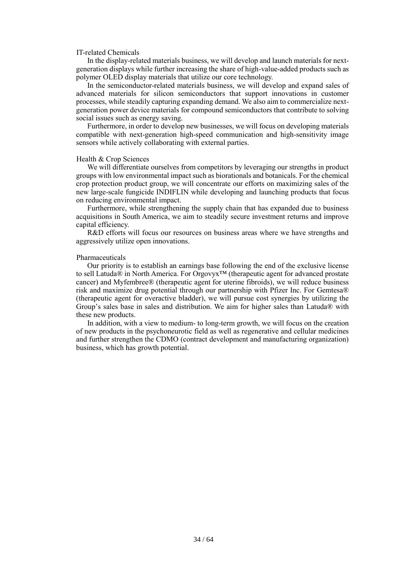#### IT-related Chemicals

In the display-related materials business, we will develop and launch materials for nextgeneration displays while further increasing the share of high-value-added products such as polymer OLED display materials that utilize our core technology.

In the semiconductor-related materials business, we will develop and expand sales of advanced materials for silicon semiconductors that support innovations in customer processes, while steadily capturing expanding demand. We also aim to commercialize nextgeneration power device materials for compound semiconductors that contribute to solving social issues such as energy saving.

Furthermore, in order to develop new businesses, we will focus on developing materials compatible with next-generation high-speed communication and high-sensitivity image sensors while actively collaborating with external parties.

#### Health & Crop Sciences

We will differentiate ourselves from competitors by leveraging our strengths in product groups with low environmental impact such as biorationals and botanicals. For the chemical crop protection product group, we will concentrate our efforts on maximizing sales of the new large-scale fungicide INDIFLIN while developing and launching products that focus on reducing environmental impact.

Furthermore, while strengthening the supply chain that has expanded due to business acquisitions in South America, we aim to steadily secure investment returns and improve capital efficiency.

R&D efforts will focus our resources on business areas where we have strengths and aggressively utilize open innovations.

#### Pharmaceuticals

Our priority is to establish an earnings base following the end of the exclusive license to sell Latuda® in North America. For Orgovyx™ (therapeutic agent for advanced prostate cancer) and Myfembree® (therapeutic agent for uterine fibroids), we will reduce business risk and maximize drug potential through our partnership with Pfizer Inc. For Gemtesa® (therapeutic agent for overactive bladder), we will pursue cost synergies by utilizing the Group's sales base in sales and distribution. We aim for higher sales than Latuda® with these new products.

In addition, with a view to medium- to long-term growth, we will focus on the creation of new products in the psychoneurotic field as well as regenerative and cellular medicines and further strengthen the CDMO (contract development and manufacturing organization) business, which has growth potential.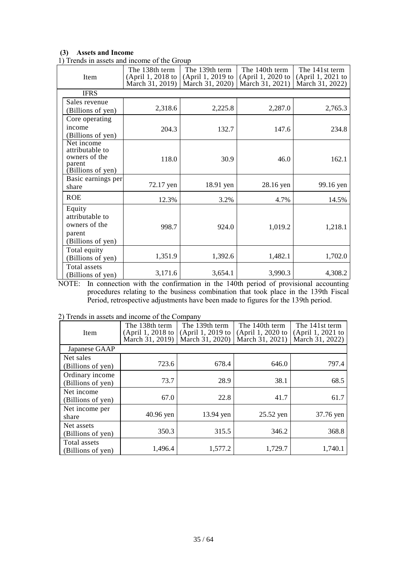## **(3) Assets and Income**

1) Trends in assets and income of the Group

| <b>Item</b>                                                                   | The 138th term<br>(April 1, 2018 to<br>March 31, 2019) | The 139th term<br>(April 1, 2019 to<br>March 31, 2020) | The 140th term<br>(April 1, 2020 to<br>March 31, 2021) | The 141st term<br>(April 1, 2021 to<br>March 31, 2022) |
|-------------------------------------------------------------------------------|--------------------------------------------------------|--------------------------------------------------------|--------------------------------------------------------|--------------------------------------------------------|
| <b>IFRS</b>                                                                   |                                                        |                                                        |                                                        |                                                        |
| Sales revenue<br>(Billions of yen)                                            | 2,318.6                                                | 2,225.8                                                | 2,287.0                                                | 2,765.3                                                |
| Core operating<br>income<br>(Billions of yen)                                 | 204.3                                                  | 132.7                                                  | 147.6                                                  | 234.8                                                  |
| Net income<br>attributable to<br>owners of the<br>parent<br>(Billions of yen) | 118.0                                                  | 30.9                                                   | 46.0                                                   | 162.1                                                  |
| Basic earnings per<br>share                                                   | 72.17 yen                                              | 18.91 yen                                              | 28.16 yen                                              | 99.16 yen                                              |
| <b>ROE</b>                                                                    | 12.3%                                                  | 3.2%                                                   | 4.7%                                                   | 14.5%                                                  |
| Equity<br>attributable to<br>owners of the<br>parent<br>(Billions of yen)     | 998.7                                                  | 924.0                                                  | 1,019.2                                                | 1,218.1                                                |
| Total equity<br>(Billions of yen)                                             | 1,351.9                                                | 1,392.6                                                | 1,482.1                                                | 1,702.0                                                |
| Total assets<br>(Billions of yen)                                             | 3,171.6                                                | 3,654.1                                                | 3,990.3                                                | 4,308.2                                                |

NOTE: In connection with the confirmation in the 140th period of provisional accounting procedures relating to the business combination that took place in the 139th Fiscal Period, retrospective adjustments have been made to figures for the 139th period.

|  |  |  | 2) Trends in assets and income of the Company |  |
|--|--|--|-----------------------------------------------|--|
|  |  |  |                                               |  |
|  |  |  |                                               |  |
|  |  |  |                                               |  |

| Item                                 | The 138th term<br>(April 1, 2018 to<br>March 31, 2019) | The 139th term<br>(April 1, 2019 to<br>March 31, 2020) | The 140th term<br>(April 1, 2020 to<br>March 31, 2021) | The 141st term<br>(April 1, 2021 to<br>March 31, 2022) |
|--------------------------------------|--------------------------------------------------------|--------------------------------------------------------|--------------------------------------------------------|--------------------------------------------------------|
| Japanese GAAP                        |                                                        |                                                        |                                                        |                                                        |
| Net sales<br>(Billions of yen)       | 723.6                                                  | 678.4                                                  | 646.0                                                  | 797.4                                                  |
| Ordinary income<br>(Billions of yen) | 73.7                                                   | 28.9                                                   | 38.1                                                   | 68.5                                                   |
| Net income<br>(Billions of yen)      | 67.0                                                   | 22.8                                                   | 41.7                                                   | 61.7                                                   |
| Net income per<br>share              | 40.96 yen                                              | 13.94 yen                                              | 25.52 yen                                              | 37.76 yen                                              |
| Net assets<br>(Billions of yen)      | 350.3                                                  | 315.5                                                  | 346.2                                                  | 368.8                                                  |
| Total assets<br>(Billions of yen)    | 1,496.4                                                | 1,577.2                                                | 1,729.7                                                | 1,740.1                                                |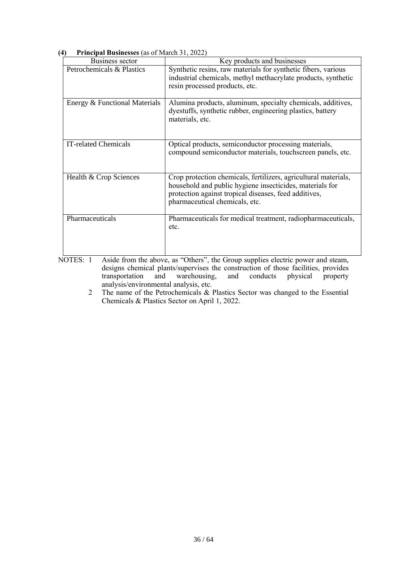| TTHICIPAL DUSHICSSCS (as 01 IVIAICH 91, 2022) |                                                                                                                                                                                                                        |
|-----------------------------------------------|------------------------------------------------------------------------------------------------------------------------------------------------------------------------------------------------------------------------|
| Business sector                               | Key products and businesses                                                                                                                                                                                            |
| Petrochemicals & Plastics                     | Synthetic resins, raw materials for synthetic fibers, various<br>industrial chemicals, methyl methacrylate products, synthetic<br>resin processed products, etc.                                                       |
| Energy & Functional Materials                 | Alumina products, aluminum, specialty chemicals, additives,<br>dyestuffs, synthetic rubber, engineering plastics, battery<br>materials, etc.                                                                           |
| IT-related Chemicals                          | Optical products, semiconductor processing materials,<br>compound semiconductor materials, touchscreen panels, etc.                                                                                                    |
| Health & Crop Sciences                        | Crop protection chemicals, fertilizers, agricultural materials,<br>household and public hygiene insecticides, materials for<br>protection against tropical diseases, feed additives,<br>pharmaceutical chemicals, etc. |
| Pharmaceuticals                               | Pharmaceuticals for medical treatment, radiopharmaceuticals,<br>etc.                                                                                                                                                   |

# **(4) Principal Businesses** (as of March 31, 2022)

NOTES: 1 Aside from the above, as "Others", the Group supplies electric power and steam, designs chemical plants/supervises the construction of those facilities, provides transportation and warehousing, and conducts physical property warehousing, and conducts physical property analysis/environmental analysis, etc.

2 The name of the Petrochemicals & Plastics Sector was changed to the Essential Chemicals & Plastics Sector on April 1, 2022.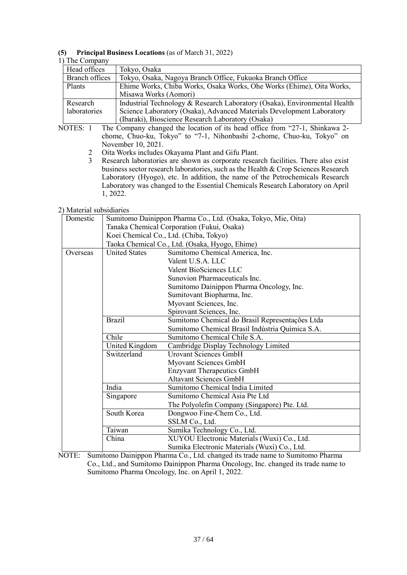# **(5) Principal Business Locations** (as of March 31, 2022)

# 1) The Company

| Head offices |                       | Tokyo, Osaka                                                                       |  |  |  |  |
|--------------|-----------------------|------------------------------------------------------------------------------------|--|--|--|--|
|              | <b>Branch offices</b> | Tokyo, Osaka, Nagoya Branch Office, Fukuoka Branch Office                          |  |  |  |  |
|              | Plants                | Ehime Works, Chiba Works, Osaka Works, Ohe Works (Ehime), Oita Works,              |  |  |  |  |
|              |                       | Misawa Works (Aomori)                                                              |  |  |  |  |
|              | Research              | Industrial Technology & Research Laboratory (Osaka), Environmental Health          |  |  |  |  |
|              | laboratories          | Science Laboratory (Osaka), Advanced Materials Development Laboratory              |  |  |  |  |
|              |                       | (Ibaraki), Bioscience Research Laboratory (Osaka)                                  |  |  |  |  |
|              | NOTES: 1              | The Company changed the location of its head office from "27-1, Shinkawa 2-        |  |  |  |  |
|              |                       | chome, Chuo-ku, Tokyo" to "7-1, Nihonbashi 2-chome, Chuo-ku, Tokyo" on             |  |  |  |  |
|              |                       | November 10, 2021.                                                                 |  |  |  |  |
| 2            |                       | Oita Works includes Okayama Plant and Gifu Plant.                                  |  |  |  |  |
|              | 3                     | Research laboratories are shown as corporate research facilities. There also exist |  |  |  |  |
|              |                       |                                                                                    |  |  |  |  |

business sector research laboratories, such as the Health & Crop Sciences Research Laboratory (Hyogo), etc. In addition, the name of the Petrochemicals Research Laboratory was changed to the Essential Chemicals Research Laboratory on April 1, 2022.

# 2) Material subsidiaries

| Domestic | Sumitomo Dainippon Pharma Co., Ltd. (Osaka, Tokyo, Mie, Oita) |                                                 |  |  |  |
|----------|---------------------------------------------------------------|-------------------------------------------------|--|--|--|
|          |                                                               | Tanaka Chemical Corporation (Fukui, Osaka)      |  |  |  |
|          |                                                               | Koei Chemical Co., Ltd. (Chiba, Tokyo)          |  |  |  |
|          |                                                               | Taoka Chemical Co., Ltd. (Osaka, Hyogo, Ehime)  |  |  |  |
| Overseas | <b>United States</b>                                          | Sumitomo Chemical America, Inc.                 |  |  |  |
|          |                                                               | Valent U.S.A. LLC                               |  |  |  |
|          |                                                               | Valent BioSciences LLC                          |  |  |  |
|          |                                                               | Sunovion Pharmaceuticals Inc.                   |  |  |  |
|          |                                                               | Sumitomo Dainippon Pharma Oncology, Inc.        |  |  |  |
|          |                                                               | Sumitovant Biopharma, Inc.                      |  |  |  |
|          |                                                               | Myovant Sciences, Inc.                          |  |  |  |
|          |                                                               | Spirovant Sciences, Inc.                        |  |  |  |
|          | <b>Brazil</b>                                                 | Sumitomo Chemical do Brasil Representações Ltda |  |  |  |
|          |                                                               | Sumitomo Chemical Brasil Indústria Química S.A. |  |  |  |
|          | Chile                                                         | Sumitomo Chemical Chile S.A.                    |  |  |  |
|          | United Kingdom                                                | Cambridge Display Technology Limited            |  |  |  |
|          | Switzerland                                                   | Urovant Sciences GmbH                           |  |  |  |
|          |                                                               | Myovant Sciences GmbH                           |  |  |  |
|          |                                                               | <b>Enzyvant Therapeutics GmbH</b>               |  |  |  |
|          |                                                               | <b>Altavant Sciences GmbH</b>                   |  |  |  |
|          | India                                                         | Sumitomo Chemical India Limited                 |  |  |  |
|          | Singapore                                                     | Sumitomo Chemical Asia Pte Ltd                  |  |  |  |
|          |                                                               | The Polyolefin Company (Singapore) Pte. Ltd.    |  |  |  |
|          | South Korea<br>Dongwoo Fine-Chem Co., Ltd.                    |                                                 |  |  |  |
|          |                                                               | SSLM Co., Ltd.                                  |  |  |  |
|          | Taiwan                                                        | Sumika Technology Co., Ltd.                     |  |  |  |
|          | China                                                         | XUYOU Electronic Materials (Wuxi) Co., Ltd.     |  |  |  |
|          |                                                               | Sumika Electronic Materials (Wuxi) Co., Ltd.    |  |  |  |

NOTE: Sumitomo Dainippon Pharma Co., Ltd. changed its trade name to Sumitomo Pharma Co., Ltd., and Sumitomo Dainippon Pharma Oncology, Inc. changed its trade name to Sumitomo Pharma Oncology, Inc. on April 1, 2022.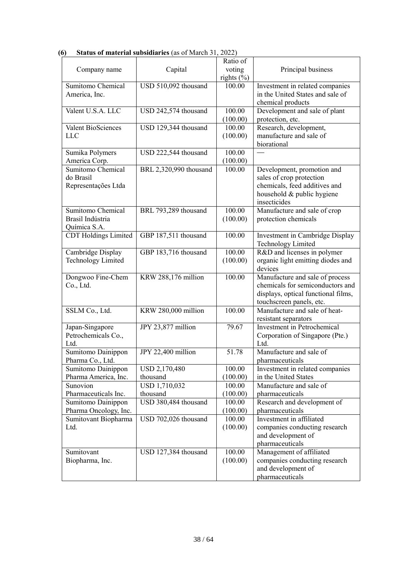|                             |                        | Ratio of      |                                     |
|-----------------------------|------------------------|---------------|-------------------------------------|
| Company name                | Capital                | voting        | Principal business                  |
|                             |                        | rights $(\%)$ |                                     |
| Sumitomo Chemical           | USD 510,092 thousand   | 100.00        | Investment in related companies     |
| America, Inc.               |                        |               | in the United States and sale of    |
|                             |                        |               | chemical products                   |
| Valent U.S.A. LLC           | USD 242,574 thousand   | 100.00        | Development and sale of plant       |
|                             |                        | (100.00)      | protection, etc.                    |
| Valent BioSciences          | USD 129,344 thousand   | 100.00        | Research, development,              |
| <b>LLC</b>                  |                        | (100.00)      | manufacture and sale of             |
|                             |                        |               | biorational                         |
| Sumika Polymers             | USD 222,544 thousand   | 100.00        |                                     |
| America Corp.               |                        | (100.00)      |                                     |
| Sumitomo Chemical           | BRL 2,320,990 thousand | 100.00        | Development, promotion and          |
| do Brasil                   |                        |               | sales of crop protection            |
| Representações Ltda         |                        |               | chemicals, feed additives and       |
|                             |                        |               | household & public hygiene          |
|                             |                        |               | insecticides                        |
| Sumitomo Chemical           | BRL 793,289 thousand   | 100.00        | Manufacture and sale of crop        |
| Brasil Indústria            |                        | (100.00)      | protection chemicals                |
| Química S.A.                |                        |               |                                     |
| <b>CDT</b> Holdings Limited | GBP 187,511 thousand   | 100.00        | Investment in Cambridge Display     |
|                             |                        |               | <b>Technology Limited</b>           |
| Cambridge Display           | GBP 183,716 thousand   | 100.00        | R&D and licenses in polymer         |
| Technology Limited          |                        | (100.00)      | organic light emitting diodes and   |
|                             |                        |               | devices                             |
| Dongwoo Fine-Chem           | KRW 288,176 million    | 100.00        | Manufacture and sale of process     |
| Co., Ltd.                   |                        |               | chemicals for semiconductors and    |
|                             |                        |               | displays, optical functional films, |
|                             |                        |               | touchscreen panels, etc.            |
| SSLM Co., Ltd.              | KRW 280,000 million    | 100.00        | Manufacture and sale of heat-       |
|                             |                        |               | resistant separators                |
| Japan-Singapore             | JPY 23,877 million     | 79.67         | Investment in Petrochemical         |
| Petrochemicals Co.,         |                        |               | Corporation of Singapore (Pte.)     |
| Ltd.                        |                        |               | Ltd.                                |
| Sumitomo Dainippon          | JPY 22,400 million     | 51.78         | Manufacture and sale of             |
| Pharma Co., Ltd.            |                        |               | pharmaceuticals                     |
| Sumitomo Dainippon          | USD 2,170,480          | 100.00        | Investment in related companies     |
| Pharma America, Inc.        | thousand               | (100.00)      | in the United States                |
| Sunovion                    | USD 1,710,032          | 100.00        | Manufacture and sale of             |
| Pharmaceuticals Inc.        | thousand               | (100.00)      | pharmaceuticals                     |
| Sumitomo Dainippon          | USD 380,484 thousand   | 100.00        | Research and development of         |
| Pharma Oncology, Inc.       |                        | (100.00)      | pharmaceuticals                     |
| Sumitovant Biopharma        | USD 702,026 thousand   | 100.00        | Investment in affiliated            |
| Ltd.                        |                        | (100.00)      | companies conducting research       |
|                             |                        |               | and development of                  |
|                             |                        |               | pharmaceuticals                     |
| Sumitovant                  | USD 127,384 thousand   | 100.00        | Management of affiliated            |
| Biopharma, Inc.             |                        | (100.00)      | companies conducting research       |
|                             |                        |               | and development of                  |
|                             |                        |               | pharmaceuticals                     |

**(6) Status of material subsidiaries** (as of March 31, 2022)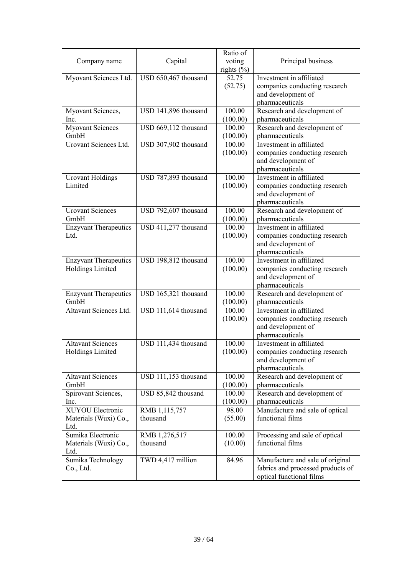|                              |                                   | Ratio of      |                                   |
|------------------------------|-----------------------------------|---------------|-----------------------------------|
| Company name                 | Capital                           | voting        | Principal business                |
|                              |                                   | rights $(\%)$ |                                   |
| Myovant Sciences Ltd.        | USD 650,467 thousand              | 52.75         | Investment in affiliated          |
|                              |                                   | (52.75)       | companies conducting research     |
|                              |                                   |               | and development of                |
|                              |                                   |               | pharmaceuticals                   |
| Myovant Sciences,            | USD 141,896 thousand              | 100.00        | Research and development of       |
| Inc.                         |                                   | (100.00)      | pharmaceuticals                   |
| <b>Myovant Sciences</b>      | $\overline{USD}$ 669,112 thousand | 100.00        | Research and development of       |
| GmbH                         |                                   | (100.00)      | pharmaceuticals                   |
| Urovant Sciences Ltd.        | USD 307,902 thousand              | 100.00        | Investment in affiliated          |
|                              |                                   | (100.00)      | companies conducting research     |
|                              |                                   |               | and development of                |
|                              |                                   |               | pharmaceuticals                   |
| <b>Urovant Holdings</b>      | USD 787,893 thousand              | 100.00        | Investment in affiliated          |
| Limited                      |                                   | (100.00)      | companies conducting research     |
|                              |                                   |               | and development of                |
|                              |                                   |               | pharmaceuticals                   |
| <b>Urovant Sciences</b>      | USD 792,607 thousand              | 100.00        | Research and development of       |
| GmbH                         |                                   | (100.00)      | pharmaceuticals                   |
| <b>Enzyvant Therapeutics</b> | USD 411,277 thousand              | 100.00        | Investment in affiliated          |
| Ltd.                         |                                   | (100.00)      | companies conducting research     |
|                              |                                   |               | and development of                |
|                              |                                   |               | pharmaceuticals                   |
| <b>Enzyvant Therapeutics</b> | USD 198,812 thousand              | 100.00        | Investment in affiliated          |
| Holdings Limited             |                                   | (100.00)      | companies conducting research     |
|                              |                                   |               | and development of                |
|                              |                                   |               | pharmaceuticals                   |
| <b>Enzyvant Therapeutics</b> | USD 165,321 thousand              | 100.00        | Research and development of       |
| GmbH                         |                                   | (100.00)      | pharmaceuticals                   |
| Altavant Sciences Ltd.       | USD 111,614 thousand              | 100.00        | Investment in affiliated          |
|                              |                                   | (100.00)      | companies conducting research     |
|                              |                                   |               | and development of                |
|                              |                                   |               | pharmaceuticals                   |
| <b>Altavant Sciences</b>     | USD 111,434 thousand              | 100.00        | Investment in affiliated          |
| Holdings Limited             |                                   | (100.00)      | companies conducting research     |
|                              |                                   |               | and development of                |
|                              |                                   |               | pharmaceuticals                   |
| <b>Altavant Sciences</b>     | USD 111,153 thousand              | 100.00        | Research and development of       |
| GmbH                         |                                   | (100.00)      | pharmaceuticals                   |
| Spirovant Sciences,          | USD 85,842 thousand               | 100.00        | Research and development of       |
| Inc.                         |                                   | (100.00)      | pharmaceuticals                   |
| <b>XUYOU Electronic</b>      | RMB 1,115,757                     | 98.00         | Manufacture and sale of optical   |
| Materials (Wuxi) Co.,        | thousand                          | (55.00)       | functional films                  |
| Ltd.                         |                                   |               |                                   |
| Sumika Electronic            | RMB 1,276,517                     | 100.00        | Processing and sale of optical    |
| Materials (Wuxi) Co.,        | thousand                          | (10.00)       | functional films                  |
| Ltd.                         |                                   |               |                                   |
| Sumika Technology            | TWD 4,417 million                 | 84.96         | Manufacture and sale of original  |
| Co., Ltd.                    |                                   |               | fabrics and processed products of |
|                              |                                   |               | optical functional films          |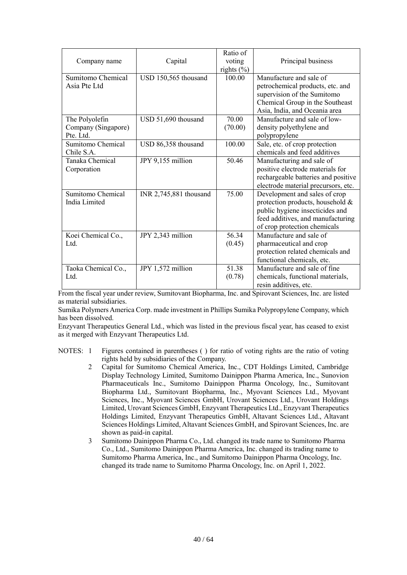|                     |                        | Ratio of      |                                     |
|---------------------|------------------------|---------------|-------------------------------------|
| Company name        | Capital                | voting        | Principal business                  |
|                     |                        | rights $(\%)$ |                                     |
| Sumitomo Chemical   | USD 150,565 thousand   | 100.00        | Manufacture and sale of             |
| Asia Pte Ltd        |                        |               | petrochemical products, etc. and    |
|                     |                        |               | supervision of the Sumitomo         |
|                     |                        |               | Chemical Group in the Southeast     |
|                     |                        |               | Asia, India, and Oceania area       |
| The Polyolefin      | USD 51,690 thousand    | 70.00         | Manufacture and sale of low-        |
| Company (Singapore) |                        | (70.00)       | density polyethylene and            |
| Pte. Ltd.           |                        |               | polypropylene                       |
| Sumitomo Chemical   | USD 86,358 thousand    | 100.00        | Sale, etc. of crop protection       |
| Chile S.A.          |                        |               | chemicals and feed additives        |
| Tanaka Chemical     | JPY 9,155 million      | 50.46         | Manufacturing and sale of           |
| Corporation         |                        |               | positive electrode materials for    |
|                     |                        |               | rechargeable batteries and positive |
|                     |                        |               | electrode material precursors, etc. |
| Sumitomo Chemical   | INR 2,745,881 thousand | 75.00         | Development and sales of crop       |
| India Limited       |                        |               | protection products, household &    |
|                     |                        |               | public hygiene insecticides and     |
|                     |                        |               | feed additives, and manufacturing   |
|                     |                        |               | of crop protection chemicals        |
| Koei Chemical Co.,  | JPY 2,343 million      | 56.34         | Manufacture and sale of             |
| Ltd.                |                        | (0.45)        | pharmaceutical and crop             |
|                     |                        |               | protection related chemicals and    |
|                     |                        |               | functional chemicals, etc.          |
| Taoka Chemical Co., | JPY 1,572 million      | 51.38         | Manufacture and sale of fine        |
| Ltd.                |                        | (0.78)        | chemicals, functional materials,    |
|                     |                        |               | resin additives, etc.               |

From the fiscal year under review, Sumitovant Biopharma, Inc. and Spirovant Sciences, Inc. are listed as material subsidiaries.

Sumika Polymers America Corp. made investment in Phillips Sumika Polypropylene Company, which has been dissolved.

Enzyvant Therapeutics General Ltd., which was listed in the previous fiscal year, has ceased to exist as it merged with Enzyvant Therapeutics Ltd.

- NOTES: 1 Figures contained in parentheses ( ) for ratio of voting rights are the ratio of voting rights held by subsidiaries of the Company.
	- 2 Capital for Sumitomo Chemical America, Inc., CDT Holdings Limited, Cambridge Display Technology Limited, Sumitomo Dainippon Pharma America, Inc., Sunovion Pharmaceuticals Inc., Sumitomo Dainippon Pharma Oncology, Inc., Sumitovant Biopharma Ltd., Sumitovant Biopharma, Inc., Myovant Sciences Ltd., Myovant Sciences, Inc., Myovant Sciences GmbH, Urovant Sciences Ltd., Urovant Holdings Limited, Urovant Sciences GmbH, Enzyvant Therapeutics Ltd., Enzyvant Therapeutics Holdings Limited, Enzyvant Therapeutics GmbH, Altavant Sciences Ltd., Altavant Sciences Holdings Limited, Altavant Sciences GmbH, and Spirovant Sciences, Inc. are shown as paid-in capital.
	- 3 Sumitomo Dainippon Pharma Co., Ltd. changed its trade name to Sumitomo Pharma Co., Ltd., Sumitomo Dainippon Pharma America, Inc. changed its trading name to Sumitomo Pharma America, Inc., and Sumitomo Dainippon Pharma Oncology, Inc. changed its trade name to Sumitomo Pharma Oncology, Inc. on April 1, 2022.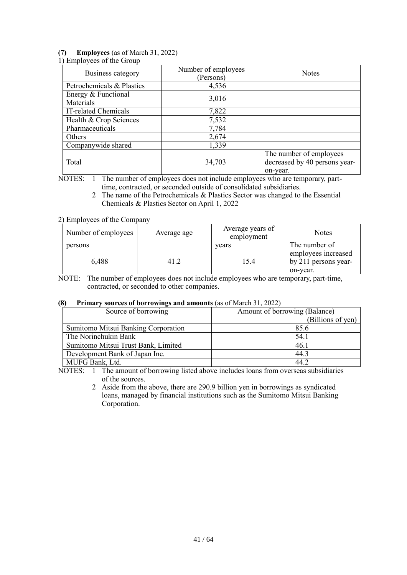# **(7) Employees** (as of March 31, 2022)

# 1) Employees of the Group

| Business category                | Number of employees<br>(Persons) | <b>Notes</b>                                                         |
|----------------------------------|----------------------------------|----------------------------------------------------------------------|
| Petrochemicals & Plastics        | 4,536                            |                                                                      |
| Energy & Functional<br>Materials | 3,016                            |                                                                      |
| IT-related Chemicals             | 7,822                            |                                                                      |
| Health & Crop Sciences           | 7,532                            |                                                                      |
| Pharmaceuticals                  | 7,784                            |                                                                      |
| Others                           | 2,674                            |                                                                      |
| Companywide shared               | 1,339                            |                                                                      |
| Total                            | 34,703                           | The number of employees<br>decreased by 40 persons year-<br>on-year. |

NOTES: 1 The number of employees does not include employees who are temporary, parttime, contracted, or seconded outside of consolidated subsidiaries.

2 The name of the Petrochemicals & Plastics Sector was changed to the Essential Chemicals & Plastics Sector on April 1, 2022

# 2) Employees of the Company

| Number of employees | Average age | Average years of<br>employment | <b>Notes</b>         |
|---------------------|-------------|--------------------------------|----------------------|
| persons             |             | vears                          | The number of        |
|                     |             |                                | employees increased  |
| 6,488               | 41.2        | 15.4                           | by 211 persons year- |
|                     |             |                                | on-year.             |

NOTE: The number of employees does not include employees who are temporary, part-time, contracted, or seconded to other companies.

# **(8) Primary sources of borrowings and amounts** (as of March 31, 2022)

| Source of borrowing                 | Amount of borrowing (Balance) |  |
|-------------------------------------|-------------------------------|--|
|                                     | (Billions of yen)             |  |
| Sumitomo Mitsui Banking Corporation | 85.6                          |  |
| The Norinchukin Bank                | 54.1                          |  |
| Sumitomo Mitsui Trust Bank, Limited | 46.1                          |  |
| Development Bank of Japan Inc.      | 44.3                          |  |
| MUFG Bank, Ltd.                     | 44.2                          |  |

NOTES: 1 The amount of borrowing listed above includes loans from overseas subsidiaries of the sources.

> 2 Aside from the above, there are 290.9 billion yen in borrowings as syndicated loans, managed by financial institutions such as the Sumitomo Mitsui Banking Corporation.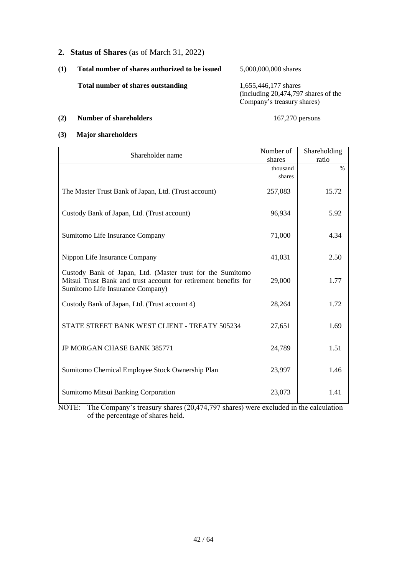**2. Status of Shares** (as of March 31, 2022)

| (1) | Total number of shares authorized to be issued | 5,000,000,000 shares                                                                        |
|-----|------------------------------------------------|---------------------------------------------------------------------------------------------|
|     | Total number of shares outstanding             | 1.655.446.177 shares<br>(including $20,474,797$ shares of the<br>Company's treasury shares) |

# **(2) Number of shareholders** 167,270 persons

# **(3) Major shareholders**

| Shareholder name                                                                                                                                                  | Number of | Shareholding |
|-------------------------------------------------------------------------------------------------------------------------------------------------------------------|-----------|--------------|
|                                                                                                                                                                   | shares    | ratio        |
|                                                                                                                                                                   | thousand  | $\%$         |
|                                                                                                                                                                   | shares    |              |
| The Master Trust Bank of Japan, Ltd. (Trust account)                                                                                                              | 257,083   | 15.72        |
| Custody Bank of Japan, Ltd. (Trust account)                                                                                                                       | 96,934    | 5.92         |
| Sumitomo Life Insurance Company                                                                                                                                   | 71,000    | 4.34         |
| Nippon Life Insurance Company                                                                                                                                     | 41,031    | 2.50         |
| Custody Bank of Japan, Ltd. (Master trust for the Sumitomo<br>Mitsui Trust Bank and trust account for retirement benefits for<br>Sumitomo Life Insurance Company) | 29,000    | 1.77         |
| Custody Bank of Japan, Ltd. (Trust account 4)                                                                                                                     | 28,264    | 1.72         |
| STATE STREET BANK WEST CLIENT - TREATY 505234                                                                                                                     | 27,651    | 1.69         |
| JP MORGAN CHASE BANK 385771                                                                                                                                       | 24,789    | 1.51         |
| Sumitomo Chemical Employee Stock Ownership Plan                                                                                                                   | 23,997    | 1.46         |
| <b>Sumitomo Mitsui Banking Corporation</b>                                                                                                                        | 23,073    | 1.41         |

NOTE: The Company's treasury shares (20,474,797 shares) were excluded in the calculation of the percentage of shares held.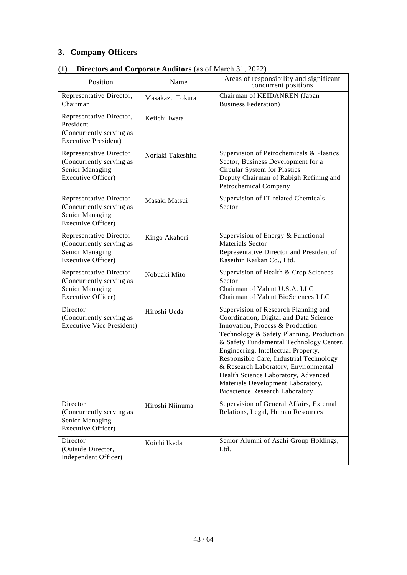# **3. Company Officers**

| Position                                                                                            | Directors and Corporate Additions (as or march 31, $2022$ )<br>Name | Areas of responsibility and significant<br>concurrent positions                                                                                                                                                                                                                                                                                                                                                                                          |
|-----------------------------------------------------------------------------------------------------|---------------------------------------------------------------------|----------------------------------------------------------------------------------------------------------------------------------------------------------------------------------------------------------------------------------------------------------------------------------------------------------------------------------------------------------------------------------------------------------------------------------------------------------|
| Representative Director,<br>Chairman                                                                | Masakazu Tokura                                                     | Chairman of KEIDANREN (Japan<br><b>Business Federation</b> )                                                                                                                                                                                                                                                                                                                                                                                             |
| Representative Director,<br>President<br>(Concurrently serving as<br><b>Executive President)</b>    | Keiichi Iwata                                                       |                                                                                                                                                                                                                                                                                                                                                                                                                                                          |
| Representative Director<br>(Concurrently serving as<br>Senior Managing<br><b>Executive Officer)</b> | Noriaki Takeshita                                                   | Supervision of Petrochemicals & Plastics<br>Sector, Business Development for a<br>Circular System for Plastics<br>Deputy Chairman of Rabigh Refining and<br>Petrochemical Company                                                                                                                                                                                                                                                                        |
| Representative Director<br>(Concurrently serving as<br>Senior Managing<br><b>Executive Officer)</b> | Masaki Matsui                                                       | Supervision of IT-related Chemicals<br>Sector                                                                                                                                                                                                                                                                                                                                                                                                            |
| Representative Director<br>(Concurrently serving as<br>Senior Managing<br>Executive Officer)        | Kingo Akahori                                                       | Supervision of Energy & Functional<br><b>Materials Sector</b><br>Representative Director and President of<br>Kaseihin Kaikan Co., Ltd.                                                                                                                                                                                                                                                                                                                   |
| Representative Director<br>(Concurrently serving as<br>Senior Managing<br>Executive Officer)        | Nobuaki Mito                                                        | Supervision of Health & Crop Sciences<br>Sector<br>Chairman of Valent U.S.A. LLC<br>Chairman of Valent BioSciences LLC                                                                                                                                                                                                                                                                                                                                   |
| Director<br>(Concurrently serving as<br><b>Executive Vice President)</b>                            | Hiroshi Ueda                                                        | Supervision of Research Planning and<br>Coordination, Digital and Data Science<br>Innovation, Process & Production<br>Technology & Safety Planning, Production<br>& Safety Fundamental Technology Center,<br>Engineering, Intellectual Property,<br>Responsible Care, Industrial Technology<br>& Research Laboratory, Environmental<br>Health Science Laboratory, Advanced<br>Materials Development Laboratory,<br><b>Bioscience Research Laboratory</b> |
| Director<br>(Concurrently serving as<br>Senior Managing<br>Executive Officer)                       | Hiroshi Niinuma                                                     | Supervision of General Affairs, External<br>Relations, Legal, Human Resources                                                                                                                                                                                                                                                                                                                                                                            |
| Director<br>(Outside Director,<br>Independent Officer)                                              | Koichi Ikeda                                                        | Senior Alumni of Asahi Group Holdings,<br>Ltd.                                                                                                                                                                                                                                                                                                                                                                                                           |

# **(1) Directors and Corporate Auditors** (as of March 31, 2022)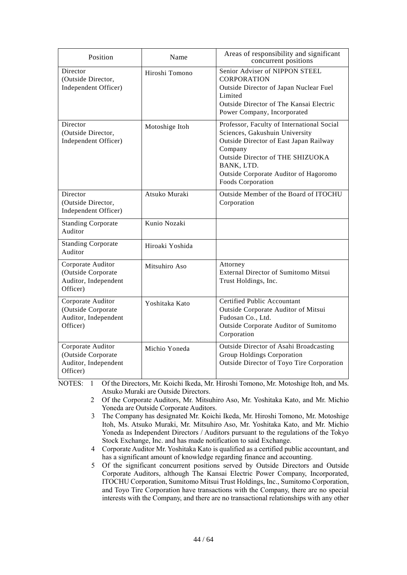| Position                                                                    | Name            | Areas of responsibility and significant<br>concurrent positions                                                                                                                                                                                          |
|-----------------------------------------------------------------------------|-----------------|----------------------------------------------------------------------------------------------------------------------------------------------------------------------------------------------------------------------------------------------------------|
| Director<br>(Outside Director,<br>Independent Officer)                      | Hiroshi Tomono  | Senior Adviser of NIPPON STEEL<br><b>CORPORATION</b><br>Outside Director of Japan Nuclear Fuel<br>Limited<br>Outside Director of The Kansai Electric<br>Power Company, Incorporated                                                                      |
| Director<br>(Outside Director,<br>Independent Officer)                      | Motoshige Itoh  | Professor, Faculty of International Social<br>Sciences, Gakushuin University<br>Outside Director of East Japan Railway<br>Company<br><b>Outside Director of THE SHIZUOKA</b><br>BANK, LTD.<br>Outside Corporate Auditor of Hagoromo<br>Foods Corporation |
| Director<br>(Outside Director,<br>Independent Officer)                      | Atsuko Muraki   | Outside Member of the Board of ITOCHU<br>Corporation                                                                                                                                                                                                     |
| <b>Standing Corporate</b><br>Auditor                                        | Kunio Nozaki    |                                                                                                                                                                                                                                                          |
| <b>Standing Corporate</b><br>Auditor                                        | Hiroaki Yoshida |                                                                                                                                                                                                                                                          |
| Corporate Auditor<br>(Outside Corporate<br>Auditor, Independent<br>Officer) | Mitsuhiro Aso   | Attorney<br>External Director of Sumitomo Mitsui<br>Trust Holdings, Inc.                                                                                                                                                                                 |
| Corporate Auditor<br>(Outside Corporate<br>Auditor, Independent<br>Officer) | Yoshitaka Kato  | Certified Public Accountant<br>Outside Corporate Auditor of Mitsui<br>Fudosan Co., Ltd.<br>Outside Corporate Auditor of Sumitomo<br>Corporation                                                                                                          |
| Corporate Auditor<br>(Outside Corporate<br>Auditor, Independent<br>Officer) | Michio Yoneda   | Outside Director of Asahi Broadcasting<br>Group Holdings Corporation<br>Outside Director of Toyo Tire Corporation                                                                                                                                        |

NOTES: 1 Of the Directors, Mr. Koichi Ikeda, Mr. Hiroshi Tomono, Mr. Motoshige Itoh, and Ms. Atsuko Muraki are Outside Directors.

- 2 Of the Corporate Auditors, Mr. Mitsuhiro Aso, Mr. Yoshitaka Kato, and Mr. Michio Yoneda are Outside Corporate Auditors.
- 3 The Company has designated Mr. Koichi Ikeda, Mr. Hiroshi Tomono, Mr. Motoshige Itoh, Ms. Atsuko Muraki, Mr. Mitsuhiro Aso, Mr. Yoshitaka Kato, and Mr. Michio Yoneda as Independent Directors / Auditors pursuant to the regulations of the Tokyo Stock Exchange, Inc. and has made notification to said Exchange.
- 4 Corporate Auditor Mr. Yoshitaka Kato is qualified as a certified public accountant, and has a significant amount of knowledge regarding finance and accounting.
- 5 Of the significant concurrent positions served by Outside Directors and Outside Corporate Auditors, although The Kansai Electric Power Company, Incorporated, ITOCHU Corporation, Sumitomo Mitsui Trust Holdings, Inc., Sumitomo Corporation, and Toyo Tire Corporation have transactions with the Company, there are no special interests with the Company, and there are no transactional relationships with any other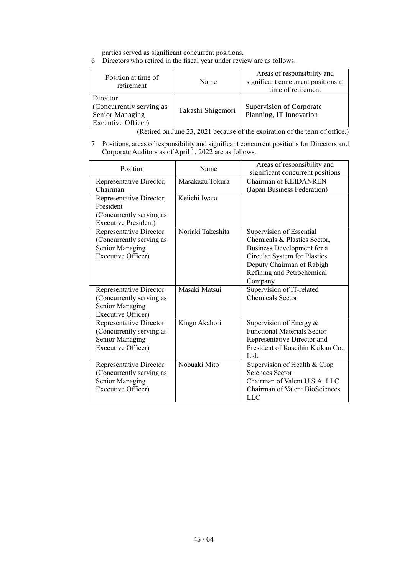parties served as significant concurrent positions.

6 Directors who retired in the fiscal year under review are as follows.

| Position at time of<br>retirement                                                    | Name              | Areas of responsibility and<br>significant concurrent positions at<br>time of retirement |
|--------------------------------------------------------------------------------------|-------------------|------------------------------------------------------------------------------------------|
| Director<br>(Concurrently serving as<br>Senior Managing<br><b>Executive Officer)</b> | Takashi Shigemori | Supervision of Corporate<br>Planning, IT Innovation                                      |

(Retired on June 23, 2021 because of the expiration of the term of office.)

7 Positions, areas of responsibility and significant concurrent positions for Directors and Corporate Auditors as of April 1, 2022 are as follows.

| Position                    | Name              | Areas of responsibility and<br>significant concurrent positions |
|-----------------------------|-------------------|-----------------------------------------------------------------|
| Representative Director,    | Masakazu Tokura   | Chairman of KEIDANREN                                           |
| Chairman                    |                   | (Japan Business Federation)                                     |
| Representative Director,    | Keiichi Iwata     |                                                                 |
| President                   |                   |                                                                 |
| (Concurrently serving as    |                   |                                                                 |
| <b>Executive President)</b> |                   |                                                                 |
| Representative Director     | Noriaki Takeshita | Supervision of Essential                                        |
| (Concurrently serving as    |                   | Chemicals & Plastics Sector,                                    |
| Senior Managing             |                   | Business Development for a                                      |
| Executive Officer)          |                   | Circular System for Plastics                                    |
|                             |                   | Deputy Chairman of Rabigh                                       |
|                             |                   | Refining and Petrochemical                                      |
|                             |                   | Company                                                         |
| Representative Director     | Masaki Matsui     | Supervision of IT-related                                       |
| (Concurrently serving as    |                   | <b>Chemicals Sector</b>                                         |
| Senior Managing             |                   |                                                                 |
| Executive Officer)          |                   |                                                                 |
| Representative Director     | Kingo Akahori     | Supervision of Energy $&$                                       |
| (Concurrently serving as    |                   | <b>Functional Materials Sector</b>                              |
| Senior Managing             |                   | Representative Director and                                     |
| Executive Officer)          |                   | President of Kaseihin Kaikan Co.,                               |
|                             |                   | Ltd.                                                            |
| Representative Director     | Nobuaki Mito      | Supervision of Health & Crop                                    |
| (Concurrently serving as    |                   | Sciences Sector                                                 |
| Senior Managing             |                   | Chairman of Valent U.S.A. LLC                                   |
| Executive Officer)          |                   | Chairman of Valent BioSciences                                  |
|                             |                   | LLC                                                             |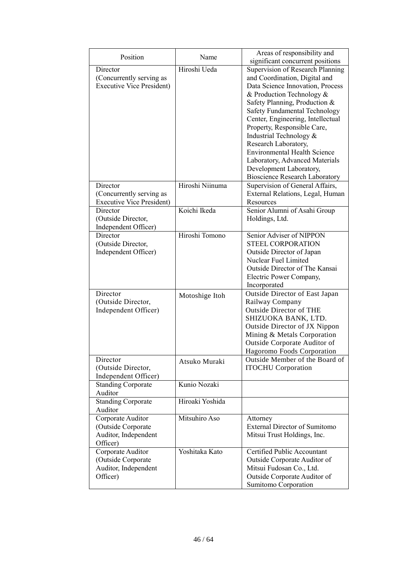| Position                         | Name            | Areas of responsibility and           |
|----------------------------------|-----------------|---------------------------------------|
|                                  |                 | significant concurrent positions      |
| Director                         | Hiroshi Ueda    | Supervision of Research Planning      |
| (Concurrently serving as         |                 | and Coordination, Digital and         |
| <b>Executive Vice President)</b> |                 | Data Science Innovation, Process      |
|                                  |                 | & Production Technology &             |
|                                  |                 | Safety Planning, Production &         |
|                                  |                 | Safety Fundamental Technology         |
|                                  |                 | Center, Engineering, Intellectual     |
|                                  |                 | Property, Responsible Care,           |
|                                  |                 | Industrial Technology &               |
|                                  |                 | Research Laboratory,                  |
|                                  |                 | <b>Environmental Health Science</b>   |
|                                  |                 | Laboratory, Advanced Materials        |
|                                  |                 | Development Laboratory,               |
|                                  |                 | <b>Bioscience Research Laboratory</b> |
| Director                         | Hiroshi Niinuma | Supervision of General Affairs,       |
| (Concurrently serving as         |                 | External Relations, Legal, Human      |
| <b>Executive Vice President)</b> |                 | Resources                             |
| Director                         | Koichi Ikeda    | Senior Alumni of Asahi Group          |
| (Outside Director,               |                 | Holdings, Ltd.                        |
| Independent Officer)             |                 |                                       |
| Director                         | Hiroshi Tomono  | Senior Adviser of NIPPON              |
| (Outside Director,               |                 | <b>STEEL CORPORATION</b>              |
| Independent Officer)             |                 | Outside Director of Japan             |
|                                  |                 | Nuclear Fuel Limited                  |
|                                  |                 | Outside Director of The Kansai        |
|                                  |                 | Electric Power Company,               |
|                                  |                 | Incorporated                          |
| Director                         | Motoshige Itoh  | Outside Director of East Japan        |
| (Outside Director,               |                 | Railway Company                       |
| Independent Officer)             |                 | <b>Outside Director of THE</b>        |
|                                  |                 | SHIZUOKA BANK, LTD.                   |
|                                  |                 | Outside Director of JX Nippon         |
|                                  |                 | Mining & Metals Corporation           |
|                                  |                 | Outside Corporate Auditor of          |
|                                  |                 | Hagoromo Foods Corporation            |
| Director                         | Atsuko Muraki   | Outside Member of the Board of        |
| (Outside Director,               |                 | <b>ITOCHU</b> Corporation             |
| Independent Officer)             |                 |                                       |
| <b>Standing Corporate</b>        | Kunio Nozaki    |                                       |
| Auditor                          |                 |                                       |
| <b>Standing Corporate</b>        | Hiroaki Yoshida |                                       |
| Auditor                          |                 |                                       |
| Corporate Auditor                | Mitsuhiro Aso   | Attorney                              |
| (Outside Corporate               |                 | External Director of Sumitomo         |
| Auditor, Independent             |                 | Mitsui Trust Holdings, Inc.           |
| Officer)                         |                 |                                       |
| Corporate Auditor                | Yoshitaka Kato  | Certified Public Accountant           |
| (Outside Corporate               |                 | Outside Corporate Auditor of          |
| Auditor, Independent             |                 | Mitsui Fudosan Co., Ltd.              |
| Officer)                         |                 | Outside Corporate Auditor of          |
|                                  |                 | Sumitomo Corporation                  |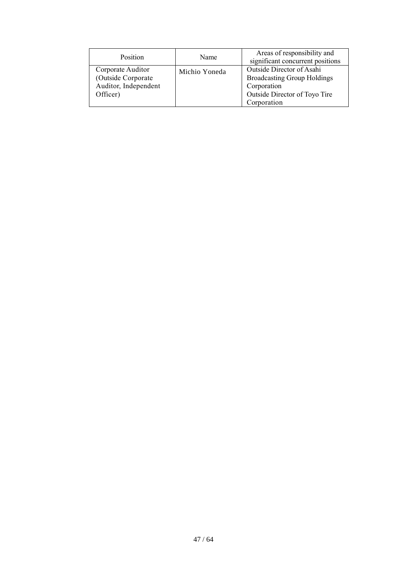| Position                                                                     | Name          | Areas of responsibility and<br>significant concurrent positions                                                                |
|------------------------------------------------------------------------------|---------------|--------------------------------------------------------------------------------------------------------------------------------|
| Corporate Auditor<br>(Outside Corporate)<br>Auditor, Independent<br>Officer) | Michio Yoneda | Outside Director of Asahi<br><b>Broadcasting Group Holdings</b><br>Corporation<br>Outside Director of Toyo Tire<br>Corporation |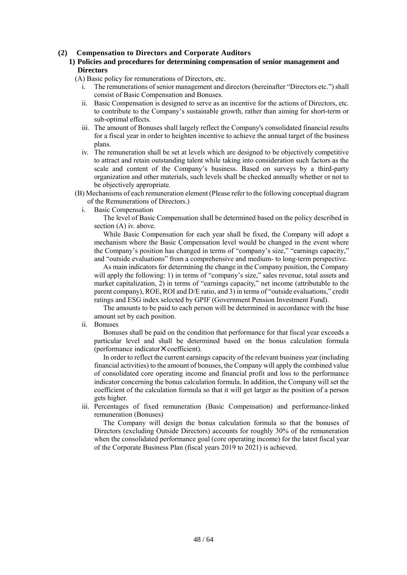## **(2) Compensation to Directors and Corporate Auditors**

### **1) Policies and procedures for determining compensation of senior management and Directors**

(A) Basic policy for remunerations of Directors, etc.

- i. The remunerations of senior management and directors (hereinafter "Directors etc.") shall consist of Basic Compensation and Bonuses.
- ii. Basic Compensation is designed to serve as an incentive for the actions of Directors, etc. to contribute to the Company's sustainable growth, rather than aiming for short-term or sub-optimal effects.
- iii. The amount of Bonuses shall largely reflect the Company's consolidated financial results for a fiscal year in order to heighten incentive to achieve the annual target of the business plans.
- iv. The remuneration shall be set at levels which are designed to be objectively competitive to attract and retain outstanding talent while taking into consideration such factors as the scale and content of the Company's business. Based on surveys by a third-party organization and other materials, such levels shall be checked annually whether or not to be objectively appropriate.
- (B) Mechanisms of each remuneration element (Please refer to the following conceptual diagram of the Remunerations of Directors.)
	- i. Basic Compensation

The level of Basic Compensation shall be determined based on the policy described in section (A) iv. above.

While Basic Compensation for each year shall be fixed, the Company will adopt a mechanism where the Basic Compensation level would be changed in the event where the Company's position has changed in terms of "company's size," "earnings capacity," and "outside evaluations" from a comprehensive and medium- to long-term perspective.

As main indicators for determining the change in the Company position, the Company will apply the following: 1) in terms of "company's size," sales revenue, total assets and market capitalization, 2) in terms of "earnings capacity," net income (attributable to the parent company), ROE, ROI and D/E ratio, and 3) in terms of "outside evaluations," credit ratings and ESG index selected by GPIF (Government Pension Investment Fund).

The amounts to be paid to each person will be determined in accordance with the base amount set by each position.

ii. Bonuses

Bonuses shall be paid on the condition that performance for that fiscal year exceeds a particular level and shall be determined based on the bonus calculation formula (performance indicator✕coefficient).

In order to reflect the current earnings capacity of the relevant business year (including financial activities) to the amount of bonuses, the Company will apply the combined value of consolidated core operating income and financial profit and loss to the performance indicator concerning the bonus calculation formula. In addition, the Company will set the coefficient of the calculation formula so that it will get larger as the position of a person gets higher.

iii. Percentages of fixed remuneration (Basic Compensation) and performance-linked remuneration (Bonuses)

The Company will design the bonus calculation formula so that the bonuses of Directors (excluding Outside Directors) accounts for roughly 30% of the remuneration when the consolidated performance goal (core operating income) for the latest fiscal year of the Corporate Business Plan (fiscal years 2019 to 2021) is achieved.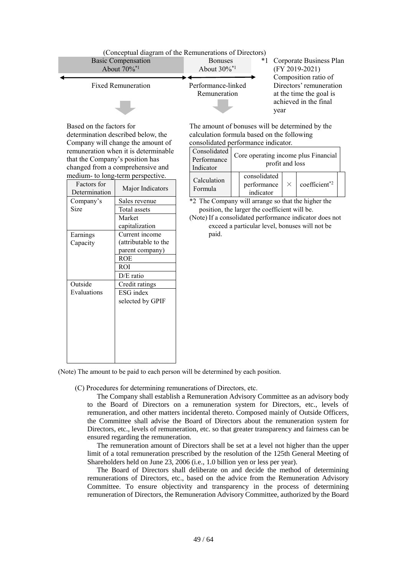

(C) Procedures for determining remunerations of Directors, etc.

The Company shall establish a Remuneration Advisory Committee as an advisory body to the Board of Directors on a remuneration system for Directors, etc., levels of remuneration, and other matters incidental thereto. Composed mainly of Outside Officers, the Committee shall advise the Board of Directors about the remuneration system for Directors, etc., levels of remuneration, etc. so that greater transparency and fairness can be ensured regarding the remuneration.

The remuneration amount of Directors shall be set at a level not higher than the upper limit of a total remuneration prescribed by the resolution of the 125th General Meeting of Shareholders held on June 23, 2006 (i.e., 1.0 billion yen or less per year).

The Board of Directors shall deliberate on and decide the method of determining remunerations of Directors, etc., based on the advice from the Remuneration Advisory Committee. To ensure objectivity and transparency in the process of determining remuneration of Directors, the Remuneration Advisory Committee, authorized by the Board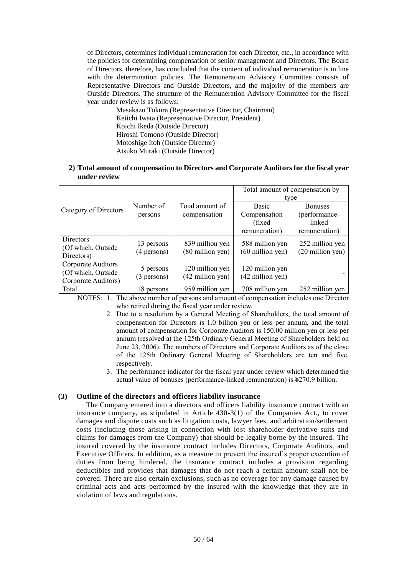of Directors, determines individual remuneration for each Director, etc., in accordance with the policies for determining compensation of senior management and Directors. The Board of Directors, therefore, has concluded that the content of individual remuneration is in line with the determination policies. The Remuneration Advisory Committee consists of Representative Directors and Outside Directors, and the majority of the members are Outside Directors. The structure of the Remuneration Advisory Committee for the fiscal year under review is as follows:

> Masakazu Tokura (Representative Director, Chairman) Keiichi Iwata (Representative Director, President) Koichi Ikeda (Outside Director) Hiroshi Tomono (Outside Director) Motoshige Itoh (Outside Director) Atsuko Muraki (Outside Director)

## **2) Total amount of compensation to Directors and Corporate Auditors for the fiscal year under review**

|                       |               |                  | Total amount of compensation by |                            |  |
|-----------------------|---------------|------------------|---------------------------------|----------------------------|--|
|                       |               |                  | type                            |                            |  |
| Category of Directors | Number of     | Total amount of  | <b>Basic</b>                    | <b>Bonuses</b>             |  |
|                       | persons       | compensation     | Compensation                    | (performance-              |  |
|                       |               |                  | (fixed)                         | linked                     |  |
|                       |               |                  | remuneration)                   | remuneration)              |  |
| Directors             |               |                  |                                 |                            |  |
| (Of which, Outside    | 13 persons    | 839 million yen  | 588 million yen                 | 252 million yen            |  |
| Directors)            | $(4$ persons) | (80 million yen) | (60 million yen)                | $(20 \text{ million yen})$ |  |
| Corporate Auditors    |               |                  |                                 |                            |  |
| (Of which, Outside    | 5 persons     | 120 million yen  | 120 million yen                 |                            |  |
| Corporate Auditors)   | $(3$ persons) | (42 million yen) | $(42$ million yen)              |                            |  |
| Total                 | 18 persons    | 959 million yen  | 708 million yen                 | 252 million yen            |  |

NOTES: 1. The above number of persons and amount of compensation includes one Director who retired during the fiscal year under review.

- 2. Due to a resolution by a General Meeting of Shareholders, the total amount of compensation for Directors is 1.0 billion yen or less per annum, and the total amount of compensation for Corporate Auditors is 150.00 million yen or less per annum (resolved at the 125th Ordinary General Meeting of Shareholders held on June 23, 2006). The numbers of Directors and Corporate Auditors as of the close of the 125th Ordinary General Meeting of Shareholders are ten and five, respectively.
- 3. The performance indicator for the fiscal year under review which determined the actual value of bonuses (performance-linked remuneration) is ¥270.9 billion.

# **(3) Outline of the directors and officers liability insurance**

The Company entered into a directors and officers liability insurance contract with an insurance company, as stipulated in Article 430-3(1) of the Companies Act., to cover damages and dispute costs such as litigation costs, lawyer fees, and arbitration/settlement costs (including those arising in connection with lost shareholder derivative suits and claims for damages from the Company) that should be legally borne by the insured. The insured covered by the insurance contract includes Directors, Corporate Auditors, and Executive Officers. In addition, as a measure to prevent the insured's proper execution of duties from being hindered, the insurance contract includes a provision regarding deductibles and provides that damages that do not reach a certain amount shall not be covered. There are also certain exclusions, such as no coverage for any damage caused by criminal acts and acts performed by the insured with the knowledge that they are in violation of laws and regulations.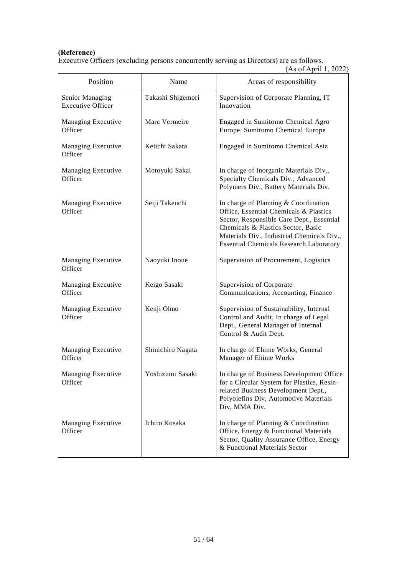**(Reference)**

Executive Officers (excluding persons concurrently serving as Directors) are as follows.

|                                             |                   | (As of April 1, 2022)                                                                                                                                                                                                                                             |
|---------------------------------------------|-------------------|-------------------------------------------------------------------------------------------------------------------------------------------------------------------------------------------------------------------------------------------------------------------|
| Position                                    | Name              | Areas of responsibility                                                                                                                                                                                                                                           |
| Senior Managing<br><b>Executive Officer</b> | Takashi Shigemori | Supervision of Corporate Planning, IT<br>Innovation                                                                                                                                                                                                               |
| Managing Executive<br>Officer               | Marc Vermeire     | Engaged in Sumitomo Chemical Agro<br>Europe, Sumitomo Chemical Europe                                                                                                                                                                                             |
| Managing Executive<br>Officer               | Keiichi Sakata    | Engaged in Sumitomo Chemical Asia                                                                                                                                                                                                                                 |
| Managing Executive<br>Officer               | Motoyuki Sakai    | In charge of Inorganic Materials Div.,<br>Specialty Chemicals Div., Advanced<br>Polymers Div., Battery Materials Div.                                                                                                                                             |
| Managing Executive<br>Officer               | Seiji Takeuchi    | In charge of Planning & Coordination<br>Office, Essential Chemicals & Plastics<br>Sector, Responsible Care Dept., Essential<br>Chemicals & Plastics Sector, Basic<br>Materials Div., Industrial Chemicals Div.,<br><b>Essential Chemicals Research Laboratory</b> |
| Managing Executive<br>Officer               | Naoyuki Inoue     | Supervision of Procurement, Logistics                                                                                                                                                                                                                             |
| Managing Executive<br>Officer               | Keigo Sasaki      | Supervision of Corporate<br>Communications, Accounting, Finance                                                                                                                                                                                                   |
| Managing Executive<br>Officer               | Kenji Ohno        | Supervision of Sustainability, Internal<br>Control and Audit, In charge of Legal<br>Dept., General Manager of Internal<br>Control & Audit Dept.                                                                                                                   |
| Managing Executive<br>Officer               | Shinichiro Nagata | In charge of Ehime Works, General<br>Manager of Ehime Works                                                                                                                                                                                                       |
| <b>Managing Executive</b><br>Officer        | Yoshizumi Sasaki  | In charge of Business Development Office<br>for a Circular System for Plastics, Resin-<br>related Business Development Dept.,<br>Polyolefins Div, Automotive Materials<br>Div, MMA Div.                                                                           |
| Managing Executive<br>Officer               | Ichiro Kosaka     | In charge of Planning & Coordination<br>Office, Energy & Functional Materials<br>Sector, Quality Assurance Office, Energy<br>& Functional Materials Sector                                                                                                        |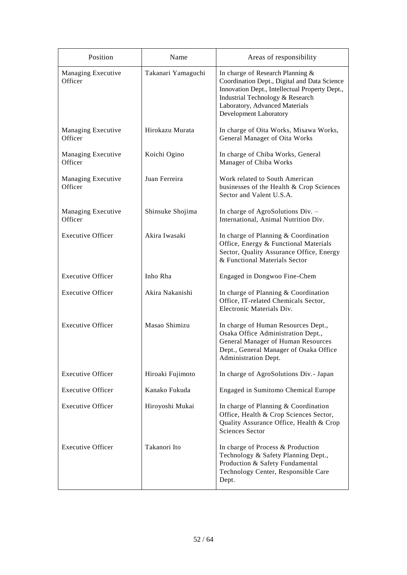| Position                      | Name               | Areas of responsibility                                                                                                                                                                                                            |
|-------------------------------|--------------------|------------------------------------------------------------------------------------------------------------------------------------------------------------------------------------------------------------------------------------|
| Managing Executive<br>Officer | Takanari Yamaguchi | In charge of Research Planning &<br>Coordination Dept., Digital and Data Science<br>Innovation Dept., Intellectual Property Dept.,<br>Industrial Technology & Research<br>Laboratory, Advanced Materials<br>Development Laboratory |
| Managing Executive<br>Officer | Hirokazu Murata    | In charge of Oita Works, Misawa Works,<br>General Manager of Oita Works                                                                                                                                                            |
| Managing Executive<br>Officer | Koichi Ogino       | In charge of Chiba Works, General<br>Manager of Chiba Works                                                                                                                                                                        |
| Managing Executive<br>Officer | Juan Ferreira      | Work related to South American<br>businesses of the Health & Crop Sciences<br>Sector and Valent U.S.A.                                                                                                                             |
| Managing Executive<br>Officer | Shinsuke Shojima   | In charge of AgroSolutions Div. -<br>International, Animal Nutrition Div.                                                                                                                                                          |
| <b>Executive Officer</b>      | Akira Iwasaki      | In charge of Planning & Coordination<br>Office, Energy & Functional Materials<br>Sector, Quality Assurance Office, Energy<br>& Functional Materials Sector                                                                         |
| <b>Executive Officer</b>      | Inho Rha           | Engaged in Dongwoo Fine-Chem                                                                                                                                                                                                       |
| <b>Executive Officer</b>      | Akira Nakanishi    | In charge of Planning & Coordination<br>Office, IT-related Chemicals Sector,<br>Electronic Materials Div.                                                                                                                          |
| <b>Executive Officer</b>      | Masao Shimizu      | In charge of Human Resources Dept.,<br>Osaka Office Administration Dept.,<br>General Manager of Human Resources<br>Dept., General Manager of Osaka Office<br>Administration Dept.                                                  |
| <b>Executive Officer</b>      | Hiroaki Fujimoto   | In charge of AgroSolutions Div. - Japan                                                                                                                                                                                            |
| <b>Executive Officer</b>      | Kanako Fukuda      | Engaged in Sumitomo Chemical Europe                                                                                                                                                                                                |
| <b>Executive Officer</b>      | Hiroyoshi Mukai    | In charge of Planning & Coordination<br>Office, Health & Crop Sciences Sector,<br>Quality Assurance Office, Health & Crop<br>Sciences Sector                                                                                       |
| <b>Executive Officer</b>      | Takanori Ito       | In charge of Process & Production<br>Technology & Safety Planning Dept.,<br>Production & Safety Fundamental<br>Technology Center, Responsible Care<br>Dept.                                                                        |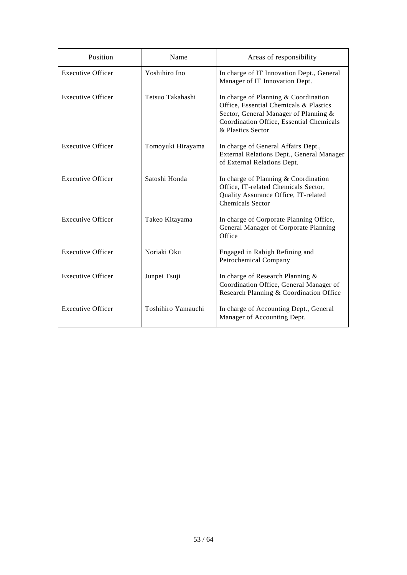| Position                 | Name               | Areas of responsibility                                                                                                                                                                    |
|--------------------------|--------------------|--------------------------------------------------------------------------------------------------------------------------------------------------------------------------------------------|
| <b>Executive Officer</b> | Yoshihiro Ino      | In charge of IT Innovation Dept., General<br>Manager of IT Innovation Dept.                                                                                                                |
| <b>Executive Officer</b> | Tetsuo Takahashi   | In charge of Planning $&$ Coordination<br>Office, Essential Chemicals & Plastics<br>Sector, General Manager of Planning &<br>Coordination Office, Essential Chemicals<br>& Plastics Sector |
| <b>Executive Officer</b> | Tomoyuki Hirayama  | In charge of General Affairs Dept.,<br>External Relations Dept., General Manager<br>of External Relations Dept.                                                                            |
| <b>Executive Officer</b> | Satoshi Honda      | In charge of Planning & Coordination<br>Office, IT-related Chemicals Sector,<br>Quality Assurance Office, IT-related<br><b>Chemicals Sector</b>                                            |
| <b>Executive Officer</b> | Takeo Kitayama     | In charge of Corporate Planning Office,<br>General Manager of Corporate Planning<br>Office                                                                                                 |
| <b>Executive Officer</b> | Noriaki Oku        | Engaged in Rabigh Refining and<br>Petrochemical Company                                                                                                                                    |
| <b>Executive Officer</b> | Junpei Tsuji       | In charge of Research Planning &<br>Coordination Office, General Manager of<br>Research Planning & Coordination Office                                                                     |
| <b>Executive Officer</b> | Toshihiro Yamauchi | In charge of Accounting Dept., General<br>Manager of Accounting Dept.                                                                                                                      |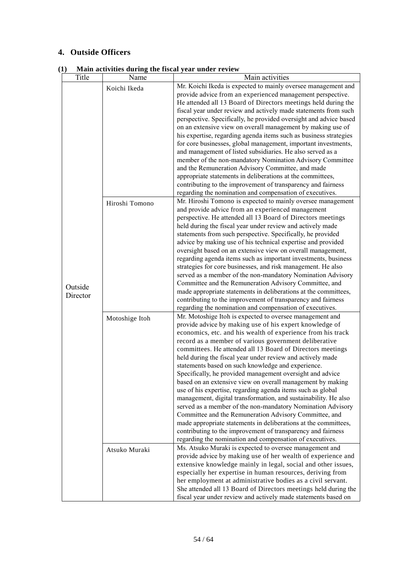# **4. Outside Officers**

| Title    | Name           | Main activities                                                                                                          |
|----------|----------------|--------------------------------------------------------------------------------------------------------------------------|
|          | Koichi Ikeda   | Mr. Koichi Ikeda is expected to mainly oversee management and                                                            |
|          |                | provide advice from an experienced management perspective.                                                               |
|          |                | He attended all 13 Board of Directors meetings held during the                                                           |
|          |                | fiscal year under review and actively made statements from such                                                          |
|          |                | perspective. Specifically, he provided oversight and advice based                                                        |
|          |                | on an extensive view on overall management by making use of                                                              |
|          |                | his expertise, regarding agenda items such as business strategies                                                        |
|          |                | for core businesses, global management, important investments,                                                           |
|          |                | and management of listed subsidiaries. He also served as a                                                               |
|          |                | member of the non-mandatory Nomination Advisory Committee                                                                |
|          |                | and the Remuneration Advisory Committee, and made                                                                        |
|          |                | appropriate statements in deliberations at the committees,                                                               |
|          |                | contributing to the improvement of transparency and fairness                                                             |
|          |                | regarding the nomination and compensation of executives.                                                                 |
|          | Hiroshi Tomono | Mr. Hiroshi Tomono is expected to mainly oversee management                                                              |
|          |                | and provide advice from an experienced management                                                                        |
|          |                | perspective. He attended all 13 Board of Directors meetings                                                              |
|          |                | held during the fiscal year under review and actively made                                                               |
|          |                | statements from such perspective. Specifically, he provided                                                              |
|          |                | advice by making use of his technical expertise and provided                                                             |
|          |                | oversight based on an extensive view on overall management,                                                              |
|          |                | regarding agenda items such as important investments, business                                                           |
|          |                | strategies for core businesses, and risk management. He also                                                             |
|          |                | served as a member of the non-mandatory Nomination Advisory<br>Committee and the Remuneration Advisory Committee, and    |
| Outside  |                | made appropriate statements in deliberations at the committees,                                                          |
| Director |                | contributing to the improvement of transparency and fairness                                                             |
|          |                | regarding the nomination and compensation of executives.                                                                 |
|          |                | Mr. Motoshige Itoh is expected to oversee management and                                                                 |
|          | Motoshige Itoh | provide advice by making use of his expert knowledge of                                                                  |
|          |                | economics, etc. and his wealth of experience from his track                                                              |
|          |                | record as a member of various government deliberative                                                                    |
|          |                | committees. He attended all 13 Board of Directors meetings                                                               |
|          |                | held during the fiscal year under review and actively made                                                               |
|          |                | statements based on such knowledge and experience.                                                                       |
|          |                | Specifically, he provided management oversight and advice                                                                |
|          |                | based on an extensive view on overall management by making                                                               |
|          |                | use of his expertise, regarding agenda items such as global                                                              |
|          |                | management, digital transformation, and sustainability. He also                                                          |
|          |                | served as a member of the non-mandatory Nomination Advisory                                                              |
|          |                | Committee and the Remuneration Advisory Committee, and                                                                   |
|          |                | made appropriate statements in deliberations at the committees,                                                          |
|          |                | contributing to the improvement of transparency and fairness<br>regarding the nomination and compensation of executives. |
|          |                | Ms. Atsuko Muraki is expected to oversee management and                                                                  |
|          | Atsuko Muraki  | provide advice by making use of her wealth of experience and                                                             |
|          |                | extensive knowledge mainly in legal, social and other issues,                                                            |
|          |                | especially her expertise in human resources, deriving from                                                               |
|          |                | her employment at administrative bodies as a civil servant.                                                              |
|          |                | She attended all 13 Board of Directors meetings held during the                                                          |
|          |                | fiscal year under review and actively made statements based on                                                           |

# **(1) Main activities during the fiscal year under review**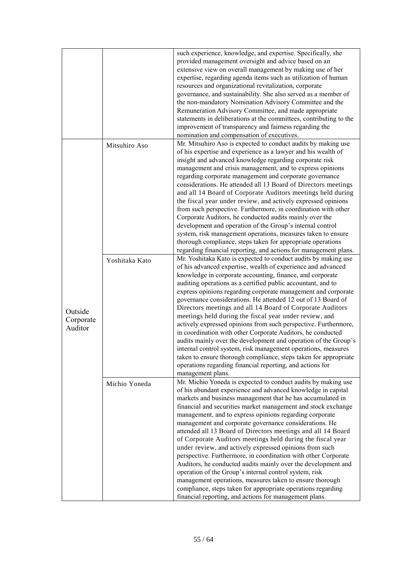|                      |                | such experience, knowledge, and expertise. Specifically, she<br>provided management oversight and advice based on an        |
|----------------------|----------------|-----------------------------------------------------------------------------------------------------------------------------|
|                      |                | extensive view on overall management by making use of her<br>expertise, regarding agenda items such as utilization of human |
|                      |                | resources and organizational revitalization, corporate                                                                      |
|                      |                | governance, and sustainability. She also served as a member of                                                              |
|                      |                | the non-mandatory Nomination Advisory Committee and the                                                                     |
|                      |                | Remuneration Advisory Committee, and made appropriate                                                                       |
|                      |                | statements in deliberations at the committees, contributing to the                                                          |
|                      |                | improvement of transparency and fairness regarding the                                                                      |
|                      |                | nomination and compensation of executives.                                                                                  |
|                      | Mitsuhiro Aso  | Mr. Mitsuhiro Aso is expected to conduct audits by making use                                                               |
|                      |                | of his expertise and experience as a lawyer and his wealth of                                                               |
|                      |                | insight and advanced knowledge regarding corporate risk                                                                     |
|                      |                | management and crisis management, and to express opinions                                                                   |
|                      |                | regarding corporate management and corporate governance                                                                     |
|                      |                | considerations. He attended all 13 Board of Directors meetings                                                              |
|                      |                | and all 14 Board of Corporate Auditors meetings held during                                                                 |
|                      |                | the fiscal year under review, and actively expressed opinions                                                               |
|                      |                | from such perspective. Furthermore, in coordination with other                                                              |
|                      |                | Corporate Auditors, he conducted audits mainly over the<br>development and operation of the Group's internal control        |
|                      |                | system, risk management operations, measures taken to ensure                                                                |
|                      |                | thorough compliance, steps taken for appropriate operations                                                                 |
|                      |                | regarding financial reporting, and actions for management plans.                                                            |
|                      |                | Mr. Yoshitaka Kato is expected to conduct audits by making use                                                              |
|                      | Yoshitaka Kato | of his advanced expertise, wealth of experience and advanced                                                                |
|                      |                | knowledge in corporate accounting, finance, and corporate                                                                   |
|                      |                | auditing operations as a certified public accountant, and to                                                                |
|                      |                | express opinions regarding corporate management and corporate                                                               |
|                      |                | governance considerations. He attended 12 out of 13 Board of                                                                |
|                      |                | Directors meetings and all 14 Board of Corporate Auditors                                                                   |
| Outside              |                | meetings held during the fiscal year under review, and                                                                      |
| Corporate<br>Auditor |                | actively expressed opinions from such perspective. Furthermore,                                                             |
|                      |                | in coordination with other Corporate Auditors, he conducted                                                                 |
|                      |                | audits mainly over the development and operation of the Group's                                                             |
|                      |                | internal control system, risk management operations, measures                                                               |
|                      |                | taken to ensure thorough compliance, steps taken for appropriate                                                            |
|                      |                | operations regarding financial reporting, and actions for                                                                   |
|                      |                | management plans.                                                                                                           |
|                      | Michio Yoneda  | Mr. Michio Yoneda is expected to conduct audits by making use                                                               |
|                      |                | of his abundant experience and advanced knowledge in capital                                                                |
|                      |                | markets and business management that he has accumulated in                                                                  |
|                      |                | financial and securities market management and stock exchange                                                               |
|                      |                | management, and to express opinions regarding corporate                                                                     |
|                      |                | management and corporate governance considerations. He                                                                      |
|                      |                | attended all 13 Board of Directors meetings and all 14 Board                                                                |
|                      |                | of Corporate Auditors meetings held during the fiscal year                                                                  |
|                      |                | under review, and actively expressed opinions from such<br>perspective. Furthermore, in coordination with other Corporate   |
|                      |                | Auditors, he conducted audits mainly over the development and                                                               |
|                      |                | operation of the Group's internal control system, risk                                                                      |
|                      |                | management operations, measures taken to ensure thorough                                                                    |
|                      |                | compliance, steps taken for appropriate operations regarding                                                                |
|                      |                | financial reporting, and actions for management plans.                                                                      |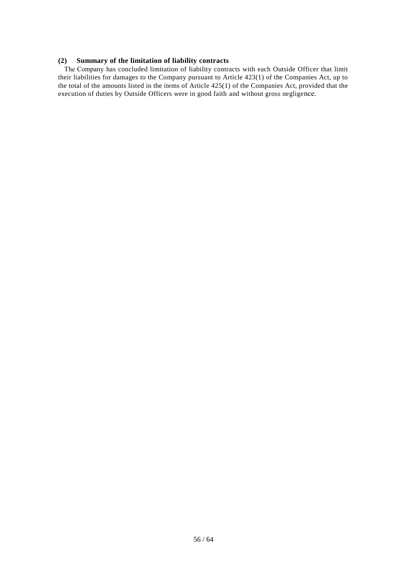## **(2) Summary of the limitation of liability contracts**

The Company has concluded limitation of liability contracts with each Outside Officer that limit their liabilities for damages to the Company pursuant to Article 423(1) of the Companies Act, up to the total of the amounts listed in the items of Article 425(1) of the Companies Act, provided that the execution of duties by Outside Officers were in good faith and without gross negligence.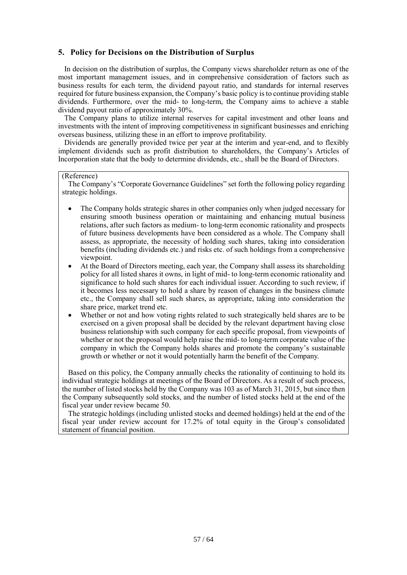# **5. Policy for Decisions on the Distribution of Surplus**

In decision on the distribution of surplus, the Company views shareholder return as one of the most important management issues, and in comprehensive consideration of factors such as business results for each term, the dividend payout ratio, and standards for internal reserves required for future business expansion, the Company's basic policy is to continue providing stable dividends. Furthermore, over the mid- to long-term, the Company aims to achieve a stable dividend payout ratio of approximately 30%.

The Company plans to utilize internal reserves for capital investment and other loans and investments with the intent of improving competitiveness in significant businesses and enriching overseas business, utilizing these in an effort to improve profitability.

Dividends are generally provided twice per year at the interim and year-end, and to flexibly implement dividends such as profit distribution to shareholders, the Company's Articles of Incorporation state that the body to determine dividends, etc., shall be the Board of Directors.

# (Reference)

The Company's "Corporate Governance Guidelines" set forth the following policy regarding strategic holdings.

- The Company holds strategic shares in other companies only when judged necessary for ensuring smooth business operation or maintaining and enhancing mutual business relations, after such factors as medium- to long-term economic rationality and prospects of future business developments have been considered as a whole. The Company shall assess, as appropriate, the necessity of holding such shares, taking into consideration benefits (including dividends etc.) and risks etc. of such holdings from a comprehensive viewpoint.
- At the Board of Directors meeting, each year, the Company shall assess its shareholding policy for all listed shares it owns, in light of mid- to long-term economic rationality and significance to hold such shares for each individual issuer. According to such review, if it becomes less necessary to hold a share by reason of changes in the business climate etc., the Company shall sell such shares, as appropriate, taking into consideration the share price, market trend etc.
- Whether or not and how voting rights related to such strategically held shares are to be exercised on a given proposal shall be decided by the relevant department having close business relationship with such company for each specific proposal, from viewpoints of whether or not the proposal would help raise the mid- to long-term corporate value of the company in which the Company holds shares and promote the company's sustainable growth or whether or not it would potentially harm the benefit of the Company.

Based on this policy, the Company annually checks the rationality of continuing to hold its individual strategic holdings at meetings of the Board of Directors. As a result of such process, the number of listed stocks held by the Company was 103 as of March 31, 2015, but since then the Company subsequently sold stocks, and the number of listed stocks held at the end of the fiscal year under review became 50.

The strategic holdings (including unlisted stocks and deemed holdings) held at the end of the fiscal year under review account for 17.2% of total equity in the Group's consolidated statement of financial position.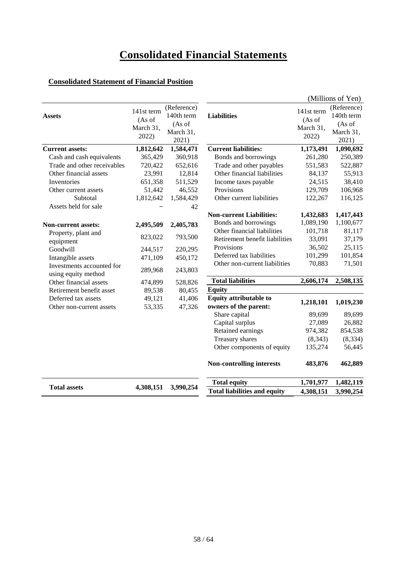# **Consolidated Financial Statements**

# **Consolidated Statement of Financial Position**

|                                                  |                                            |                                                           |                                     |                                            | (Millions of Yen)                                         |
|--------------------------------------------------|--------------------------------------------|-----------------------------------------------------------|-------------------------------------|--------------------------------------------|-----------------------------------------------------------|
| <b>Assets</b>                                    | 141st term<br>(As of<br>March 31,<br>2022) | (Reference)<br>140th term<br>(As of<br>March 31,<br>2021) | <b>Liabilities</b>                  | 141st term<br>(As of<br>March 31,<br>2022) | (Reference)<br>140th term<br>(As of<br>March 31,<br>2021) |
| <b>Current assets:</b>                           | 1,812,642                                  | 1,584,471                                                 | <b>Current liabilities:</b>         | 1,173,491                                  | 1,090,692                                                 |
| Cash and cash equivalents                        | 365,429                                    | 360,918                                                   | Bonds and borrowings                | 261,280                                    | 250,389                                                   |
| Trade and other receivables                      | 720,422                                    | 652,616                                                   | Trade and other payables            | 551,583                                    | 522,887                                                   |
| Other financial assets                           | 23,991                                     | 12,814                                                    | Other financial liabilities         | 84,137                                     | 55,913                                                    |
| Inventories                                      | 651,358                                    | 511,529                                                   | Income taxes payable                | 24,515                                     | 38,410                                                    |
| Other current assets                             | 51,442                                     | 46,552                                                    | Provisions                          | 129,709                                    | 106,968                                                   |
| Subtotal                                         | 1,812,642                                  | 1,584,429                                                 | Other current liabilities           | 122,267                                    | 116,125                                                   |
| Assets held for sale                             |                                            | 42                                                        |                                     |                                            |                                                           |
|                                                  |                                            |                                                           | <b>Non-current Liabilities:</b>     | 1,432,683                                  | 1,417,443                                                 |
| Non-current assets:                              | 2,495,509                                  | 2,405,783                                                 | Bonds and borrowings                | 1,089,190                                  | 1,100,677                                                 |
| Property, plant and                              |                                            |                                                           | Other financial liabilities         | 101,718                                    | 81,117                                                    |
| equipment                                        | 823,022                                    | 793,500                                                   | Retirement benefit liabilities      | 33,091                                     | 37,179                                                    |
| Goodwill                                         | 244,517                                    | 220,295                                                   | Provisions                          | 36,502                                     | 25,115                                                    |
| Intangible assets                                | 471,109                                    | 450,172                                                   | Deferred tax liabilities            | 101,299                                    | 101,854                                                   |
| Investments accounted for<br>using equity method | 289,968                                    | 243,803                                                   | Other non-current liabilities       | 70,883                                     | 71,501                                                    |
| Other financial assets                           | 474,899                                    | 528,826                                                   | <b>Total liabilities</b>            | 2,606,174                                  | 2,508,135                                                 |
| Retirement benefit asset                         | 89,538                                     | 80,455                                                    | <b>Equity</b>                       |                                            |                                                           |
| Deferred tax assets                              | 49,121                                     | 41,406                                                    | <b>Equity attributable to</b>       |                                            |                                                           |
| Other non-current assets                         | 53,335                                     | 47,326                                                    | owners of the parent:               | 1,218,101                                  | 1,019,230                                                 |
|                                                  |                                            |                                                           | Share capital                       | 89,699                                     | 89,699                                                    |
|                                                  |                                            |                                                           | Capital surplus                     | 27,089                                     | 26,882                                                    |
|                                                  |                                            |                                                           | Retained earnings                   | 974,382                                    | 854,538                                                   |
|                                                  |                                            |                                                           | Treasury shares                     | (8,343)                                    | (8, 334)                                                  |
|                                                  |                                            |                                                           | Other components of equity          | 135,274                                    | 56,445                                                    |
|                                                  |                                            |                                                           | Non-controlling interests           | 483,876                                    | 462,889                                                   |
|                                                  |                                            |                                                           | <b>Total equity</b>                 | 1,701,977                                  | 1,482,119                                                 |
| <b>Total assets</b>                              | 4,308,151                                  | 3,990,254                                                 | <b>Total liabilities and equity</b> | 4,308,151                                  | 3,990,254                                                 |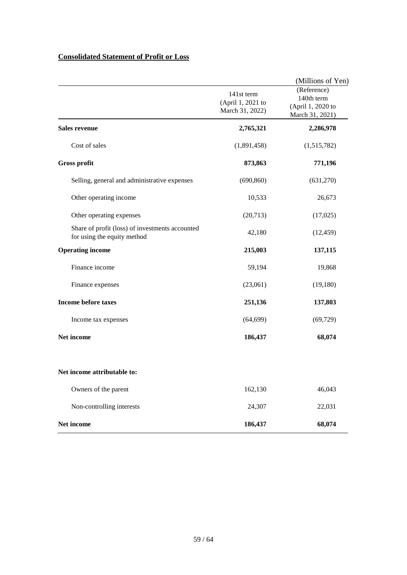# **Consolidated Statement of Profit or Loss**

|                                                                                |                                                    | (Millions of Yen)                                                 |
|--------------------------------------------------------------------------------|----------------------------------------------------|-------------------------------------------------------------------|
|                                                                                | 141st term<br>(April 1, 2021 to<br>March 31, 2022) | (Reference)<br>140th term<br>(April 1, 2020 to<br>March 31, 2021) |
| <b>Sales revenue</b>                                                           | 2,765,321                                          | 2,286,978                                                         |
| Cost of sales                                                                  | (1,891,458)                                        | (1,515,782)                                                       |
| Gross profit                                                                   | 873,863                                            | 771,196                                                           |
| Selling, general and administrative expenses                                   | (690, 860)                                         | (631,270)                                                         |
| Other operating income                                                         | 10,533                                             | 26,673                                                            |
| Other operating expenses                                                       | (20, 713)                                          | (17,025)                                                          |
| Share of profit (loss) of investments accounted<br>for using the equity method | 42,180                                             | (12, 459)                                                         |
| <b>Operating income</b>                                                        | 215,003                                            | 137,115                                                           |
| Finance income                                                                 | 59,194                                             | 19,868                                                            |
| Finance expenses                                                               | (23,061)                                           | (19, 180)                                                         |
| <b>Income before taxes</b>                                                     | 251,136                                            | 137,803                                                           |
| Income tax expenses                                                            | (64, 699)                                          | (69, 729)                                                         |
| Net income                                                                     | 186,437                                            | 68,074                                                            |
| Net income attributable to:                                                    |                                                    |                                                                   |
| Owners of the parent                                                           | 162,130                                            | 46,043                                                            |
| Non-controlling interests                                                      | 24,307                                             | 22,031                                                            |
| <b>Net income</b>                                                              | 186,437                                            | 68,074                                                            |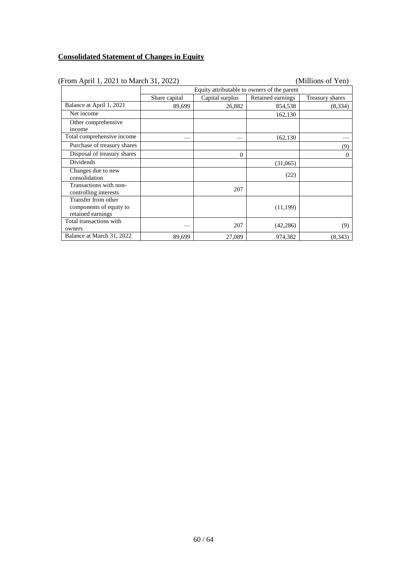# **Consolidated Statement of Changes in Equity**

| (From April 1, 2021 to March 31, 2022)          |               |                 |                                             | (Millions of Yen) |  |
|-------------------------------------------------|---------------|-----------------|---------------------------------------------|-------------------|--|
|                                                 |               |                 | Equity attributable to owners of the parent |                   |  |
|                                                 | Share capital | Capital surplus | Retained earnings                           | Treasury shares   |  |
| Balance at April 1, 2021                        | 89,699        | 26,882          | 854,538                                     | (8,334)           |  |
| Net income                                      |               |                 | 162,130                                     |                   |  |
| Other comprehensive                             |               |                 |                                             |                   |  |
| income                                          |               |                 |                                             |                   |  |
| Total comprehensive income                      |               |                 | 162,130                                     |                   |  |
| Purchase of treasury shares                     |               |                 |                                             | (9)               |  |
| Disposal of treasury shares                     |               | $\theta$        |                                             | $\theta$          |  |
| <b>Dividends</b>                                |               |                 | (31,065)                                    |                   |  |
| Changes due to new                              |               |                 | (22)                                        |                   |  |
| consolidation                                   |               |                 |                                             |                   |  |
| Transactions with non-<br>controlling interests |               | 207             |                                             |                   |  |
| Transfer from other                             |               |                 |                                             |                   |  |
| components of equity to                         |               |                 | (11, 199)                                   |                   |  |
| retained earnings                               |               |                 |                                             |                   |  |
| Total transactions with                         |               | 207             | (42, 286)                                   | (9)               |  |
| owners                                          |               |                 |                                             |                   |  |
| Balance at March 31, 2022                       | 89,699        | 27,089          | 974,382                                     | (8,343)           |  |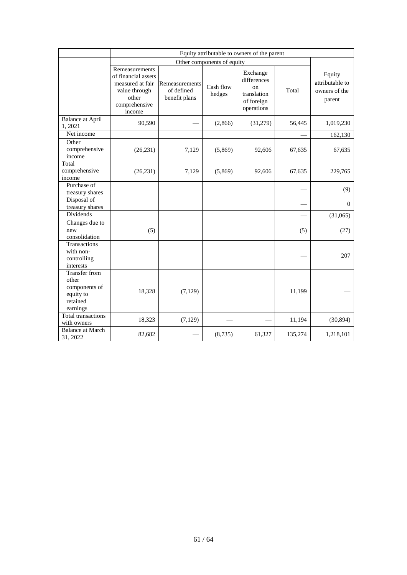|                                                                                     | Equity attributable to owners of the parent                                                                    |                                               |                     |                                                                                     |         |                                                      |
|-------------------------------------------------------------------------------------|----------------------------------------------------------------------------------------------------------------|-----------------------------------------------|---------------------|-------------------------------------------------------------------------------------|---------|------------------------------------------------------|
|                                                                                     | Other components of equity                                                                                     |                                               |                     |                                                                                     |         |                                                      |
|                                                                                     | Remeasurements<br>of financial assets<br>measured at fair<br>value through<br>other<br>comprehensive<br>income | Remeasurements<br>of defined<br>benefit plans | Cash flow<br>hedges | Exchange<br>differences<br><sub>on</sub><br>translation<br>of foreign<br>operations | Total   | Equity<br>attributable to<br>owners of the<br>parent |
| <b>Balance at April</b><br>1,2021                                                   | 90,590                                                                                                         |                                               | (2,866)             | (31,279)                                                                            | 56,445  | 1,019,230                                            |
| Net income                                                                          |                                                                                                                |                                               |                     |                                                                                     |         | 162,130                                              |
| Other<br>comprehensive<br>income                                                    | (26, 231)                                                                                                      | 7,129                                         | (5,869)             | 92,606                                                                              | 67,635  | 67,635                                               |
| Total<br>comprehensive<br>income                                                    | (26, 231)                                                                                                      | 7,129                                         | (5,869)             | 92,606                                                                              | 67,635  | 229,765                                              |
| Purchase of<br>treasury shares                                                      |                                                                                                                |                                               |                     |                                                                                     |         | (9)                                                  |
| Disposal of<br>treasury shares                                                      |                                                                                                                |                                               |                     |                                                                                     |         | $\mathbf{0}$                                         |
| Dividends                                                                           |                                                                                                                |                                               |                     |                                                                                     |         | (31,065)                                             |
| Changes due to<br>new<br>consolidation                                              | (5)                                                                                                            |                                               |                     |                                                                                     | (5)     | (27)                                                 |
| Transactions<br>with non-<br>controlling<br>interests                               |                                                                                                                |                                               |                     |                                                                                     |         | 207                                                  |
| <b>Transfer from</b><br>other<br>components of<br>equity to<br>retained<br>earnings | 18,328                                                                                                         | (7,129)                                       |                     |                                                                                     | 11,199  |                                                      |
| <b>Total transactions</b><br>with owners                                            | 18,323                                                                                                         | (7,129)                                       |                     |                                                                                     | 11,194  | (30, 894)                                            |
| <b>Balance</b> at March<br>31, 2022                                                 | 82,682                                                                                                         |                                               | (8,735)             | 61,327                                                                              | 135,274 | 1,218,101                                            |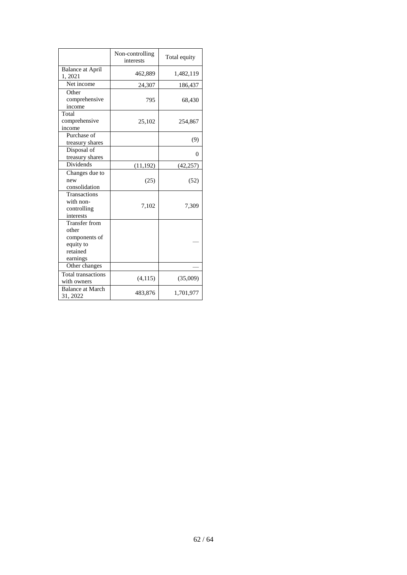|                                                                              | Non-controlling<br>interests | Total equity |
|------------------------------------------------------------------------------|------------------------------|--------------|
| <b>Balance at April</b><br>1,2021                                            | 462,889                      | 1,482,119    |
| Net income                                                                   | 24,307                       | 186,437      |
| Other<br>comprehensive<br>income                                             | 795                          | 68,430       |
| Total<br>comprehensive<br>income                                             | 25,102                       | 254,867      |
| Purchase of<br>treasury shares                                               |                              | (9)          |
| Disposal of<br>treasury shares                                               |                              | 0            |
| <b>Dividends</b>                                                             | (11, 192)                    | (42, 257)    |
| Changes due to<br>new<br>consolidation                                       | (25)                         | (52)         |
| Transactions<br>with non-<br>controlling<br>interests                        | 7,102                        | 7,309        |
| Transfer from<br>other<br>components of<br>equity to<br>retained<br>earnings |                              |              |
| Other changes                                                                |                              |              |
| <b>Total transactions</b><br>with owners                                     | (4, 115)                     | (35,009)     |
| <b>Balance at March</b><br>31, 2022                                          | 483,876                      | 1,701,977    |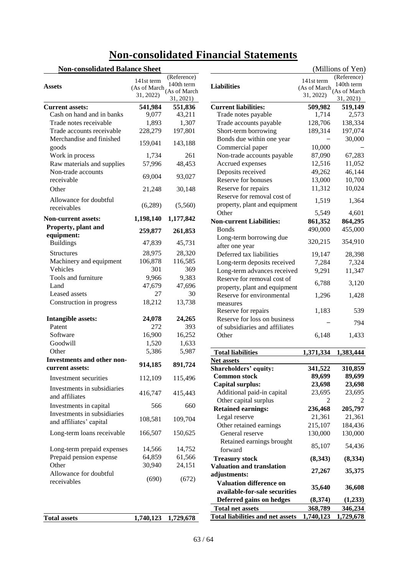|--|

| <b>Non-consolidated Balance Sheet</b>               |                  |                                                  | (Millions of Yen)                       |                               |                  |  |
|-----------------------------------------------------|------------------|--------------------------------------------------|-----------------------------------------|-------------------------------|------------------|--|
|                                                     | 141st term       | (Reference)                                      |                                         | 141st term                    | (Reference)      |  |
| <b>Assets</b>                                       |                  | 140th term<br>$(As of March)$<br>$(As of March)$ | <b>Liabilities</b>                      | $(As of March)$ (As of March) | 140th term       |  |
|                                                     | 31, 2022)        |                                                  |                                         | 31, 2022)                     |                  |  |
|                                                     |                  | 31, 2021)                                        |                                         |                               | 31, 2021)        |  |
| <b>Current assets:</b><br>Cash on hand and in banks | 541,984<br>9,077 | 551,836                                          | <b>Current liabilities:</b>             | 509,982<br>1,714              | 519,149<br>2,573 |  |
|                                                     |                  | 43,211                                           | Trade notes payable                     |                               |                  |  |
| Trade notes receivable                              | 1,893            | 1,307                                            | Trade accounts payable                  | 128,706                       | 138,334          |  |
| Trade accounts receivable                           | 228,279          | 197,801                                          | Short-term borrowing                    | 189,314                       | 197,074          |  |
| Merchandise and finished                            | 159,041          | 143,188                                          | Bonds due within one year               |                               | 30,000           |  |
| goods                                               |                  |                                                  | Commercial paper                        | 10,000                        |                  |  |
| Work in process                                     | 1,734            | 261                                              | Non-trade accounts payable              | 87,090                        | 67,283           |  |
| Raw materials and supplies                          | 57,996           | 48,453                                           | Accrued expenses                        | 12,516                        | 11,052           |  |
| Non-trade accounts                                  |                  |                                                  | Deposits received                       | 49,262                        | 46,144           |  |
| receivable                                          | 69,004           | 93,027                                           | Reserve for bonuses                     | 13,000                        | 10,700           |  |
| Other                                               | 21,248           | 30,148                                           | Reserve for repairs                     | 11,312                        | 10,024           |  |
|                                                     |                  |                                                  | Reserve for removal cost of             |                               |                  |  |
| Allowance for doubtful                              | (6,289)          | (5,560)                                          | property, plant and equipment           | 1,519                         | 1,364            |  |
| receivables                                         |                  |                                                  | Other                                   | 5,549                         | 4,601            |  |
| <b>Non-current assets:</b>                          | 1,198,140        | 1,177,842                                        | <b>Non-current Liabilities:</b>         | 861,352                       | 864,295          |  |
| Property, plant and                                 |                  |                                                  | <b>Bonds</b>                            | 490,000                       | 455,000          |  |
| equipment:                                          | 259,877          | 261,853                                          |                                         |                               |                  |  |
| <b>Buildings</b>                                    | 47,839           | 45,731                                           | Long-term borrowing due                 | 320,215                       | 354,910          |  |
|                                                     |                  | 28,320                                           | after one year                          |                               |                  |  |
| <b>Structures</b>                                   | 28,975           |                                                  | Deferred tax liabilities                | 19,147                        | 28,398           |  |
| Machinery and equipment                             | 106,878          | 116,585                                          | Long-term deposits received             | 7,284                         | 7,324            |  |
| Vehicles                                            | 301              | 369                                              | Long-term advances received             | 9,291                         | 11,347           |  |
| Tools and furniture                                 | 9,966            | 9,383                                            | Reserve for removal cost of             | 6,788                         | 3,120            |  |
| Land                                                | 47,679           | 47,696                                           | property, plant and equipment           |                               |                  |  |
| Leased assets                                       | 27               | 30                                               | Reserve for environmental               | 1,296                         | 1,428            |  |
| Construction in progress                            | 18,212           | 13,738                                           | measures                                |                               |                  |  |
|                                                     |                  |                                                  | Reserve for repairs                     | 1,183                         | 539              |  |
| Intangible assets:                                  | 24,078           | 24,265                                           | Reserve for loss on business            |                               |                  |  |
| Patent                                              | 272              | 393                                              | of subsidiaries and affiliates          |                               | 794              |  |
| Software                                            | 16,900           | 16,252                                           | Other                                   | 6,148                         | 1,433            |  |
| Goodwill                                            | 1,520            | 1,633                                            |                                         |                               |                  |  |
| Other                                               | 5,386            | 5,987                                            | <b>Total liabilities</b>                | 1,371,334                     | 1,383,444        |  |
| <b>Investments and other non-</b>                   |                  |                                                  | Net assets                              |                               |                  |  |
| current assets:                                     | 914,185          | 891,724                                          | <b>Shareholders' equity:</b>            | 341,522                       | 310,859          |  |
|                                                     |                  |                                                  | <b>Common stock</b>                     | 89,699                        | 89,699           |  |
| Investment securities                               | 112,109          | 115,496                                          | <b>Capital surplus:</b>                 |                               |                  |  |
| Investments in subsidiaries                         |                  |                                                  |                                         | 23,698                        | 23,698           |  |
| and affiliates                                      | 416,747          | 415,443                                          | Additional paid-in capital              | 23,695                        | 23,695           |  |
| Investments in capital                              | 566              | 660                                              | Other capital surplus                   | 2                             |                  |  |
| Investments in subsidiaries                         |                  |                                                  | <b>Retained earnings:</b>               | 236,468                       | 205,797          |  |
| and affiliates' capital                             | 108,581          | 109,704                                          | Legal reserve                           | 21,361                        | 21,361           |  |
|                                                     |                  |                                                  | Other retained earnings                 | 215,107                       | 184,436          |  |
| Long-term loans receivable                          | 166,507          | 150,625                                          | General reserve                         | 130,000                       | 130,000          |  |
|                                                     |                  |                                                  | Retained earnings brought               |                               |                  |  |
| Long-term prepaid expenses                          | 14,566           | 14,752                                           | forward                                 | 85,107                        | 54,436           |  |
| Prepaid pension expense                             | 64,859           | 61,566                                           | <b>Treasury stock</b>                   | (8,343)                       | (8, 334)         |  |
| Other                                               | 30,940           | 24,151                                           | <b>Valuation and translation</b>        |                               |                  |  |
| Allowance for doubtful                              |                  |                                                  | adjustments:                            | 27,267                        | 35,375           |  |
| receivables                                         | (690)            | (672)                                            | <b>Valuation difference on</b>          |                               |                  |  |
|                                                     |                  |                                                  |                                         | 35,640                        | 36,608           |  |
|                                                     |                  |                                                  | available-for-sale securities           |                               |                  |  |
|                                                     |                  |                                                  | Deferred gains on hedges                | (8,374)                       | (1,233)          |  |
|                                                     |                  |                                                  | <b>Total net assets</b>                 | 368,789                       | 346,234          |  |
| <b>Total assets</b>                                 | 1,740,123        | 1,729,678                                        | <b>Total liabilities and net assets</b> | 1,740,123                     | 1,729,678        |  |